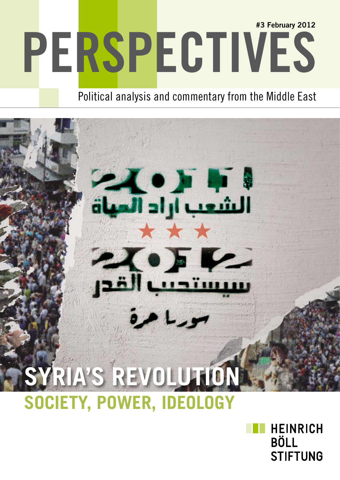# Perspectives #3 February 2012

Political analysis and commentary from the Middle East



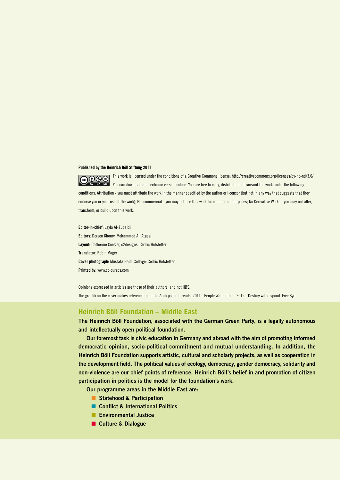#### Published by the Heinrich Böll Stiftung 2011

This work is licensed under the conditions of a Creative Commons license: <http://creativecommons.org/licenses/by-nc-nd/3.0/>.  $\fbox{G09}$ You can download an electronic version online. You are free to copy, distribute and transmit the work under the following conditions: Attribution - you must attribute the work in the manner specified by the author or licensor (but not in any way that suggests that they endorse you or your use of the work); Noncommercial - you may not use this work for commercial purposes; No Derivative Works - you may not alter, transform, or build upon this work.

Editor-in-chief: Layla Al-Zubaidi Editors: Doreen Khoury, Mohammad Ali Atassi Layout: Catherine Coetzer, c2designs, Cédric Hofstetter Translator: Robin Moger Cover photograph: Mustafa Haid, Collage: Cedric Hofstetter

Printed by: www.coloursps.com

Opinions expressed in articles are those of their authors, and not HBS. The graffiti on the cover makes reference to an old Arab poem. It reads: 2011 - People Wanted Life. 2012 - Destiny will respond. Free Syria

### **Heinrich Böll Foundation – Middle East**

The Heinrich Böll Foundation, associated with the German Green Party, is a legally autonomous and intellectually open political foundation.

Our foremost task is civic education in Germany and abroad with the aim of promoting informed democratic opinion, socio-political commitment and mutual understanding. In addition, the Heinrich Böll Foundation supports artistic, cultural and scholarly projects, as well as cooperation in the development field. The political values of ecology, democracy, gender democracy, solidarity and non-violence are our chief points of reference. Heinrich Böll's belief in and promotion of citizen participation in politics is the model for the foundation's work.

Our programme areas in the Middle East are:

- Statehood & Participation
- Conflict & International Politics
- **n** Environmental Justice
- **n** Culture & Dialogue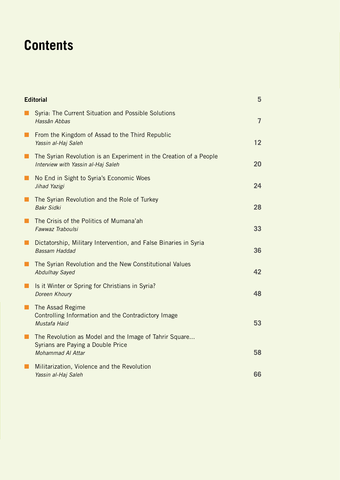# **Contents**

| <b>Editorial</b>            |                                                                                                                         | 5              |
|-----------------------------|-------------------------------------------------------------------------------------------------------------------------|----------------|
| $\mathbf{r}$                | Syria: The Current Situation and Possible Solutions<br>Hassân Abbas                                                     | $\overline{7}$ |
| $\blacksquare$              | From the Kingdom of Assad to the Third Republic<br>Yassin al-Haj Saleh                                                  | 12             |
| $\blacksquare$              | The Syrian Revolution is an Experiment in the Creation of a People<br>Interview with Yassin al-Haj Saleh                | 20             |
| $\blacksquare$              | No End in Sight to Syria's Economic Woes<br>Jihad Yazigi                                                                | 24             |
| $\mathcal{L}_{\mathcal{A}}$ | The Syrian Revolution and the Role of Turkey<br><b>Bakr Sidki</b>                                                       | 28             |
| $\blacksquare$              | The Crisis of the Politics of Mumana'ah<br>Fawwaz Traboulsi                                                             | 33             |
| $\blacksquare$              | Dictatorship, Military Intervention, and False Binaries in Syria<br><b>Bassam Haddad</b>                                | 36             |
| $\blacksquare$              | The Syrian Revolution and the New Constitutional Values<br><b>Abdulhay Sayed</b>                                        | 42             |
| $\blacksquare$              | Is it Winter or Spring for Christians in Syria?<br>Doreen Khoury                                                        | 48             |
| $\blacksquare$              | The Assad Regime<br>Controlling Information and the Contradictory Image<br>Mustafa Haid                                 | 53             |
| $\blacksquare$              | The Revolution as Model and the Image of Tahrir Square<br>Syrians are Paying a Double Price<br><b>Mohammad AI Attar</b> | 58             |
| $\blacksquare$              | Militarization, Violence and the Revolution<br>Yassin al-Haj Saleh                                                      | 66             |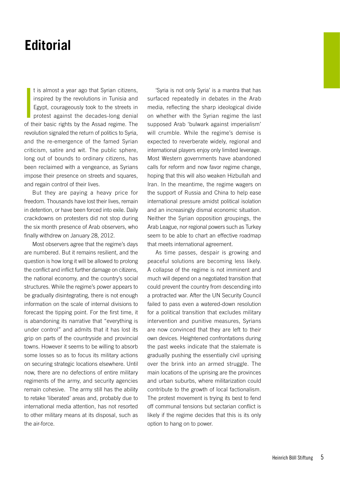# <span id="page-4-0"></span>**Editorial**

It is almost a year ago that Syrian citizens,<br>inspired by the revolutions in Tunisia and<br>Egypt, courageously took to the streets in<br>protest against the decades-long denial<br>of their basic rights by the Assad regime. The t is almost a year ago that Syrian citizens, inspired by the revolutions in Tunisia and Egypt, courageously took to the streets in protest against the decades-long denial revolution signaled the return of politics to Syria, and the re-emergence of the famed Syrian criticism, satire and wit. The public sphere, long out of bounds to ordinary citizens, has been reclaimed with a vengeance, as Syrians impose their presence on streets and squares, and regain control of their lives.

But they are paying a heavy price for freedom. Thousands have lost their lives, remain in detention, or have been forced into exile. Daily crackdowns on protesters did not stop during the six month presence of Arab observers, who finally withdrew on January 28, 2012.

Most observers agree that the regime's days are numbered. But it remains resilient, and the question is how long it will be allowed to prolong the conflict and inflict further damage on citizens, the national economy, and the country's social structures. While the regime's power appears to be gradually disintegrating, there is not enough information on the scale of internal divisions to forecast the tipping point. For the first time, it is abandoning its narrative that "everything is under control" and admits that it has lost its grip on parts of the countryside and provincial towns. However it seems to be willing to absorb some losses so as to focus its military actions on securing strategic locations elsewhere. Until now, there are no defections of entire military regiments of the army, and security agencies remain cohesive. The army still has the ability to retake 'liberated' areas and, probably due to international media attention, has not resorted to other military means at its disposal, such as the air-force.

'Syria is not only Syria' is a mantra that has surfaced repeatedly in debates in the Arab media, reflecting the sharp ideological divide on whether with the Syrian regime the last supposed Arab 'bulwark against imperialism' will crumble. While the regime's demise is expected to reverberate widely, regional and international players enjoy only limited leverage. Most Western governments have abandoned calls for reform and now favor regime change, hoping that this will also weaken Hizbullah and Iran. In the meantime, the regime wagers on the support of Russia and China to help ease international pressure amidst political isolation and an increasingly dismal economic situation. Neither the Syrian opposition groupings, the Arab League, nor regional powers such as Turkey seem to be able to chart an effective roadmap that meets international agreement.

As time passes, despair is growing and peaceful solutions are becoming less likely. A collapse of the regime is not imminent and much will depend on a negotiated transition that could prevent the country from descending into a protracted war. After the UN Security Council failed to pass even a watered-down resolution for a political transition that excludes military intervention and punitive measures, Syrians are now convinced that they are left to their own devices. Heightened confrontations during the past weeks indicate that the stalemate is gradually pushing the essentially civil uprising over the brink into an armed struggle. The main locations of the uprising are the provinces and urban suburbs, where militarization could contribute to the growth of local factionalism. The protest movement is trying its best to fend off communal tensions but sectarian conflict is likely if the regime decides that this is its only option to hang on to power.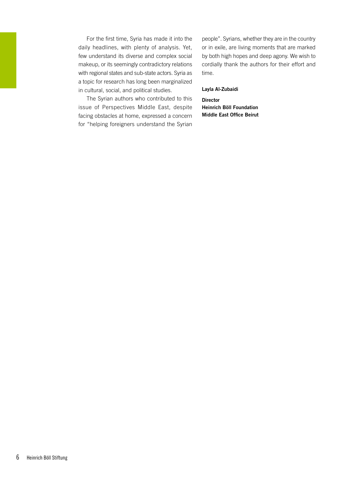For the first time, Syria has made it into the daily headlines, with plenty of analysis. Yet, few understand its diverse and complex social makeup, or its seemingly contradictory relations with regional states and sub-state actors. Syria as a topic for research has long been marginalized in cultural, social, and political studies.

The Syrian authors who contributed to this issue of Perspectives Middle East, despite facing obstacles at home, expressed a concern for "helping foreigners understand the Syrian people". Syrians, whether they are in the country or in exile, are living moments that are marked by both high hopes and deep agony. We wish to cordially thank the authors for their effort and time.

#### Layla Al-Zubaidi

**Director** Heinrich Böll Foundation Middle East Office Beirut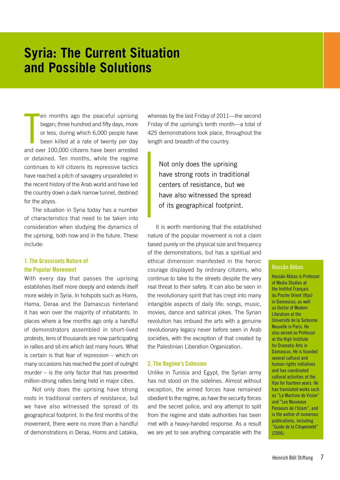# <span id="page-6-0"></span>**Syria: The Current Situation and Possible Solutions**

 $\frac{1}{2}$ en months ago the peaceful uprising began; three hundred and fifty days, more or less, during which 6,000 people have been killed at a rate of twenty per day and over 100,000 citizens have been arrested or detained. Ten months, while the regime continues to kill citizens its repressive tactics have reached a pitch of savagery unparalleled in the recent history of the Arab world and have led the country down a dark narrow tunnel, destined for the abyss.

The situation in Syria today has a number of characteristics that need to be taken into consideration when studying the dynamics of the uprising, both now and in the future. These include:

### 1. The Grassroots Nature of the Popular Movement

With every day that passes the uprising establishes itself more deeply and extends itself more widely in Syria. In hotspots such as Homs, Hama, Deraa and the Damascus hinterland it has won over the majority of inhabitants. In places where a few months ago only a handful of demonstrators assembled in short-lived protests, tens of thousands are now participating in rallies and sit-ins which last many hours. What is certain is that fear of repression – which on many occasions has reached the point of outright murder – is the only factor that has prevented million-strong rallies being held in major cities.

Not only does the uprising have strong roots in traditional centers of resistance, but we have also witnessed the spread of its geographical footprint. In the first months of the movement, there were no more than a handful of demonstrations in Deraa, Homs and Latakia, whereas by the last Friday of 2011—the second Friday of the uprising's tenth month—a total of 425 demonstrations took place, throughout the length and breadth of the country.

Not only does the uprising have strong roots in traditional centers of resistance, but we have also witnessed the spread of its geographical footprint.

It is worth mentioning that the established nature of the popular movement is not a claim based purely on the physical size and frequency of the demonstrations, but has a spiritual and ethical dimension manifested in the heroic courage displayed by ordinary citizens, who continue to take to the streets despite the very real threat to their safety. It can also be seen in the revolutionary spirit that has crept into many intangible aspects of daily life: songs, music, movies, dance and satirical jokes. The Syrian revolution has imbued the arts with a genuine revolutionary legacy never before seen in Arab societies, with the exception of that created by the Palestinian Liberation Organization.

#### 2. The Regime's Cohesion

Unlike in Tunisia and Egypt, the Syrian army has not stood on the sidelines. Almost without exception, the armed forces have remained obedient to the regime, as have the security forces and the secret police, and any attempt to split from the regime and state authorities has been met with a heavy-handed response. As a result we are yet to see anything comparable with the

#### <span id="page-6-1"></span>Hassân Abbas

Hassân Abbas is Professor of Media Studies at the Institut Français du Proche Orient (Ifpo) in Damascus, as well as Doctor of Modern Literature at the Université de la Sorbonne Nouvelle in Paris. He also served as Professor at the High Institute for Dramatic Arts in Damascus. He is founded several cultural and human rights initiatives and has coordinated cultural activities at the Ifpo for fourteen years. He has translated works such as "La Machine de Vision" and "Les Nouveaux Penseurs de l'Islam", and is the author of numerous publications, including "Guide de la Citoyenneté" (2006).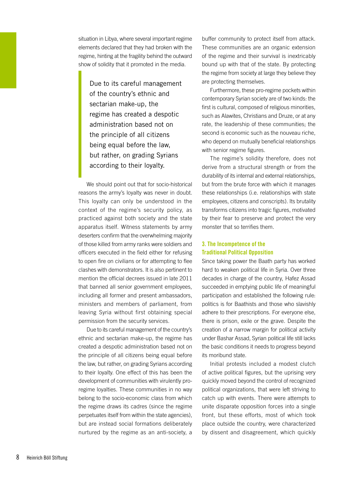situation in Libya, where several important regime elements declared that they had broken with the regime, hinting at the fragility behind the outward show of solidity that it promoted in the media.

Due to its careful management of the country's ethnic and sectarian make-up, the regime has created a despotic administration based not on the principle of all citizens being equal before the law, but rather, on grading Syrians according to their loyalty.

We should point out that for socio-historical reasons the army's loyalty was never in doubt. This loyalty can only be understood in the context of the regime's security policy, as practiced against both society and the state apparatus itself. Witness statements by army deserters confirm that the overwhelming majority of those killed from army ranks were soldiers and officers executed in the field either for refusing to open fire on civilians or for attempting to flee clashes with demonstrators. It is also pertinent to mention the official decrees issued in late 2011 that banned all senior government employees, including all former and present ambassadors, ministers and members of parliament, from leaving Syria without first obtaining special permission from the security services.

Due to its careful management of the country's ethnic and sectarian make-up, the regime has created a despotic administration based not on the principle of all citizens being equal before the law, but rather, on grading Syrians according to their loyalty. One effect of this has been the development of communities with virulently proregime loyalties. These communities in no way belong to the socio-economic class from which the regime draws its cadres (since the regime perpetuates itself from within the state agencies), but are instead social formations deliberately nurtured by the regime as an anti-society, a

buffer community to protect itself from attack. These communities are an organic extension of the regime and their survival is inextricably bound up with that of the state. By protecting the regime from society at large they believe they are protecting themselves.

Furthermore, these pro-regime pockets within contemporary Syrian society are of two kinds: the first is cultural, composed of religious minorities, such as Alawites, Christians and Druze, or at any rate, the leadership of these communities; the second is economic such as the nouveau riche, who depend on mutually beneficial relationships with senior regime figures.

The regime's solidity therefore, does not derive from a structural strength or from the durability of its internal and external relationships, but from the brute force with which it manages these relationships (i.e. relationships with state employees, citizens and conscripts). Its brutality transforms citizens into tragic figures, motivated by their fear to preserve and protect the very monster that so terrifies them.

### 3. The Incompetence of the Traditional Political Opposition

Since taking power the Baath party has worked hard to weaken political life in Syria. Over three decades in charge of the country, Hafez Assad succeeded in emptying public life of meaningful participation and established the following rule: politics is for Baathists and those who slavishly adhere to their prescriptions. For everyone else, there is prison, exile or the grave. Despite the creation of a narrow margin for political activity under Bashar Assad, Syrian political life still lacks the basic conditions it needs to progress beyond its moribund state.

Initial protests included a modest clutch of active political figures, but the uprising very quickly moved beyond the control of recognized political organizations, that were left striving to catch up with events. There were attempts to unite disparate opposition forces into a single front, but these efforts, most of which took place outside the country, were characterized by dissent and disagreement, which quickly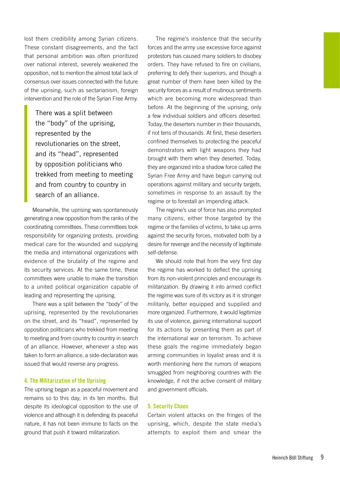lost them credibility among Syrian citizens. These constant disagreements, and the fact that personal ambition was often prioritized over national interest, severely weakened the opposition, not to mention the almost total lack of consensus over issues connected with the future of the uprising, such as sectarianism, foreign intervention and the role of the Syrian Free Army.

There was a split between the "body" of the uprising, represented by the revolutionaries on the street, and its "head", represented by opposition politicians who trekked from meeting to meeting and from country to country in search of an alliance.

Meanwhile, the uprising was spontaneously generating a new opposition from the ranks of the coordinating committees. These committees took responsibility for organizing protests, providing medical care for the wounded and supplying the media and international organizations with evidence of the brutality of the regime and its security services. At the same time, these committees were unable to make the transition to a united political organization capable of leading and representing the uprising.

There was a split between the "body" of the uprising, represented by the revolutionaries on the street, and its "head", represented by opposition politicians who trekked from meeting to meeting and from country to country in search of an alliance. However, whenever a step was taken to form an alliance, a side-declaration was issued that would reverse any progress.

#### 4. The Militarization of the Uprising

The uprising began as a peaceful movement and remains so to this day, in its ten months. But despite its ideological opposition to the use of violence and although it is defending its peaceful nature, it has not been immune to facts on the ground that push it toward militarization.

The regime's insistence that the security forces and the army use excessive force against protestors has caused many soldiers to disobey orders. They have refused to fire on civilians, preferring to defy their superiors, and though a great number of them have been killed by the security forces as a result of mutinous sentiments which are becoming more widespread than before. At the beginning of the uprising, only a few individual soldiers and officers deserted. Today, the deserters number in their thousands, if not tens of thousands. At first, these deserters confined themselves to protecting the peaceful demonstrators with light weapons they had brought with them when they deserted. Today, they are organized into a shadow force called the Syrian Free Army and have begun carrying out operations against military and security targets, sometimes in response to an assault by the regime or to forestall an impending attack.

The regime's use of force has also prompted many citizens, either those targeted by the regime or the families of victims, to take up arms against the security forces, motivated both by a desire for revenge and the necessity of legitimate self-defense.

We should note that from the very first day the regime has worked to deflect the uprising from its non-violent principles and encourage its militarization. By drawing it into armed conflict the regime was sure of its victory as it is stronger militarily, better equipped and supplied and more organized. Furthermore, it would legitimize its use of violence, gaining international support for its actions by presenting them as part of the international war on terrorism. To achieve these goals the regime immediately began arming communities in loyalist areas and it is worth mentioning here the rumors of weapons smuggled from neighboring countries with the knowledge, if not the active consent of military and government officials.

#### 5. Security Chaos

Certain violent attacks on the fringes of the uprising, which, despite the state media's attempts to exploit them and smear the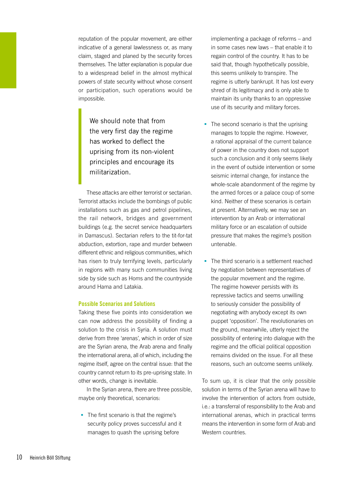reputation of the popular movement, are either indicative of a general lawlessness or, as many claim, staged and planed by the security forces themselves. The latter explanation is popular due to a widespread belief in the almost mythical powers of state security without whose consent or participation, such operations would be impossible.

We should note that from the very first day the regime has worked to deflect the uprising from its non-violent principles and encourage its militarization.

These attacks are either terrorist or sectarian. Terrorist attacks include the bombings of public installations such as gas and petrol pipelines, the rail network, bridges and government buildings (e.g. the secret service headquarters in Damascus). Sectarian refers to the tit-for-tat abduction, extortion, rape and murder between different ethnic and religious communities, which has risen to truly terrifying levels, particularly in regions with many such communities living side by side such as Homs and the countryside around Hama and Latakia.

#### Possible Scenarios and Solutions

Taking these five points into consideration we can now address the possibility of finding a solution to the crisis in Syria. A solution must derive from three 'arenas', which in order of size are the Syrian arena, the Arab arena and finally the international arena, all of which, including the regime itself, agree on the central issue: that the country cannot return to its pre-uprising state. In other words, change is inevitable.

In the Syrian arena, there are three possible, maybe only theoretical, scenarios:

• The first scenario is that the regime's security policy proves successful and it manages to quash the uprising before

implementing a package of reforms – and in some cases new laws – that enable it to regain control of the country. It has to be said that, though hypothetically possible, this seems unlikely to transpire. The regime is utterly bankrupt. It has lost every shred of its legitimacy and is only able to maintain its unity thanks to an oppressive use of its security and military forces.

- The second scenario is that the uprising manages to topple the regime. However, a rational appraisal of the current balance of power in the country does not support such a conclusion and it only seems likely in the event of outside intervention or some seismic internal change, for instance the whole-scale abandonment of the regime by the armed forces or a palace coup of some kind. Neither of these scenarios is certain at present. Alternatively, we may see an intervention by an Arab or international military force or an escalation of outside pressure that makes the regime's position untenable.
- The third scenario is a settlement reached by negotiation between representatives of the popular movement and the regime. The regime however persists with its repressive tactics and seems unwilling to seriously consider the possibility of negotiating with anybody except its own puppet 'opposition'. The revolutionaries on the ground, meanwhile, utterly reject the possibility of entering into dialogue with the regime and the official political opposition remains divided on the issue. For all these reasons, such an outcome seems unlikely.

To sum up, it is clear that the only possible solution in terms of the Syrian arena will have to involve the intervention of actors from outside, i.e.: a transferral of responsibility to the Arab and international arenas, which in practical terms means the intervention in some form of Arab and Western countries.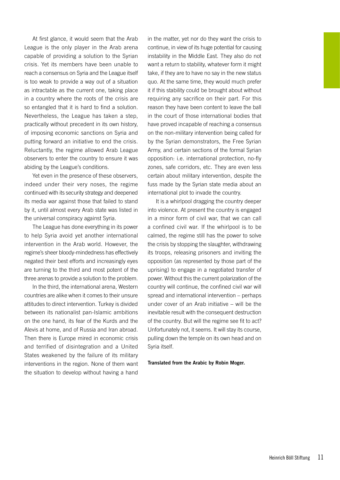At first glance, it would seem that the Arab League is the only player in the Arab arena capable of providing a solution to the Syrian crisis. Yet its members have been unable to reach a consensus on Syria and the League itself is too weak to provide a way out of a situation as intractable as the current one, taking place in a country where the roots of the crisis are so entangled that it is hard to find a solution. Nevertheless, the League has taken a step, practically without precedent in its own history, of imposing economic sanctions on Syria and putting forward an initiative to end the crisis. Reluctantly, the regime allowed Arab League observers to enter the country to ensure it was abiding by the League's conditions.

Yet even in the presence of these observers, indeed under their very noses, the regime continued with its security strategy and deepened its media war against those that failed to stand by it, until almost every Arab state was listed in the universal conspiracy against Syria.

The League has done everything in its power to help Syria avoid yet another international intervention in the Arab world. However, the regime's sheer bloody-mindedness has effectively negated their best efforts and increasingly eyes are turning to the third and most potent of the three arenas to provide a solution to the problem.

In the third, the international arena, Western countries are alike when it comes to their unsure attitudes to direct intervention. Turkey is divided between its nationalist pan-Islamic ambitions on the one hand, its fear of the Kurds and the Alevis at home, and of Russia and Iran abroad. Then there is Europe mired in economic crisis and terrified of disintegration and a United States weakened by the failure of its military interventions in the region. None of them want the situation to develop without having a hand

in the matter, yet nor do they want the crisis to continue, in view of its huge potential for causing instability in the Middle East. They also do not want a return to stability, whatever form it might take, if they are to have no say in the new status quo. At the same time, they would much prefer it if this stability could be brought about without requiring any sacrifice on their part. For this reason they have been content to leave the ball in the court of those international bodies that have proved incapable of reaching a consensus on the non-military intervention being called for by the Syrian demonstrators, the Free Syrian Army, and certain sections of the formal Syrian opposition: i.e. international protection, no-fly zones, safe corridors, etc. They are even less certain about military intervention, despite the fuss made by the Syrian state media about an international plot to invade the country.

It is a whirlpool dragging the country deeper into violence. At present the country is engaged in a minor form of civil war, that we can call a confined civil war. If the whirlpool is to be calmed, the regime still has the power to solve the crisis by stopping the slaughter, withdrawing its troops, releasing prisoners and inviting the opposition (as represented by those part of the uprising) to engage in a negotiated transfer of power. Without this the current polarization of the country will continue, the confined civil war will spread and international intervention – perhaps under cover of an Arab initiative – will be the inevitable result with the consequent destruction of the country. But will the regime see fit to act? Unfortunately not, it seems. It will stay its course, pulling down the temple on its own head and on Syria itself.

Translated from the Arabic by Robin Moger.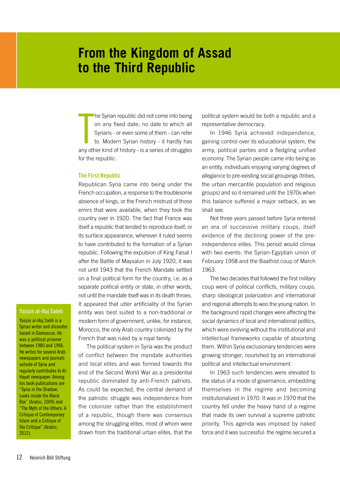# <span id="page-11-0"></span>**From the Kingdom of Assad to the Third Republic**

 $\frac{1}{2}$ The Syrian republic did not come into being on any fixed date; no date to which all Syrians - or even some of them - can refer to. Modern Syrian history - it hardly has any other kind of history - is a series of struggles for the republic.

#### The First Republic

Republican Syria came into being under the French occupation, a response to the troublesome absence of kings, or the French mistrust of those emirs that were available, when they took the country over in 1920. The fact that France was itself a republic that tended to reproduce itself, or its surface appearance, wherever it ruled seems to have contributed to the formation of a Syrian republic. Following the expulsion of King Faisal I after the Battle of Maysalun in July 1920, it was not until 1943 that the French Mandate settled on a final political form for the country, i.e. as a separate political entity or state, in other words, not until the mandate itself was in its death throes. It appeared that utter artificiality of the Syrian entity was best suited to a non-traditional or modern form of government, unlike, for instance, Morocco, the only Arab country colonized by the French that was ruled by a royal family.

The political system in Syria was the product of conflict between the mandate authorities and local elites and was formed towards the end of the Second World War as a presidential republic dominated by anti-French patriots. As could be expected, the central demand of the patriotic struggle was independence from the colonizer rather than the establishment of a republic, though there was consensus among the struggling elites, most of whom were drawn from the traditional urban elites, that the

political system would be both a republic and a representative democracy.

In 1946 Syria achieved independence, gaining control over its educational system, the army, political parties and a fledgling unified economy. The Syrian people came into being as an entity, individuals enjoying varying degrees of allegiance to pre-existing social groupings (tribes, the urban mercantile population and religious groups) and so it remained until the 1970s when this balance suffered a major setback, as we shall see.

Not three years passed before Syria entered an era of successive military coups, itself evidence of the declining power of the preindependence elites. This period would climax with two events: the Syrian-Egyptian union of February 1958 and the Baathist coup of March 1963.

The two decades that followed the first military coup were of political conflicts, military coups, sharp ideological polarization and international and regional attempts to woo the young nation. In the background rapid changes were affecting the social dynamics of local and international politics, which were evolving without the institutional and intellectual frameworks capable of absorbing them. Within Syria exclusionary tendencies were growing stronger, nourished by an international political and intellectual environment.

In 1963 such tendencies were elevated to the status of a mode of governance, embedding themselves in the regime and becoming institutionalized in 1970. It was in 1970 that the country fell under the heavy hand of a regime that made its own survival a supreme patriotic priority. This agenda was imposed by naked force and it was successful: the regime secured a

#### <span id="page-11-1"></span>Yassin al-Haj Saleh

Yassin al-Haj Salih is a Syrian writer and dissenter based in Damascus. He was a political prisoner between 1980 and 1996. He writes for several Arab newspapers and journals outside of Syria and regularly contributes to Al-Hayat newspaper. Among his book publications are "Syria in the Shadow: Looks inside the Black Box" (Arabic, 2009) and "The Myth of the Others: A Critique of Contemporary Islam and a Critique of the Critique" (Arabic, 2012).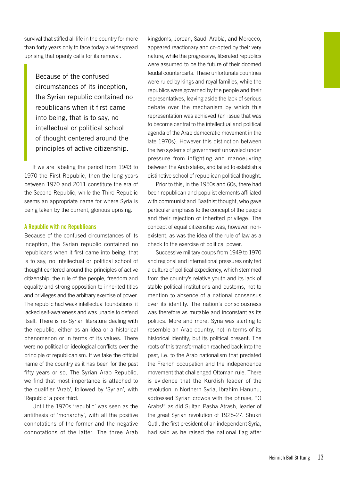survival that stifled all life in the country for more than forty years only to face today a widespread uprising that openly calls for its removal.

Because of the confused circumstances of its inception, the Syrian republic contained no republicans when it first came into being, that is to say, no intellectual or political school of thought centered around the principles of active citizenship.

If we are labeling the period from 1943 to 1970 the First Republic, then the long years between 1970 and 2011 constitute the era of the Second Republic, while the Third Republic seems an appropriate name for where Syria is being taken by the current, glorious uprising.

#### A Republic with no Republicans

Because of the confused circumstances of its inception, the Syrian republic contained no republicans when it first came into being, that is to say, no intellectual or political school of thought centered around the principles of active citizenship, the rule of the people, freedom and equality and strong opposition to inherited titles and privileges and the arbitrary exercise of power. The republic had weak intellectual foundations; it lacked self-awareness and was unable to defend itself. There is no Syrian literature dealing with the republic, either as an idea or a historical phenomenon or in terms of its values. There were no political or ideological conflicts over the principle of republicanism. If we take the official name of the country as it has been for the past fifty years or so, The Syrian Arab Republic, we find that most importance is attached to the qualifier 'Arab', followed by 'Syrian', with 'Republic' a poor third.

Until the 1970s 'republic' was seen as the antithesis of 'monarchy', with all the positive connotations of the former and the negative connotations of the latter. The three Arab

kingdoms, Jordan, Saudi Arabia, and Morocco, appeared reactionary and co-opted by their very nature, while the progressive, liberated republics were assumed to be the future of their doomed feudal counterparts. These unfortunate countries were ruled by kings and royal families, while the republics were governed by the people and their representatives, leaving aside the lack of serious debate over the mechanism by which this representation was achieved (an issue that was to become central to the intellectual and political agenda of the Arab democratic movement in the late 1970s). However this distinction between the two systems of government unraveled under pressure from infighting and manoeuvring between the Arab states, and failed to establish a distinctive school of republican political thought.

Prior to this, in the 1950s and 60s, there had been republican and populist elements affiliated with communist and Baathist thought, who gave particular emphasis to the concept of the people and their rejection of inherited privilege. The concept of equal citizenship was, however, nonexistent, as was the idea of the rule of law as a check to the exercise of political power.

Successive military coups from 1949 to 1970 and regional and international pressures only fed a culture of political expediency, which stemmed from the country's relative youth and its lack of stable political institutions and customs, not to mention to absence of a national consensus over its identity. The nation's consciousness was therefore as mutable and inconstant as its politics. More and more, Syria was starting to resemble an Arab country, not in terms of its historical identity, but its political present. The roots of this transformation reached back into the past, i.e. to the Arab nationalism that predated the French occupation and the independence movement that challenged Ottoman rule. There is evidence that the Kurdish leader of the revolution in Northern Syria, Ibrahim Hanunu, addressed Syrian crowds with the phrase, "O Arabs!" as did Sultan Pasha Atrash, leader of the great Syrian revolution of 1925-27. Shukri Qutli, the first president of an independent Syria, had said as he raised the national flag after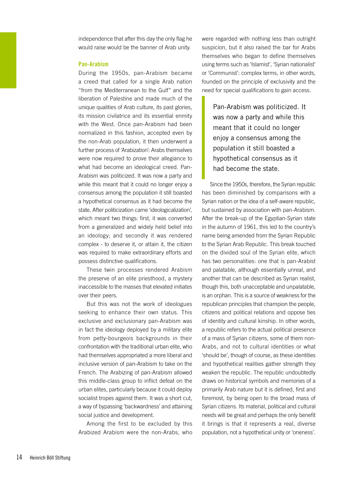independence that after this day the only flag he would raise would be the banner of Arab unity.

#### Pan-Arabism

During the 1950s, pan-Arabism became a creed that called for a single Arab nation "from the Mediterranean to the Gulf" and the liberation of Palestine and made much of the unique qualities of Arab culture, its past glories, its mission civilatrice and its essential enmity with the West. Once pan-Arabism had been normalized in this fashion, accepted even by the non-Arab population, it then underwent a further process of 'Arabization': Arabs themselves were now required to prove their allegiance to what had become an ideological creed. Pan-Arabism was politicized. It was now a party and while this meant that it could no longer enjoy a consensus among the population it still boasted a hypothetical consensus as it had become the state. After politicization came 'ideologicalization', which meant two things: first, it was converted from a generalized and widely held belief into an ideology; and secondly it was rendered complex - to deserve it, or attain it, the citizen was required to make extraordinary efforts and possess distinctive qualifications.

These twin processes rendered Arabism the preserve of an elite priesthood, a mystery inaccessible to the masses that elevated initiates over their peers.

But this was not the work of ideologues seeking to enhance their own status. This exclusive and exclusionary pan-Arabism was in fact the ideology deployed by a military elite from petty-bourgeois backgrounds in their confrontation with the traditional urban elite, who had themselves appropriated a more liberal and inclusive version of pan-Arabism to take on the French. The Arabizing of pan-Arabism allowed this middle-class group to inflict defeat on the urban elites, particularly because it could deploy socialist tropes against them. It was a short cut, a way of bypassing 'backwardness' and attaining social justice and development.

Among the first to be excluded by this Arabized Arabism were the non-Arabs, who

were regarded with nothing less than outright suspicion, but it also raised the bar for Arabs themselves who began to define themselves using terms such as 'Islamist', 'Syrian nationalist' or 'Communist': complex terms, in other words, founded on the principle of exclusivity and the need for special qualifications to gain access.

Pan-Arabism was politicized. It was now a party and while this meant that it could no longer enjoy a consensus among the population it still boasted a hypothetical consensus as it had become the state.

Since the 1950s, therefore, the Syrian republic has been diminished by comparisons with a Syrian nation or the idea of a self-aware republic, but sustained by association with pan-Arabism. After the break-up of the Egyptian-Syrian state in the autumn of 1961, this led to the country's name being amended from the Syrian Republic to the Syrian Arab Republic. This break touched on the divided soul of the Syrian elite, which has two personalities: one that is pan-Arabist and palatable, although essentially unreal, and another that can be described as Syrian realist, though this, both unacceptable and unpalatable, is an orphan. This is a source of weakness for the republican principles that champion the people, citizens and political relations and oppose ties of identity and cultural kinship. In other words, a republic refers to the actual political presence of a mass of Syrian citizens, some of them non-Arabs, and not to cultural identities or what 'should be', though of course, as these identities and hypothetical realities gather strength they weaken the republic. The republic undoubtedly draws on historical symbols and memories of a primarily Arab nature but it is defined, first and foremost, by being open to the broad mass of Syrian citizens. Its material, political and cultural needs will be great and perhaps the only benefit it brings is that it represents a real, diverse population, not a hypothetical unity or 'oneness'.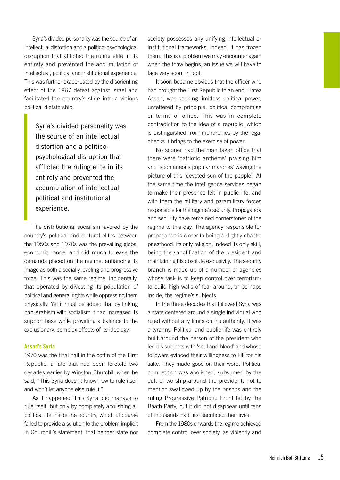Syria's divided personality was the source of an intellectual distortion and a politico-psychological disruption that afflicted the ruling elite in its entirety and prevented the accumulation of intellectual, political and institutional experience. This was further exacerbated by the disorienting effect of the 1967 defeat against Israel and facilitated the country's slide into a vicious political dictatorship.

Syria's divided personality was the source of an intellectual distortion and a politicopsychological disruption that afflicted the ruling elite in its entirety and prevented the accumulation of intellectual, political and institutional experience.

The distributional socialism favored by the country's political and cultural elites between the 1950s and 1970s was the prevailing global economic model and did much to ease the demands placed on the regime, enhancing its image as both a socially leveling and progressive force. This was the same regime, incidentally, that operated by divesting its population of political and general rights while oppressing them physically. Yet it must be added that by linking pan-Arabism with socialism it had increased its support base while providing a balance to the exclusionary, complex effects of its ideology.

#### Assad's Syria

1970 was the final nail in the coffin of the First Republic, a fate that had been foretold two decades earlier by Winston Churchill when he said, "This Syria doesn't know how to rule itself and won't let anyone else rule it."

As it happened 'This Syria' did manage to rule itself, but only by completely abolishing all political life inside the country, which of course failed to provide a solution to the problem implicit in Churchill's statement, that neither state nor

society possesses any unifying intellectual or institutional frameworks, indeed, it has frozen them. This is a problem we may encounter again when the thaw begins, an issue we will have to face very soon, in fact.

It soon became obvious that the officer who had brought the First Republic to an end, Hafez Assad, was seeking limitless political power, unfettered by principle, political compromise or terms of office. This was in complete contradiction to the idea of a republic, which is distinguished from monarchies by the legal checks it brings to the exercise of power.

No sooner had the man taken office that there were 'patriotic anthems' praising him and 'spontaneous popular marches' waving the picture of this 'devoted son of the people'. At the same time the intelligence services began to make their presence felt in public life, and with them the military and paramilitary forces responsible for the regime's security. Propaganda and security have remained cornerstones of the regime to this day. The agency responsible for propaganda is closer to being a slightly chaotic priesthood: its only religion, indeed its only skill, being the sanctification of the president and maintaining his absolute exclusivity. The security branch is made up of a number of agencies whose task is to keep control over terrorism: to build high walls of fear around, or perhaps inside, the regime's subjects.

In the three decades that followed Syria was a state centered around a single individual who ruled without any limits on his authority. It was a tyranny. Political and public life was entirely built around the person of the president who led his subjects with 'soul and blood' and whose followers evinced their willingness to kill for his sake. They made good on their word. Political competition was abolished, subsumed by the cult of worship around the president, not to mention swallowed up by the prisons and the ruling Progressive Patriotic Front let by the Baath-Party, but it did not disappear until tens of thousands had first sacrificed their lives.

From the 1980s onwards the regime achieved complete control over society, as violently and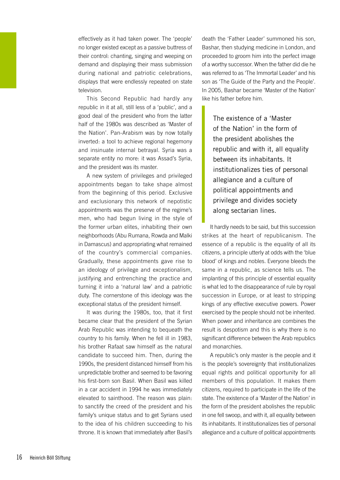effectively as it had taken power. The 'people' no longer existed except as a passive buttress of their control: chanting, singing and weeping on demand and displaying their mass submission during national and patriotic celebrations, displays that were endlessly repeated on state television.

This Second Republic had hardly any republic in it at all, still less of a 'public', and a good deal of the president who from the latter half of the 1980s was described as 'Master of the Nation'. Pan-Arabism was by now totally inverted: a tool to achieve regional hegemony and insinuate internal betrayal. Syria was a separate entity no more: it was Assad's Syria, and the president was its master.

A new system of privileges and privileged appointments began to take shape almost from the beginning of this period. Exclusive and exclusionary this network of nepotistic appointments was the preserve of the regime's men, who had begun living in the style of the former urban elites, inhabiting their own neighborhoods (Abu Rumana, Rowda and Malki in Damascus) and appropriating what remained of the country's commercial companies. Gradually, these appointments gave rise to an ideology of privilege and exceptionalism, justifying and entrenching the practice and turning it into a 'natural law' and a patriotic duty. The cornerstone of this ideology was the exceptional status of the president himself.

It was during the 1980s, too, that it first became clear that the president of the Syrian Arab Republic was intending to bequeath the country to his family. When he fell ill in 1983, his brother Rafaat saw himself as the natural candidate to succeed him. Then, during the 1990s, the president distanced himself from his unpredictable brother and seemed to be favoring his first-born son Basil. When Basil was killed in a car accident in 1994 he was immediately elevated to sainthood. The reason was plain: to sanctify the creed of the president and his family's unique status and to get Syrians used to the idea of his children succeeding to his throne. It is known that immediately after Basil's

death the 'Father Leader' summoned his son, Bashar, then studying medicine in London, and proceeded to groom him into the perfect image of a worthy successor. When the father did die he was referred to as 'The Immortal Leader' and his son as 'The Guide of the Party and the People'. In 2005, Bashar became 'Master of the Nation' like his father before him.

The existence of a 'Master of the Nation' in the form of the president abolishes the republic and with it, all equality between its inhabitants. It institutionalizes ties of personal allegiance and a culture of political appointments and privilege and divides society along sectarian lines.

It hardly needs to be said, but this succession strikes at the heart of republicanism. The essence of a republic is the equality of all its citizens, a principle utterly at odds with the 'blue blood' of kings and nobles. Everyone bleeds the same in a republic, as science tells us. The implanting of this principle of essential equality is what led to the disappearance of rule by royal succession in Europe, or at least to stripping kings of any effective executive powers. Power exercised by the people should not be inherited. When power and inheritance are combines the result is despotism and this is why there is no significant difference between the Arab republics and monarchies.

A republic's only master is the people and it is the people's sovereignty that institutionalizes equal rights and political opportunity for all members of this population. It makes them citizens, required to participate in the life of the state. The existence of a 'Master of the Nation' in the form of the president abolishes the republic in one fell swoop, and with it, all equality between its inhabitants. It institutionalizes ties of personal allegiance and a culture of political appointments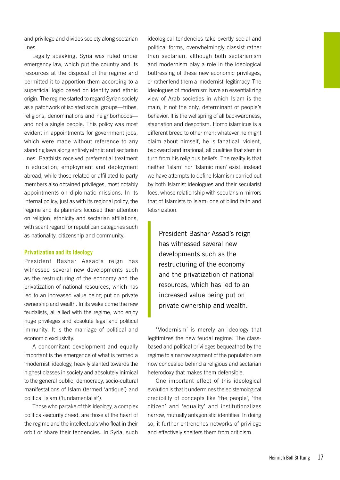and privilege and divides society along sectarian lines.

Legally speaking, Syria was ruled under emergency law, which put the country and its resources at the disposal of the regime and permitted it to apportion them according to a superficial logic based on identity and ethnic origin. The regime started to regard Syrian society as a patchwork of isolated social groups—tribes, religions, denominations and neighborhoods and not a single people. This policy was most evident in appointments for government jobs, which were made without reference to any standing laws along entirely ethnic and sectarian lines. Baathists received preferential treatment in education, employment and deployment abroad, while those related or affiliated to party members also obtained privileges, most notably appointments on diplomatic missions. In its internal policy, just as with its regional policy, the regime and its planners focused their attention on religion, ethnicity and sectarian affiliations, with scant regard for republican categories such as nationality, citizenship and community.

#### Privatization and its Ideology

President Bashar Assad's reign has witnessed several new developments such as the restructuring of the economy and the privatization of national resources, which has led to an increased value being put on private ownership and wealth. In its wake come the new feudalists, all allied with the regime, who enjoy huge privileges and absolute legal and political immunity. It is the marriage of political and economic exclusivity.

A concomitant development and equally important is the emergence of what is termed a 'modernist' ideology, heavily slanted towards the highest classes in society and absolutely inimical to the general public, democracy, socio-cultural manifestations of Islam (termed 'antique') and political Islam ('fundamentalist').

Those who partake of this ideology, a complex political-security creed, are those at the heart of the regime and the intellectuals who float in their orbit or share their tendencies. In Syria, such

ideological tendencies take overtly social and political forms, overwhelmingly classist rather than sectarian, although both sectarianism and modernism play a role in the ideological buttressing of these new economic privileges, or rather lend them a 'modernist' legitimacy. The ideologues of modernism have an essentializing view of Arab societies in which Islam is the main, if not the only, determinant of people's behavior. It is the wellspring of all backwardness, stagnation and despotism. Homo islamicus is a different breed to other men; whatever he might claim about himself, he is fanatical, violent, backward and irrational, all qualities that stem in turn from his religious beliefs. The reality is that neither 'Islam' nor 'Islamic man' exist; instead we have attempts to define Islamism carried out by both Islamist ideologues and their secularist foes, whose relationship with secularism mirrors that of Islamists to Islam: one of blind faith and fetishization.

President Bashar Assad's reign has witnessed several new developments such as the restructuring of the economy and the privatization of national resources, which has led to an increased value being put on private ownership and wealth.

'Modernism' is merely an ideology that legitimizes the new feudal regime. The classbased and political privileges bequeathed by the regime to a narrow segment of the population are now concealed behind a religious and sectarian heterodoxy that makes them defensible.

One important effect of this ideological evolution is that it undermines the epistemological credibility of concepts like 'the people', 'the citizen' and 'equality' and institutionalizes narrow, mutually antagonistic identities. In doing so, it further entrenches networks of privilege and effectively shelters them from criticism.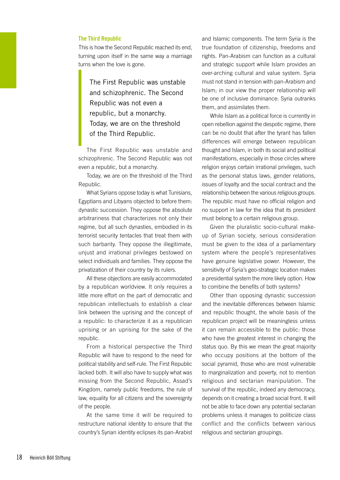#### The Third Republic

This is how the Second Republic reached its end, turning upon itself in the same way a marriage turns when the love is gone.

The First Republic was unstable and schizophrenic. The Second Republic was not even a republic, but a monarchy. Today, we are on the threshold of the Third Republic.

The First Republic was unstable and schizophrenic. The Second Republic was not even a republic, but a monarchy.

Today, we are on the threshold of the Third Republic.

What Syrians oppose today is what Tunisians, Egyptians and Libyans objected to before them: dynastic succession. They oppose the absolute arbitrariness that characterizes not only their regime, but all such dynasties, embodied in its terrorist security tentacles that treat them with such barbarity. They oppose the illegitimate, unjust and irrational privileges bestowed on select individuals and families. They oppose the privatization of their country by its rulers.

All these objections are easily accommodated by a republican worldview. It only requires a little more effort on the part of democratic and republican intellectuals to establish a clear link between the uprising and the concept of a republic: to characterize it as a republican uprising or an uprising for the sake of the republic.

From a historical perspective the Third Republic will have to respond to the need for political stability and self-rule. The First Republic lacked both. It will also have to supply what was missing from the Second Republic, Assad's Kingdom, namely public freedoms, the rule of law, equality for all citizens and the sovereignty of the people.

At the same time it will be required to restructure national identity to ensure that the country's Syrian identity eclipses its pan-Arabist and Islamic components. The term Syria is the true foundation of citizenship, freedoms and rights. Pan-Arabism can function as a cultural and strategic support while Islam provides an over-arching cultural and value system. Syria must not stand in tension with pan-Arabism and Islam; in our view the proper relationship will be one of inclusive dominance: Syria outranks them, and assimilates them.

While Islam as a political force is currently in open rebellion against the despotic regime, there can be no doubt that after the tyrant has fallen differences will emerge between republican thought and Islam, in both its social and political manifestations, especially in those circles where religion enjoys certain irrational privileges, such as the personal status laws, gender relations, issues of loyalty and the social contract and the relationship between the various religious groups. The republic must have no official religion and no support in law for the idea that its president must belong to a certain religious group.

Given the pluralistic socio-cultural makeup of Syrian society, serious consideration must be given to the idea of a parliamentary system where the people's representatives have genuine legislative power. However, the sensitivity of Syria's geo-strategic location makes a presidential system the more likely option. How to combine the benefits of both systems?

Other than opposing dynastic succession and the inevitable differences between Islamic and republic thought, the whole basis of the republican project will be meaningless unless it can remain accessible to the public: those who have the greatest interest in changing the status quo. By this we mean the great majority who occupy positions at the bottom of the social pyramid, those who are most vulnerable to marginalization and poverty, not to mention religious and sectarian manipulation. The survival of the republic, indeed any democracy, depends on it creating a broad social front. It will not be able to face down any potential sectarian problems unless it manages to politicize class conflict and the conflicts between various religious and sectarian groupings.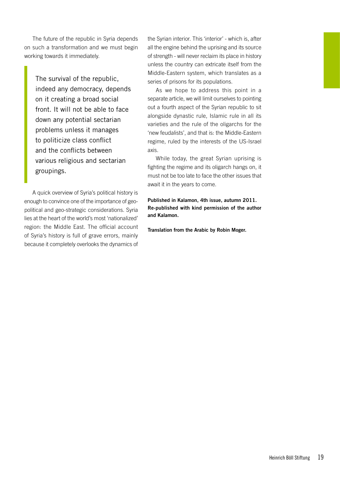The future of the republic in Syria depends on such a transformation and we must begin working towards it immediately.

The survival of the republic, indeed any democracy, depends on it creating a broad social front. It will not be able to face down any potential sectarian problems unless it manages to politicize class conflict and the conflicts between various religious and sectarian groupings.

A quick overview of Syria's political history is enough to convince one of the importance of geopolitical and geo-strategic considerations. Syria lies at the heart of the world's most 'nationalized' region: the Middle East. The official account of Syria's history is full of grave errors, mainly because it completely overlooks the dynamics of

the Syrian interior. This 'interior' - which is, after all the engine behind the uprising and its source of strength - will never reclaim its place in history unless the country can extricate itself from the Middle-Eastern system, which translates as a series of prisons for its populations.

As we hope to address this point in a separate article, we will limit ourselves to pointing out a fourth aspect of the Syrian republic to sit alongside dynastic rule, Islamic rule in all its varieties and the rule of the oligarchs for the 'new feudalists', and that is: the Middle-Eastern regime, ruled by the interests of the US-Israel axis.

While today, the great Syrian uprising is fighting the regime and its oligarch hangs on, it must not be too late to face the other issues that await it in the years to come.

Published in Kalamon, 4th issue, autumn 2011. Re-published with kind permission of the author and Kalamon.

Translation from the Arabic by Robin Moger.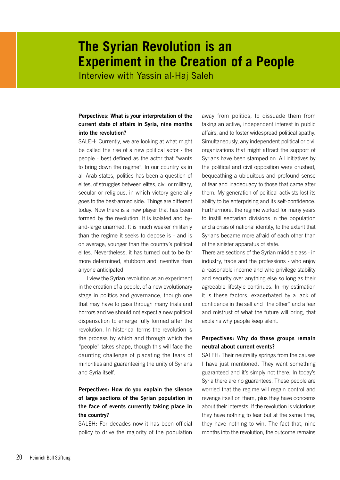# <span id="page-19-0"></span>**The Syrian Revolution is an Experiment in the Creation of a People**

<span id="page-19-1"></span>Interview with Yassin al-Haj Saleh

### Perpectives: What is your interpretation of the current state of affairs in Syria, nine months into the revolution?

SALEH: Currently, we are looking at what might be called the rise of a new political actor - the people - best defined as the actor that "wants to bring down the regime". In our country as in all Arab states, politics has been a question of elites, of struggles between elites, civil or military, secular or religious, in which victory generally goes to the best-armed side. Things are different today. Now there is a new player that has been formed by the revolution. It is isolated and byand-large unarmed. It is much weaker militarily than the regime it seeks to depose is - and is on average, younger than the country's political elites. Nevertheless, it has turned out to be far more determined, stubborn and inventive than anyone anticipated.

I view the Syrian revolution as an experiment in the creation of a people, of a new evolutionary stage in politics and governance, though one that may have to pass through many trials and horrors and we should not expect a new political dispensation to emerge fully formed after the revolution. In historical terms the revolution is the process by which and through which the "people" takes shape, though this will face the daunting challenge of placating the fears of minorities and guaranteeing the unity of Syrians and Syria itself.

# Perpectives: How do you explain the silence of large sections of the Syrian population in the face of events currently taking place in the country?

SALEH: For decades now it has been official policy to drive the majority of the population

away from politics, to dissuade them from taking an active, independent interest in public affairs, and to foster widespread political apathy. Simultaneously, any independent political or civil organizations that might attract the support of Syrians have been stamped on. All initiatives by the political and civil opposition were crushed, bequeathing a ubiquitous and profound sense of fear and inadequacy to those that came after them. My generation of political activists lost its ability to be enterprising and its self-confidence. Furthermore, the regime worked for many years to instill sectarian divisions in the population and a crisis of national identity, to the extent that Syrians became more afraid of each other than of the sinister apparatus of state.

There are sections of the Syrian middle class - in industry, trade and the professions - who enjoy a reasonable income and who privilege stability and security over anything else so long as their agreeable lifestyle continues. In my estimation it is these factors, exacerbated by a lack of confidence in the self and "the other" and a fear and mistrust of what the future will bring, that explains why people keep silent.

### Perpectives: Why do these groups remain neutral about current events?

SALEH: Their neutrality springs from the causes I have just mentioned. They want something guaranteed and it's simply not there. In today's Syria there are no guarantees. These people are worried that the regime will regain control and revenge itself on them, plus they have concerns about their interests. If the revolution is victorious they have nothing to fear but at the same time, they have nothing to win. The fact that, nine months into the revolution, the outcome remains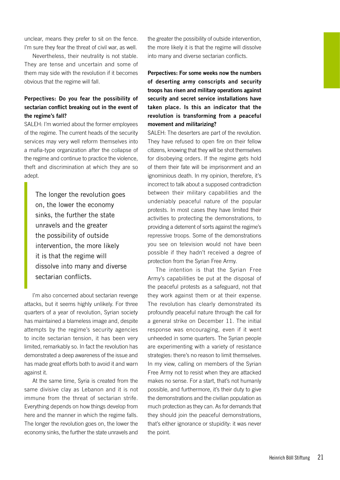unclear, means they prefer to sit on the fence. I'm sure they fear the threat of civil war, as well.

Nevertheless, their neutrality is not stable. They are tense and uncertain and some of them may side with the revolution if it becomes obvious that the regime will fall.

# Perpectives: Do you fear the possibility of sectarian conflict breaking out in the event of the regime's fall?

SALEH: I'm worried about the former employees of the regime. The current heads of the security services may very well reform themselves into a mafia-type organization after the collapse of the regime and continue to practice the violence, theft and discrimination at which they are so adept.

The longer the revolution goes on, the lower the economy sinks, the further the state unravels and the greater the possibility of outside intervention, the more likely it is that the regime will dissolve into many and diverse sectarian conflicts.

I'm also concerned about sectarian revenge attacks, but it seems highly unlikely. For three quarters of a year of revolution, Syrian society has maintained a blameless image and, despite attempts by the regime's security agencies to incite sectarian tension, it has been very limited, remarkably so. In fact the revolution has demonstrated a deep awareness of the issue and has made great efforts both to avoid it and warn against it.

At the same time, Syria is created from the same divisive clay as Lebanon and it is not immune from the threat of sectarian strife. Everything depends on how things develop from here and the manner in which the regime falls. The longer the revolution goes on, the lower the economy sinks, the further the state unravels and

the greater the possibility of outside intervention, the more likely it is that the regime will dissolve into many and diverse sectarian conflicts.

Perpectives: For some weeks now the numbers of deserting army conscripts and security troops has risen and military operations against security and secret service installations have taken place. Is this an indicator that the revolution is transforming from a peaceful movement and militarizing?

SALEH: The deserters are part of the revolution. They have refused to open fire on their fellow citizens, knowing that they will be shot themselves for disobeying orders. If the regime gets hold of them their fate will be imprisonment and an ignominious death. In my opinion, therefore, it's incorrect to talk about a supposed contradiction between their military capabilities and the undeniably peaceful nature of the popular protests. In most cases they have limited their activities to protecting the demonstrations, to providing a deterrent of sorts against the regime's repressive troops. Some of the demonstrations you see on television would not have been possible if they hadn't received a degree of protection from the Syrian Free Army.

The intention is that the Syrian Free Army's capabilities be put at the disposal of the peaceful protests as a safeguard, not that they work against them or at their expense. The revolution has clearly demonstrated its profoundly peaceful nature through the call for a general strike on December 11. The initial response was encouraging, even if it went unheeded in some quarters. The Syrian people are experimenting with a variety of resistance strategies: there's no reason to limit themselves. In my view, calling on members of the Syrian Free Army not to resist when they are attacked makes no sense. For a start, that's not humanly possible, and furthermore, it's their duty to give the demonstrations and the civilian population as much protection as they can. As for demands that they should join the peaceful demonstrations, that's either ignorance or stupidity: it was never the point.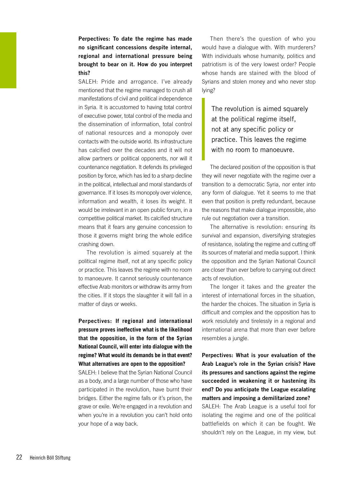# Perpectives: To date the regime has made no significant concessions despite internal, regional and international pressure being brought to bear on it. How do you interpret this?

SALEH: Pride and arrogance. I've already mentioned that the regime managed to crush all manifestations of civil and political independence in Syria. It is accustomed to having total control of executive power, total control of the media and the dissemination of information, total control of national resources and a monopoly over contacts with the outside world. Its infrastructure has calcified over the decades and it will not allow partners or political opponents, nor will it countenance negotiation. It defends its privileged position by force, which has led to a sharp decline in the political, intellectual and moral standards of governance. If it loses its monopoly over violence, information and wealth, it loses its weight. It would be irrelevant in an open public forum, in a competitive political market. Its calcified structure means that it fears any genuine concession to those it governs might bring the whole edifice crashing down.

The revolution is aimed squarely at the political regime itself, not at any specific policy or practice. This leaves the regime with no room to manoeuvre. It cannot seriously countenance effective Arab monitors or withdraw its army from the cities. If it stops the slaughter it will fall in a matter of days or weeks.

# Perpectives: **If regional and international pressure proves ineffective what is the likelihood that the opposition, in the form of the Syrian National Council, will enter into dialogue with the regime? What would its demands be in that event? What alternatives are open to the opposition?**

SALEH: I believe that the Syrian National Council as a body, and a large number of those who have participated in the revolution, have burnt their bridges. Either the regime falls or it's prison, the grave or exile. We're engaged in a revolution and when you're in a revolution you can't hold onto your hope of a way back.

Then there's the question of who you would have a dialogue with. With murderers? With individuals whose humanity, politics and patriotism is of the very lowest order? People whose hands are stained with the blood of Syrians and stolen money and who never stop lying?

The revolution is aimed squarely at the political regime itself, not at any specific policy or practice. This leaves the regime with no room to manoeuvre.

The declared position of the opposition is that they will never negotiate with the regime over a transition to a democratic Syria, nor enter into any form of dialogue. Yet it seems to me that even that position is pretty redundant, because the reasons that make dialogue impossible, also rule out negotiation over a transition.

The alternative is revolution: ensuring its survival and expansion, diversifying strategies of resistance, isolating the regime and cutting off its sources of material and media support. I think the opposition and the Syrian National Council are closer than ever before to carrying out direct acts of revolution.

The longer it takes and the greater the interest of international forces in the situation, the harder the choices. The situation in Syria is difficult and complex and the opposition has to work resolutely and tirelessly in a regional and international arena that more than ever before resembles a jungle.

Perpectives: What is your evaluation of the Arab League's role in the Syrian crisis? Have its pressures and sanctions against the regime succeeded in weakening it or hastening its end? Do you anticipate the League escalating matters and imposing a demilitarized zone?

SALEH: The Arab League is a useful tool for isolating the regime and one of the political battlefields on which it can be fought. We shouldn't rely on the League, in my view, but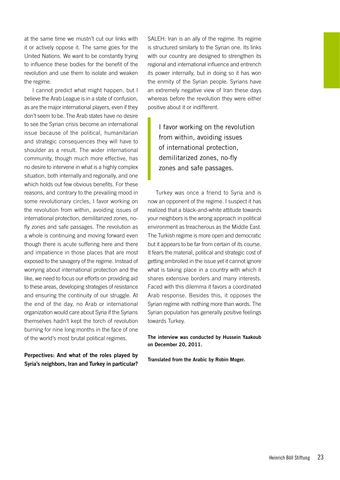at the same time we mustn't cut our links with it or actively oppose it. The same goes for the United Nations. We want to be constantly trying to influence these bodies for the benefit of the revolution and use them to isolate and weaken the regime.

I cannot predict what might happen, but I believe the Arab League is in a state of confusion, as are the major international players, even if they don't seem to be. The Arab states have no desire to see the Syrian crisis become an international issue because of the political, humanitarian and strategic consequences they will have to shoulder as a result. The wider international community, though much more effective, has no desire to intervene in what is a highly complex situation, both internally and regionally, and one which holds out few obvious benefits. For these reasons, and contrary to the prevailing mood in some revolutionary circles, I favor working on the revolution from within, avoiding issues of international protection, demilitarized zones, nofly zones and safe passages. The revolution as a whole is continuing and moving forward even though there is acute suffering here and there and impatience in those places that are most exposed to the savagery of the regime. Instead of worrying about international protection and the like, we need to focus our efforts on providing aid to these areas, developing strategies of resistance and ensuring the continuity of our struggle. At the end of the day, no Arab or international organization would care about Syria if the Syrians themselves hadn't kept the torch of revolution burning for nine long months in the face of one of the world's most brutal political regimes.

Perpectives: And what of the roles played by Syria's neighbors, Iran and Turkey in particular? SALEH: Iran is an ally of the regime. Its regime is structured similarly to the Syrian one. Its links with our country are designed to strengthen its regional and international influence and entrench its power internally, but in doing so it has won the enmity of the Syrian people. Syrians have an extremely negative view of Iran these days whereas before the revolution they were either positive about it or indifferent.

I favor working on the revolution from within, avoiding issues of international protection, demilitarized zones, no-fly zones and safe passages.

Turkey was once a friend to Syria and is now an opponent of the regime. I suspect it has realized that a black-and-white attitude towards your neighbors is the wrong approach in political environment as treacherous as the Middle East. The Turkish regime is more open and democratic but it appears to be far from certain of its course. It fears the material, political and strategic cost of getting embroiled in the issue yet it cannot ignore what is taking place in a country with which it shares extensive borders and many interests. Faced with this dilemma it favors a coordinated Arab response. Besides this, it opposes the Syrian regime with nothing more than words. The Syrian population has generally positive feelings towards Turkey.

The interview was conducted by Hussein Yaakoub on December 20, 2011.

Translated from the Arabic by Robin Moger.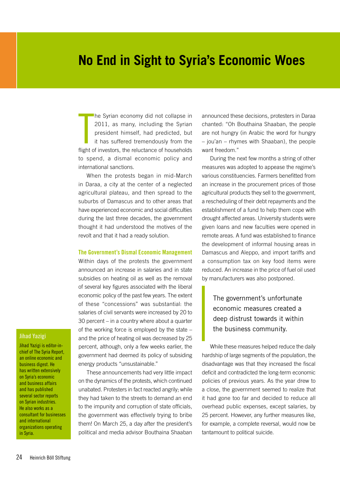# <span id="page-23-0"></span>**No End in Sight to Syria's Economic Woes**

 $\begin{bmatrix} \frac{1}{2} \\ \frac{1}{2} \end{bmatrix}$ he Syrian economy did not collapse in 2011, as many, including the Syrian president himself, had predicted, but it has suffered tremendously from the flight of investors, the reluctance of households to spend, a dismal economic policy and international sanctions.

When the protests began in mid-March in Daraa, a city at the center of a neglected agricultural plateau, and then spread to the suburbs of Damascus and to other areas that have experienced economic and social difficulties during the last three decades, the government thought it had understood the motives of the revolt and that it had a ready solution.

#### The Government's Dismal Economic Management

Within days of the protests the government announced an increase in salaries and in state subsidies on heating oil as well as the removal of several key figures associated with the liberal economic policy of the past few years. The extent of these "concessions" was substantial: the salaries of civil servants were increased by 20 to 30 percent – in a country where about a quarter of the working force is employed by the state – and the price of heating oil was decreased by 25 percent, although, only a few weeks earlier, the government had deemed its policy of subsiding energy products "unsustainable."

These announcements had very little impact on the dynamics of the protests, which continued unabated. Protesters in fact reacted angrily; while they had taken to the streets to demand an end to the impunity and corruption of state officials, the government was effectively trying to bribe them! On March 25, a day after the president's political and media advisor Bouthaina Shaaban

announced these decisions, protesters in Daraa chanted: "Oh Bouthaina Shaaban, the people are not hungry (in Arabic the word for hungry – jou'an – rhymes with Shaaban), the people want freedom."

During the next few months a string of other measures was adopted to appease the regime's various constituencies. Farmers benefitted from an increase in the procurement prices of those agricultural products they sell to the government, a rescheduling of their debt repayments and the establishment of a fund to help them cope with drought affected areas. University students were given loans and new faculties were opened in remote areas. A fund was established to finance the development of informal housing areas in Damascus and Aleppo, and import tariffs and a consumption tax on key food items were reduced. An increase in the price of fuel oil used by manufacturers was also postponed.

# The government's unfortunate economic measures created a deep distrust towards it within the business community.

While these measures helped reduce the daily hardship of large segments of the population, the disadvantage was that they increased the fiscal deficit and contradicted the long-term economic policies of previous years. As the year drew to a close, the government seemed to realize that it had gone too far and decided to reduce all overhead public expenses, except salaries, by 25 percent. However, any further measures like, for example, a complete reversal, would now be tantamount to political suicide.

#### <span id="page-23-1"></span>Jihad Yazigi

Jihad Yazigi is editor-inchief of The Syria Report, an online economic and business digest. He has written extensively on Syria's economic and business affairs and has published several sector reports on Syrian industries. He also works as a consultant for businesses and international organizations operating in Syria.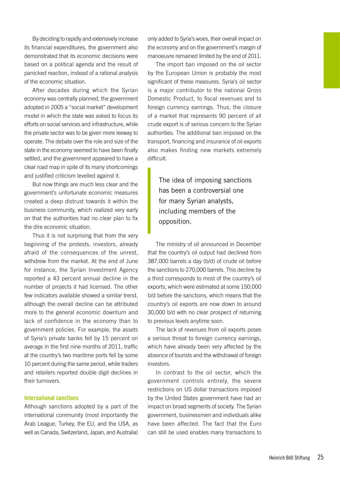By deciding to rapidly and extensively increase its financial expenditures, the government also demonstrated that its economic decisions were based on a political agenda and the result of panicked reaction, instead of a rational analysis of the economic situation.

After decades during which the Syrian economy was centrally planned, the government adopted in 2005 a "social market" development model in which the state was asked to focus its efforts on social services and infrastructure, while the private sector was to be given more leeway to operate. The debate over the role and size of the state in the economy seemed to have been finally settled, and the government appeared to have a clear road map in spite of its many shortcomings and justified criticism levelled against it.

But now things are much less clear and the government's unfortunate economic measures created a deep distrust towards it within the business community, which realized very early on that the authorities had no clear plan to fix the dire economic situation.

Thus it is not surprising that from the very beginning of the protests, investors, already afraid of the consequences of the unrest, withdrew from the market. At the end of June for instance, the Syrian Investment Agency reported a 43 percent annual decline in the number of projects it had licensed. The other few indicators available showed a similar trend, although the overall decline can be attributed more to the general economic downturn and lack of confidence in the economy than to government policies. For example, the assets of Syria's private banks fell by 15 percent on average in the first nine months of 2011, traffic at the country's two maritime ports fell by some 10 percent during the same period, while traders and retailers reported double digit declines in their turnovers.

#### International sanctions

Although sanctions adopted by a part of the international community (most importantly the Arab League, Turkey, the EU, and the USA, as well as Canada, Switzerland, Japan, and Australia) only added to Syria's woes, their overall impact on the economy and on the government's margin of manoeuvre remained limited by the end of 2011.

The import ban imposed on the oil sector by the European Union is probably the most significant of these measures. Syria's oil sector is a major contributor to the national Gross Domestic Product, to fiscal revenues and to foreign currency earnings. Thus, the closure of a market that represents 90 percent of all crude export is of serious concern to the Syrian authorities. The additional ban imposed on the transport, financing and insurance of oil exports also makes finding new markets extremely difficult.

The idea of imposing sanctions has been a controversial one for many Syrian analysts, including members of the opposition.

The ministry of oil announced in December that the country's oil output had declined from 387,000 barrels a day (b/d) of crude oil before the sanctions to 270,000 barrels. This decline by a third corresponds to most of the country's oil exports, which were estimated at some 150,000 b/d before the sanctions, which means that the country's oil exports are now down to around 30,000 b/d with no clear prospect of returning to previous levels anytime soon.

The lack of revenues from oil exports poses a serious threat to foreign currency earnings, which have already been very affected by the absence of tourists and the withdrawal of foreign investors.

In contrast to the oil sector, which the government controls entirely, the severe restrictions on US dollar transactions imposed by the United States government have had an impact on broad segments of society. The Syrian government, businessmen and individuals alike have been affected. The fact that the Euro can still be used enables many transactions to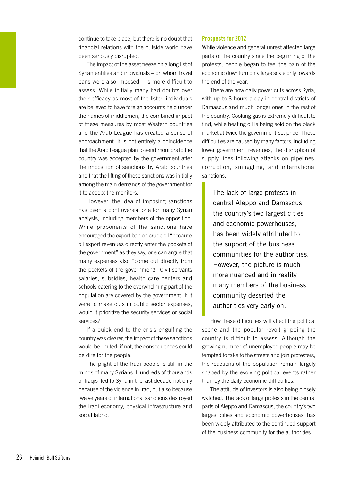continue to take place, but there is no doubt that financial relations with the outside world have been seriously disrupted.

The impact of the asset freeze on a long list of Syrian entities and individuals – on whom travel bans were also imposed – is more difficult to assess. While initially many had doubts over their efficacy as most of the listed individuals are believed to have foreign accounts held under the names of middlemen, the combined impact of these measures by most Western countries and the Arab League has created a sense of encroachment. It is not entirely a coincidence that the Arab League plan to send monitors to the country was accepted by the government after the imposition of sanctions by Arab countries and that the lifting of these sanctions was initially among the main demands of the government for it to accept the monitors.

However, the idea of imposing sanctions has been a controversial one for many Syrian analysts, including members of the opposition. While proponents of the sanctions have encouraged the export ban on crude oil "because oil export revenues directly enter the pockets of the government" as they say, one can argue that many expenses also "come out directly from the pockets of the government!" Civil servants salaries, subsidies, health care centers and schools catering to the overwhelming part of the population are covered by the government. If it were to make cuts in public sector expenses, would it prioritize the security services or social services?

If a quick end to the crisis engulfing the country was clearer, the impact of these sanctions would be limited; if not, the consequences could be dire for the people.

The plight of the Iraqi people is still in the minds of many Syrians. Hundreds of thousands of Iraqis fled to Syria in the last decade not only because of the violence in Iraq, but also because twelve years of international sanctions destroyed the Iraqi economy, physical infrastructure and social fabric.

#### Prospects for 2012

While violence and general unrest affected large parts of the country since the beginning of the protests, people began to feel the pain of the economic downturn on a large scale only towards the end of the year.

There are now daily power cuts across Syria, with up to 3 hours a day in central districts of Damascus and much longer ones in the rest of the country. Cooking gas is extremely difficult to find, while heating oil is being sold on the black market at twice the government-set price. These difficulties are caused by many factors, including lower government revenues, the disruption of supply lines following attacks on pipelines, corruption, smuggling, and international sanctions.

The lack of large protests in central Aleppo and Damascus, the country's two largest cities and economic powerhouses, has been widely attributed to the support of the business communities for the authorities. However, the picture is much more nuanced and in reality many members of the business community deserted the authorities very early on.

How these difficulties will affect the political scene and the popular revolt gripping the country is difficult to assess. Although the growing number of unemployed people may be tempted to take to the streets and join protesters, the reactions of the population remain largely shaped by the evolving political events rather than by the daily economic difficulties.

The attitude of investors is also being closely watched. The lack of large protests in the central parts of Aleppo and Damascus, the country's two largest cities and economic powerhouses, has been widely attributed to the continued support of the business community for the authorities.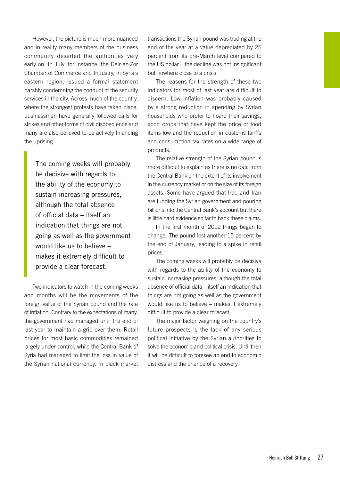However, the picture is much more nuanced and in reality many members of the business community deserted the authorities very early on. In July, for instance, the Deir-ez-Zor Chamber of Commerce and Industry, in Syria's eastern region, issued a formal statement harshly condemning the conduct of the security services in the city. Across much of the country, where the strongest protests have taken place, businessmen have generally followed calls for strikes and other forms of civil disobedience and many are also believed to be actively financing the uprising.

The coming weeks will probably be decisive with regards to the ability of the economy to sustain increasing pressures, although the total absence of official data – itself an indication that things are not going as well as the government would like us to believe – makes it extremely difficult to provide a clear forecast.

Two indicators to watch in the coming weeks and months will be the movements of the foreign value of the Syrian pound and the rate of inflation. Contrary to the expectations of many, the government had managed until the end of last year to maintain a grip over them. Retail prices for most basic commodities remained largely under control, while the Central Bank of Syria had managed to limit the loss in value of the Syrian national currency. In black market transactions the Syrian pound was trading at the end of the year at a value depreciated by 25 percent from its pre-March level compared to the US dollar – the decline was not insignificant but nowhere close to a crisis.

The reasons for the strength of these two indicators for most of last year are difficult to discern. Low inflation was probably caused by a strong reduction in spending by Syrian households who prefer to hoard their savings, good crops that have kept the price of food items low and the reduction in customs tariffs and consumption tax rates on a wide range of products.

The relative strength of the Syrian pound is more difficult to explain as there is no data from the Central Bank on the extent of its involvement in the currency market or on the size of its foreign assets. Some have argued that Iraq and Iran are funding the Syrian government and pouring billions into the Central Bank's account but there is little hard evidence so far to back these claims.

In the first month of 2012 things began to change. The pound lost another 15 percent by the end of January, leading to a spike in retail prices.

The coming weeks will probably be decisive with regards to the ability of the economy to sustain increasing pressures, although the total absence of official data – itself an indication that things are not going as well as the government would like us to believe – makes it extremely difficult to provide a clear forecast.

The major factor weighing on the country's future prospects is the lack of any serious political initiative by the Syrian authorities to solve the economic and political crisis. Until then it will be difficult to foresee an end to economic distress and the chance of a recovery.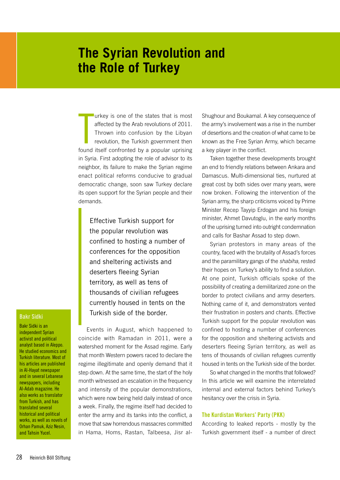# <span id="page-27-0"></span>**The Syrian Revolution and the Role of Turkey**

 $\prod_{\text{found}}$ urkey is one of the states that is most affected by the Arab revolutions of 2011. Thrown into confusion by the Libyan revolution, the Turkish government then found itself confronted by a popular uprising in Syria. First adopting the role of advisor to its neighbor, its failure to make the Syrian regime enact political reforms conducive to gradual democratic change, soon saw Turkey declare its open support for the Syrian people and their demands.

Effective Turkish support for the popular revolution was confined to hosting a number of conferences for the opposition and sheltering activists and deserters fleeing Syrian territory, as well as tens of thousands of civilian refugees currently housed in tents on the Turkish side of the border.

Events in August, which happened to coincide with Ramadan in 2011, were a watershed moment for the Assad regime. Early that month Western powers raced to declare the regime illegitimate and openly demand that it step down. At the same time, the start of the holy month witnessed an escalation in the frequency and intensity of the popular demonstrations, which were now being held daily instead of once a week. Finally, the regime itself had decided to enter the army and its tanks into the conflict, a move that saw horrendous massacres committed in Hama, Homs, Rastan, Talbeesa, Jisr alShughour and Boukamal. A key consequence of the army's involvement was a rise in the number of desertions and the creation of what came to be known as the Free Syrian Army, which became a key player in the conflict.

Taken together these developments brought an end to friendly relations between Ankara and Damascus. Multi-dimensional ties, nurtured at great cost by both sides over many years, were now broken. Following the intervention of the Syrian army, the sharp criticisms voiced by Prime Minister Recep Tayyip Erdogan and his foreign minister, Ahmet Davutoglu, in the early months of the uprising turned into outright condemnation and calls for Bashar Assad to step down.

Syrian protestors in many areas of the country, faced with the brutality of Assad's forces and the paramilitary gangs of the *shabiha*, rested their hopes on Turkey's ability to find a solution. At one point, Turkish officials spoke of the possibility of creating a demilitarized zone on the border to protect civilians and army deserters. Nothing came of it, and demonstrators vented their frustration in posters and chants. Effective Turkish support for the popular revolution was confined to hosting a number of conferences for the opposition and sheltering activists and deserters fleeing Syrian territory, as well as tens of thousands of civilian refugees currently housed in tents on the Turkish side of the border.

So what changed in the months that followed? In this article we will examine the interrelated internal and external factors behind Turkey's hesitancy over the crisis in Syria.

#### The Kurdistan Workers' Party (PKK)

According to leaked reports - mostly by the Turkish government itself - a number of direct

### <span id="page-27-1"></span>Bakr Sidki

Bakr Sidki is an independent Syrian activist and political analyst based in Aleppo. He studied economics and Turkish literature. Most of his articles are published in Al-Hayat newspaper and in several Lebanese newspapers, including Al-Adab magazine. He also works as translator from Turkish, and has translated several historical and political works, as well as novels of Orhan Pamuk, Aziz Nesin, and Tahsin Yucel.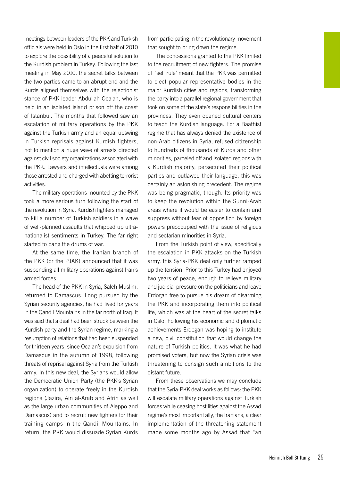meetings between leaders of the PKK and Turkish officials were held in Oslo in the first half of 2010 to explore the possibility of a peaceful solution to the Kurdish problem in Turkey. Following the last meeting in May 2010, the secret talks between the two parties came to an abrupt end and the Kurds aligned themselves with the rejectionist stance of PKK leader Abdullah Ocalan, who is held in an isolated island prison off the coast of Istanbul. The months that followed saw an escalation of military operations by the PKK against the Turkish army and an equal upswing in Turkish reprisals against Kurdish fighters, not to mention a huge wave of arrests directed against civil society organizations associated with the PKK. Lawyers and intellectuals were among those arrested and charged with abetting terrorist activities.

The military operations mounted by the PKK took a more serious turn following the start of the revolution in Syria. Kurdish fighters managed to kill a number of Turkish soldiers in a wave of well-planned assaults that whipped up ultranationalist sentiments in Turkey. The far right started to bang the drums of war.

At the same time, the Iranian branch of the PKK (or the PJAK) announced that it was suspending all military operations against Iran's armed forces.

The head of the PKK in Syria, Saleh Muslim, returned to Damascus. Long pursued by the Syrian security agencies, he had lived for years in the Qandil Mountains in the far north of Iraq. It was said that a deal had been struck between the Kurdish party and the Syrian regime, marking a resumption of relations that had been suspended for thirteen years, since Ocalan's expulsion from Damascus in the autumn of 1998, following threats of reprisal against Syria from the Turkish army. In this new deal, the Syrians would allow the Democratic Union Party (the PKK's Syrian organization) to operate freely in the Kurdish regions (Jazira, Ain al-Arab and Afrin as well as the large urban communities of Aleppo and Damascus) and to recruit new fighters for their training camps in the Qandil Mountains. In return, the PKK would dissuade Syrian Kurds from participating in the revolutionary movement that sought to bring down the regime.

The concessions granted to the PKK limited to the recruitment of new fighters. The promise of 'self rule' meant that the PKK was permitted to elect popular representative bodies in the major Kurdish cities and regions, transforming the party into a parallel regional government that took on some of the state's responsibilities in the provinces. They even opened cultural centers to teach the Kurdish language. For a Baathist regime that has always denied the existence of non-Arab citizens in Syria, refused citizenship to hundreds of thousands of Kurds and other minorities, parceled off and isolated regions with a Kurdish majority, persecuted their political parties and outlawed their language, this was certainly an astonishing precedent. The regime was being pragmatic, though. Its priority was to keep the revolution within the Sunni-Arab areas where it would be easier to contain and suppress without fear of opposition by foreign powers preoccupied with the issue of religious and sectarian minorities in Syria.

From the Turkish point of view, specifically the escalation in PKK attacks on the Turkish army, this Syria-PKK deal only further ramped up the tension. Prior to this Turkey had enjoyed two years of peace, enough to relieve military and judicial pressure on the politicians and leave Erdogan free to pursue his dream of disarming the PKK and incorporating them into political life, which was at the heart of the secret talks in Oslo. Following his economic and diplomatic achievements Erdogan was hoping to institute a new, civil constitution that would change the nature of Turkish politics. It was what he had promised voters, but now the Syrian crisis was threatening to consign such ambitions to the distant future.

From these observations we may conclude that the Syria-PKK deal works as follows: the PKK will escalate military operations against Turkish forces while ceasing hostilities against the Assad regime's most important ally, the Iranians, a clear implementation of the threatening statement made some months ago by Assad that "an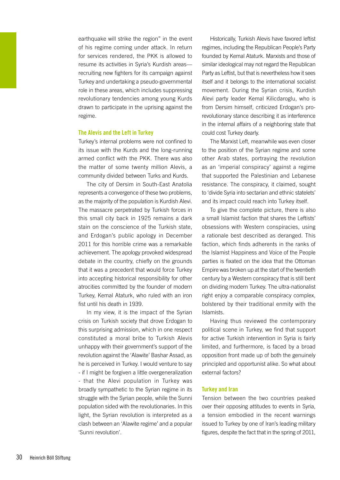earthquake will strike the region" in the event of his regime coming under attack. In return for services rendered, the PKK is allowed to resume its activities in Syria's Kurdish areas recruiting new fighters for its campaign against Turkey and undertaking a pseudo-governmental role in these areas, which includes suppressing revolutionary tendencies among young Kurds drawn to participate in the uprising against the regime.

#### The Alevis and the Left in Turkey

Turkey's internal problems were not confined to its issue with the Kurds and the long-running armed conflict with the PKK. There was also the matter of some twenty million Alevis, a community divided between Turks and Kurds.

The city of Dersim in South-East Anatolia represents a convergence of these two problems, as the majority of the population is Kurdish Alevi. The massacre perpetrated by Turkish forces in this small city back in 1925 remains a dark stain on the conscience of the Turkish state, and Erdogan's public apology in December 2011 for this horrible crime was a remarkable achievement. The apology provoked widespread debate in the country, chiefly on the grounds that it was a precedent that would force Turkey into accepting historical responsibility for other atrocities committed by the founder of modern Turkey, Kemal Ataturk, who ruled with an iron fist until his death in 1939.

In my view, it is the impact of the Syrian crisis on Turkish society that drove Erdogan to this surprising admission, which in one respect constituted a moral bribe to Turkish Alevis unhappy with their government's support of the revolution against the 'Alawite' Bashar Assad, as he is perceived in Turkey. I would venture to say - if I might be forgiven a little overgeneralization - that the Alevi population in Turkey was broadly sympathetic to the Syrian regime in its struggle with the Syrian people, while the Sunni population sided with the revolutionaries. In this light, the Syrian revolution is interpreted as a clash between an 'Alawite regime' and a popular 'Sunni revolution'.

Historically, Turkish Alevis have favored leftist regimes, including the Republican People's Party founded by Kemal Ataturk. Marxists and those of similar ideological may not regard the Republican Party as Leftist, but that is nevertheless how it sees itself and it belongs to the international socialist movement. During the Syrian crisis, Kurdish Alevi party leader Kemal Kilicdaroglu, who is from Dersim himself, criticized Erdogan's prorevolutionary stance describing it as interference in the internal affairs of a neighboring state that could cost Turkey dearly.

The Marxist Left, meanwhile was even closer to the position of the Syrian regime and some other Arab states, portraying the revolution as an 'imperial conspiracy' against a regime that supported the Palestinian and Lebanese resistance. The conspiracy, it claimed, sought to 'divide Syria into sectarian and ethnic statelets' and its impact could reach into Turkey itself.

To give the complete picture, there is also a small Islamist faction that shares the Leftists' obsessions with Western conspiracies, using a rationale best described as deranged. This faction, which finds adherents in the ranks of the Islamist Happiness and Voice of the People parties is fixated on the idea that the Ottoman Empire was broken up at the start of the twentieth century by a Western conspiracy that is still bent on dividing modern Turkey. The ultra-nationalist right enjoy a comparable conspiracy complex, bolstered by their traditional enmity with the Islamists.

Having thus reviewed the contemporary political scene in Turkey, we find that support for active Turkish intervention in Syria is fairly limited, and furthermore, is faced by a broad opposition front made up of both the genuinely principled and opportunist alike. So what about external factors?

#### Turkey and Iran

Tension between the two countries peaked over their opposing attitudes to events in Syria, a tension embodied in the recent warnings issued to Turkey by one of Iran's leading military figures, despite the fact that in the spring of 2011,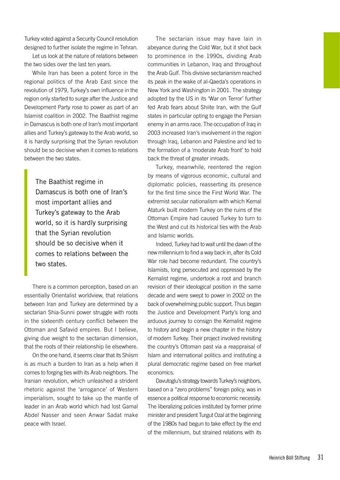Turkey voted against a Security Council resolution designed to further isolate the regime in Tehran.

Let us look at the nature of relations between the two sides over the last ten years.

While Iran has been a potent force in the regional politics of the Arab East since the revolution of 1979, Turkey's own influence in the region only started to surge after the Justice and Development Party rose to power as part of an Islamist coalition in 2002. The Baathist regime in Damascus is both one of Iran's most important allies and Turkey's gateway to the Arab world, so it is hardly surprising that the Syrian revolution should be so decisive when it comes to relations between the two states.

The Baathist regime in Damascus is both one of Iran's most important allies and Turkey's gateway to the Arab world, so it is hardly surprising that the Syrian revolution should be so decisive when it comes to relations between the two states.

There is a common perception, based on an essentially Orientalist worldview, that relations between Iran and Turkey are determined by a sectarian Shia-Sunni power struggle with roots in the sixteenth century conflict between the Ottoman and Safavid empires. But I believe, giving due weight to the sectarian dimension, that the roots of their relationship lie elsewhere.

On the one hand, it seems clear that its Shiism is as much a burden to Iran as a help when it comes to forging ties with its Arab neighbors. The Iranian revolution, which unleashed a strident rhetoric against the 'arrogance' of Western imperialism, sought to take up the mantle of leader in an Arab world which had lost Gamal Abdel Nasser and seen Anwar Sadat make peace with Israel.

The sectarian issue may have lain in abeyance during the Cold War, but it shot back to prominence in the 1990s, dividing Arab communities in Lebanon, Iraq and throughout the Arab Gulf. This divisive sectarianism reached its peak in the wake of al-Qaeda's operations in New York and Washington in 2001. The strategy adopted by the US in its 'War on Terror' further fed Arab fears about Shiite Iran, with the Gulf states in particular opting to engage the Persian enemy in an arms race. The occupation of Iraq in 2003 increased Iran's involvement in the region through Iraq, Lebanon and Palestine and led to the formation of a 'moderate Arab front' to hold back the threat of greater inroads.

Turkey, meanwhile, reentered the region by means of vigorous economic, cultural and diplomatic policies, reasserting its presence for the first time since the First World War. The extremist secular nationalism with which Kemal Ataturk built modern Turkey on the ruins of the Ottoman Empire had caused Turkey to turn to the West and cut its historical ties with the Arab and Islamic worlds.

Indeed, Turkey had to wait until the dawn of the new millennium to find a way back in, after its Cold War role had become redundant. The country's Islamists, long persecuted and oppressed by the Kemalist regime, undertook a root and branch revision of their ideological position in the same decade and were swept to power in 2002 on the back of overwhelming public support. Thus began the Justice and Development Party's long and arduous journey to consign the Kemalist regime to history and begin a new chapter in the history of modern Turkey. Their project involved revisiting the country's Ottoman past via a reappraisal of Islam and international politics and instituting a plural democratic regime based on free market economics.

Davutoglu's strategy towards Turkey's neighbors, based on a "zero problems" foreign policy, was in essence a political response to economic necessity. The liberalizing policies instituted by former prime minister and president Turgut Ozal at the beginning of the 1980s had begun to take effect by the end of the millennium, but strained relations with its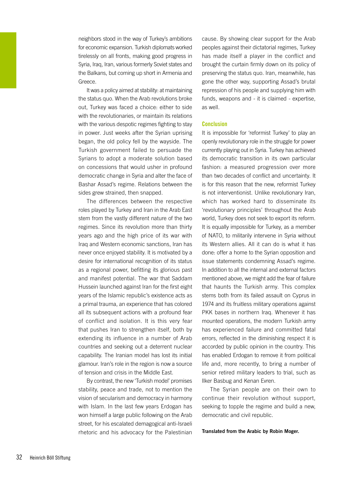neighbors stood in the way of Turkey's ambitions for economic expansion. Turkish diplomats worked tirelessly on all fronts, making good progress in Syria, Iraq, Iran, various formerly Soviet states and the Balkans, but coming up short in Armenia and Greece.

It was a policy aimed at stability: at maintaining the status quo. When the Arab revolutions broke out, Turkey was faced a choice: either to side with the revolutionaries, or maintain its relations with the various despotic regimes fighting to stay in power. Just weeks after the Syrian uprising began, the old policy fell by the wayside. The Turkish government failed to persuade the Syrians to adopt a moderate solution based on concessions that would usher in profound democratic change in Syria and alter the face of Bashar Assad's regime. Relations between the sides grew strained, then snapped.

The differences between the respective roles played by Turkey and Iran in the Arab East stem from the vastly different nature of the two regimes. Since its revolution more than thirty years ago and the high price of its war with Iraq and Western economic sanctions, Iran has never once enjoyed stability. It is motivated by a desire for international recognition of its status as a regional power, befitting its glorious past and manifest potential. The war that Saddam Hussein launched against Iran for the first eight years of the Islamic republic's existence acts as a primal trauma, an experience that has colored all its subsequent actions with a profound fear of conflict and isolation. It is this very fear that pushes Iran to strengthen itself, both by extending its influence in a number of Arab countries and seeking out a deterrent nuclear capability. The Iranian model has lost its initial glamour. Iran's role in the region is now a source of tension and crisis in the Middle East.

By contrast, the new 'Turkish model' promises stability, peace and trade, not to mention the vision of secularism and democracy in harmony with Islam. In the last few years Erdogan has won himself a large public following on the Arab street, for his escalated demagogical anti-Israeli rhetoric and his advocacy for the Palestinian

cause. By showing clear support for the Arab peoples against their dictatorial regimes, Turkey has made itself a player in the conflict and brought the curtain firmly down on its policy of preserving the status quo. Iran, meanwhile, has gone the other way, supporting Assad's brutal repression of his people and supplying him with funds, weapons and - it is claimed - expertise, as well.

#### Conclusion

It is impossible for 'reformist Turkey' to play an openly revolutionary role in the struggle for power currently playing out in Syria. Turkey has achieved its democratic transition in its own particular fashion: a measured progression over more than two decades of conflict and uncertainty. It is for this reason that the new, reformist Turkey is not interventionist. Unlike revolutionary Iran, which has worked hard to disseminate its 'revolutionary principles' throughout the Arab world, Turkey does not seek to export its reform. It is equally impossible for Turkey, as a member of NATO, to militarily intervene in Syria without its Western allies. All it can do is what it has done: offer a home to the Syrian opposition and issue statements condemning Assad's regime. In addition to all the internal and external factors mentioned above, we might add the fear of failure that haunts the Turkish army. This complex stems both from its failed assault on Cyprus in 1974 and its fruitless military operations against PKK bases in northern Iraq. Whenever it has mounted operations, the modern Turkish army has experienced failure and committed fatal errors, reflected in the diminishing respect it is accorded by public opinion in the country. This has enabled Erdogan to remove it from political life and, more recently, to bring a number of senior retired military leaders to trial, such as Ilker Basbug and Kenan Evren.

The Syrian people are on their own to continue their revolution without support, seeking to topple the regime and build a new, democratic and civil republic.

Translated from the Arabic by Robin Moger.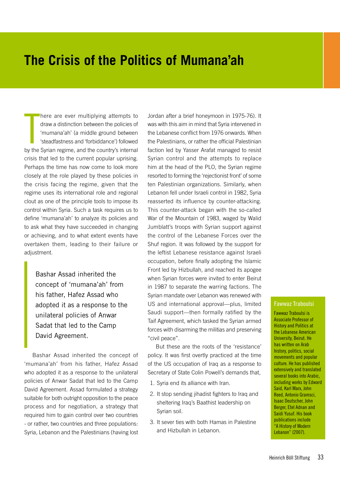# <span id="page-32-0"></span>**The Crisis of the Politics of Mumana'ah**

here are ever multiplying attempts to<br>draw a distinction between the policies of<br>"mumana'ah' (a middle ground between<br>"steadfastness and 'forbiddance') followed<br>by the Syrian regime, and the country's internal here are ever multiplying attempts to draw a distinction between the policies of 'mumana'ah' (a middle ground between 'steadfastness and 'forbiddance') followed crisis that led to the current popular uprising. Perhaps the time has now come to look more closely at the role played by these policies in the crisis facing the regime, given that the regime uses its international role and regional clout as one of the principle tools to impose its control within Syria. Such a task requires us to define 'mumana'ah' to analyze its policies and to ask what they have succeeded in changing or achieving, and to what extent events have overtaken them, leading to their failure or adjustment.

Bashar Assad inherited the concept of 'mumana'ah' from his father, Hafez Assad who adopted it as a response to the unilateral policies of Anwar Sadat that led to the Camp David Agreement.

Bashar Assad inherited the concept of 'mumana'ah' from his father, Hafez Assad who adopted it as a response to the unilateral policies of Anwar Sadat that led to the Camp David Agreement. Assad formulated a strategy suitable for both outright opposition to the peace process and for negotiation, a strategy that required him to gain control over two countries - or rather, two countries and three populations: Syria, Lebanon and the Palestinians (having lost

Jordan after a brief honeymoon in 1975-76). It was with this aim in mind that Syria intervened in the Lebanese conflict from 1976 onwards. When the Palestinians, or rather the official Palestinian faction led by Yasser Arafat managed to resist Syrian control and the attempts to replace him at the head of the PLO, the Syrian regime resorted to forming the 'rejectionist front' of some ten Palestinian organizations. Similarly, when Lebanon fell under Israeli control in 1982, Syria reasserted its influence by counter-attacking. This counter-attack began with the so-called War of the Mountain of 1983, waged by Walid Jumblatt's troops with Syrian support against the control of the Lebanese Forces over the Shuf region. It was followed by the support for the leftist Lebanese resistance against Israeli occupation, before finally adopting the Islamic Front led by Hizbullah, and reached its apogee when Syrian forces were invited to enter Beirut in 1987 to separate the warring factions. The Syrian mandate over Lebanon was renewed with US and international approval—plus, limited Saudi support—then formally ratified by the Taif Agreement, which tasked the Syrian armed forces with disarming the militias and preserving "civil peace".

But these are the roots of the 'resistance' policy. It was first overtly practiced at the time of the US occupation of Iraq as a response to Secretary of State Colin Powell's demands that,

- 1. Syria end its alliance with Iran.
- 2. It stop sending jihadist fighters to Iraq and sheltering Iraq's Baathist leadership on Syrian soil.
- 3. It sever ties with both Hamas in Palestine and Hizbullah in Lebanon.

#### <span id="page-32-1"></span>Fawwaz Traboulsi

Fawwaz Traboulsi is Associate Professor of History and Politics at the Lebanese American University, Beirut. He has written on Arab history, politics, social movements and popular culture. He has published extensively and translated several books into Arabic, including works by Edward Said, Karl Marx, John Reed, Antonio Gramsci, Isaac Deutscher, John Berger, Etel Adnan and Saidi Yusuf. His book publications include "A History of Modern Lebanon" (2007).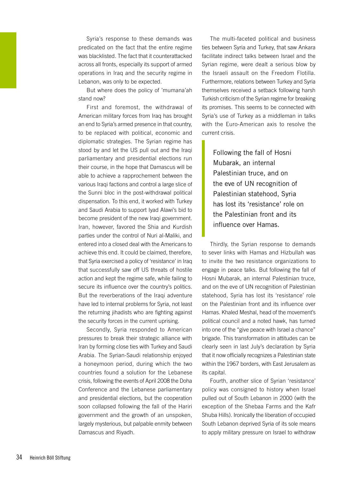Syria's response to these demands was predicated on the fact that the entire regime was blacklisted. The fact that it counterattacked across all fronts, especially its support of armed operations in Iraq and the security regime in Lebanon, was only to be expected.

But where does the policy of 'mumana'ah stand now?

First and foremost, the withdrawal of American military forces from Iraq has brought an end to Syria's armed presence in that country, to be replaced with political, economic and diplomatic strategies. The Syrian regime has stood by and let the US pull out and the Iraqi parliamentary and presidential elections run their course, in the hope that Damascus will be able to achieve a rapprochement between the various Iraqi factions and control a large slice of the Sunni bloc in the post-withdrawal political dispensation. To this end, it worked with Turkey and Saudi Arabia to support Iyad Alawi's bid to become president of the new Iraqi government. Iran, however, favored the Shia and Kurdish parties under the control of Nuri al-Maliki, and entered into a closed deal with the Americans to achieve this end. It could be claimed, therefore, that Syria exercised a policy of 'resistance' in Iraq that successfully saw off US threats of hostile action and kept the regime safe, while failing to secure its influence over the country's politics. But the reverberations of the Iraqi adventure have led to internal problems for Syria, not least the returning jihadists who are fighting against the security forces in the current uprising.

Secondly, Syria responded to American pressures to break their strategic alliance with Iran by forming close ties with Turkey and Saudi Arabia. The Syrian-Saudi relationship enjoyed a honeymoon period, during which the two countries found a solution for the Lebanese crisis, following the events of April 2008 the Doha Conference and the Lebanese parliamentary and presidential elections, but the cooperation soon collapsed following the fall of the Hariri government and the growth of an unspoken, largely mysterious, but palpable enmity between Damascus and Riyadh.

The multi-faceted political and business ties between Syria and Turkey, that saw Ankara facilitate indirect talks between Israel and the Syrian regime, were dealt a serious blow by the Israeli assault on the Freedom Flotilla. Furthermore, relations between Turkey and Syria themselves received a setback following harsh Turkish criticism of the Syrian regime for breaking its promises. This seems to be connected with Syria's use of Turkey as a middleman in talks with the Euro-American axis to resolve the current crisis.

Following the fall of Hosni Mubarak, an internal Palestinian truce, and on the eve of UN recognition of Palestinian statehood, Syria has lost its 'resistance' role on the Palestinian front and its influence over Hamas.

Thirdly, the Syrian response to demands to sever links with Hamas and Hizbullah was to invite the two resistance organizations to engage in peace talks. But following the fall of Hosni Mubarak, an internal Palestinian truce, and on the eve of UN recognition of Palestinian statehood, Syria has lost its 'resistance' role on the Palestinian front and its influence over Hamas. Khaled Meshal, head of the movement's political council and a noted hawk, has turned into one of the "give peace with Israel a chance" brigade. This transformation in attitudes can be clearly seen in last July's declaration by Syria that it now officially recognizes a Palestinian state within the 1967 borders, with East Jerusalem as its capital.

Fourth, another slice of Syrian 'resistance' policy was consigned to history when Israel pulled out of South Lebanon in 2000 (with the exception of the Shebaa Farms and the Kafr Shuba Hills). Ironically the liberation of occupied South Lebanon deprived Syria of its sole means to apply military pressure on Israel to withdraw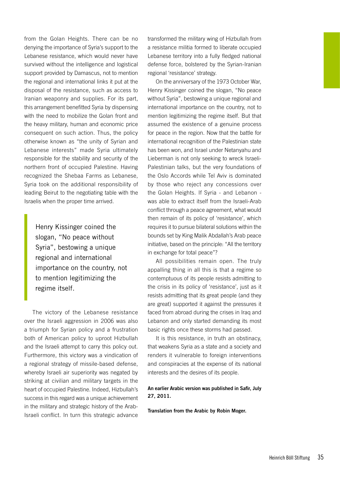from the Golan Heights. There can be no denying the importance of Syria's support to the Lebanese resistance, which would never have survived without the intelligence and logistical support provided by Damascus, not to mention the regional and international links it put at the disposal of the resistance, such as access to Iranian weaponry and supplies. For its part, this arrangement benefitted Syria by dispensing with the need to mobilize the Golan front and the heavy military, human and economic price consequent on such action. Thus, the policy otherwise known as "the unity of Syrian and Lebanese interests" made Syria ultimately responsible for the stability and security of the northern front of occupied Palestine. Having recognized the Shebaa Farms as Lebanese, Syria took on the additional responsibility of leading Beirut to the negotiating table with the Israelis when the proper time arrived.

Henry Kissinger coined the slogan, "No peace without Syria", bestowing a unique regional and international importance on the country, not to mention legitimizing the regime itself.

The victory of the Lebanese resistance over the Israeli aggression in 2006 was also a triumph for Syrian policy and a frustration both of American policy to uproot Hizbullah and the Israeli attempt to carry this policy out. Furthermore, this victory was a vindication of a regional strategy of missile-based defense, whereby Israeli air superiority was negated by striking at civilian and military targets in the heart of occupied Palestine. Indeed, Hizbullah's success in this regard was a unique achievement in the military and strategic history of the Arab-Israeli conflict. In turn this strategic advance

transformed the military wing of Hizbullah from a resistance militia formed to liberate occupied Lebanese territory into a fully fledged national defense force, bolstered by the Syrian-Iranian regional 'resistance' strategy.

On the anniversary of the 1973 October War, Henry Kissinger coined the slogan, "No peace without Syria", bestowing a unique regional and international importance on the country, not to mention legitimizing the regime itself. But that assumed the existence of a genuine process for peace in the region. Now that the battle for international recognition of the Palestinian state has been won, and Israel under Netanyahu and Lieberman is not only seeking to wreck Israeli-Palestinian talks, but the very foundations of the Oslo Accords while Tel Aviv is dominated by those who reject any concessions over the Golan Heights. If Syria - and Lebanon was able to extract itself from the Israeli-Arab conflict through a peace agreement, what would then remain of its policy of 'resistance', which requires it to pursue bilateral solutions within the bounds set by King Malik Abdallah's Arab peace initiative, based on the principle: "All the territory in exchange for total peace"?

All possibilities remain open. The truly appalling thing in all this is that a regime so contemptuous of its people resists admitting to the crisis in its policy of 'resistance', just as it resists admitting that its great people (and they are great) supported it against the pressures it faced from abroad during the crises in Iraq and Lebanon and only started demanding its most basic rights once these storms had passed.

It is this resistance, in truth an obstinacy, that weakens Syria as a state and a society and renders it vulnerable to foreign interventions and conspiracies at the expense of its national interests and the desires of its people.

An earlier Arabic version was published in Safir, July 27, 2011.

Translation from the Arabic by Robin Moger.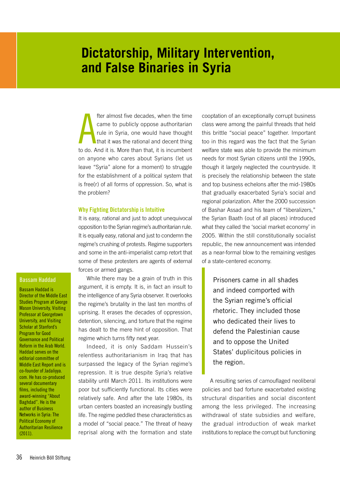# <span id="page-35-0"></span>**Dictatorship, Military Intervention, and False Binaries in Syria**

A fter almost five decades, when the time came to publicly oppose authoritarian rule in Syria, one would have thought that it was the rational and decent thing to do. And it is. More than that, it is incumbent on anyone who cares about Syrians (let us leave "Syria" alone for a moment) to struggle for the establishment of a political system that is free(r) of all forms of oppression. So, what is the problem?

#### Why Fighting Dictatorship is Intuitive

It is easy, rational and just to adopt unequivocal opposition to the Syrian regime's authoritarian rule. It is equally easy, rational and just to condemn the regime's crushing of protests. Regime supporters and some in the anti-imperialist camp retort that some of these protesters are agents of external forces or armed gangs.

While there may be a grain of truth in this argument, it is empty. It is, in fact an insult to the intelligence of any Syria observer. It overlooks the regime's brutality in the last ten months of uprising. It erases the decades of oppression, detention, silencing, and torture that the regime has dealt to the mere hint of opposition. That regime which turns fifty next year.

Indeed, it is only Saddam Hussein's relentless authoritarianism in Iraq that has surpassed the legacy of the Syrian regime's repression. It is true despite Syria's relative stability until March 2011. Its institutions were poor but sufficiently functional. Its cities were relatively safe. And after the late 1980s, its urban centers boasted an increasingly bustling life. The regime peddled these characteristics as a model of "social peace." The threat of heavy reprisal along with the formation and state

cooptation of an exceptionally corrupt business class were among the painful threads that held this brittle "social peace" together. Important too in this regard was the fact that the Syrian welfare state was able to provide the minimum needs for most Syrian citizens until the 1990s, though it largely neglected the countryside. It is precisely the relationship between the state and top business echelons after the mid-1980s that gradually exacerbated Syria's social and regional polarization. After the 2000 succession of Bashar Assad and his team of "liberalizers," the Syrian Baath (out of all places) introduced what they called the 'social market economy' in 2005. Within the still constitutionally socialist republic, the new announcement was intended as a near-formal blow to the remaining vestiges of a state-centered economy.

Prisoners came in all shades and indeed comported with the Syrian regime's official rhetoric. They included those who dedicated their lives to defend the Palestinian cause and to oppose the United States' duplicitous policies in the region.

A resulting series of camouflaged neoliberal policies and bad fortune exacerbated existing structural disparities and social discontent among the less privileged. The increasing withdrawal of state subsidies and welfare, the gradual introduction of weak market institutions to replace the corrupt but functioning

#### <span id="page-35-1"></span>Bassam Haddad

Bassam Haddad is Director of the Middle East Studies Program at George Mason University, Visiting Professor at Georgetown University, and Visiting Scholar at Stanford's Program for Good Governance and Political Reform in the Arab World. Haddad serves on the editorial committee of Middle East Report and is co-founder of Jadaliyya. com. He has co-produced several documentary films, including the award-winning "About Baghdad". He is the author of Business Networks in Syria: The Political Economy of Authoritarian Resilience (2011).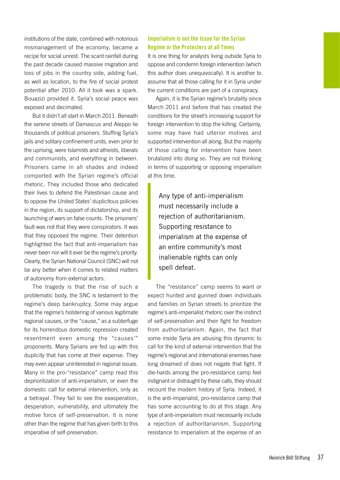institutions of the state, combined with notorious mismanagement of the economy, became a recipe for social unrest. The scant rainfall during the past decade caused massive migration and loss of jobs in the country side, adding fuel, as well as location, to the fire of social protest potential after 2010. All it took was a spark. Bouazizi provided it. Syria's social peace was exposed and decimated.

But it didn't all start in March 2011. Beneath the serene streets of Damascus and Aleppo lie thousands of political prisoners. Stuffing Syria's jails and solitary confinement units, even prior to the uprising, were Islamists and atheists, liberals and communists, and everything in between. Prisoners came in all shades and indeed comported with the Syrian regime's official rhetoric. They included those who dedicated their lives to defend the Palestinian cause and to oppose the United States' duplicitous policies in the region, its support of dictatorship, and its launching of wars on false counts. The prisoners' fault was not that they were conspirators. It was that they opposed the regime. Their detention highlighted the fact that anti-imperialism has never been nor will it ever be the regime's priority. Clearly, the Syrian National Council (SNC) will not be any better when it comes to related matters of autonomy from external actors.

The tragedy is that the rise of such a problematic body, the SNC is testament to the regime's deep bankruptcy. Some may argue that the regime's holstering of various legitimate regional causes, or the "cause," as a subterfuge for its horrendous domestic repression created resentment even among the "causes'" proponents. Many Syrians are fed up with this duplicity that has come at their expense. They may even appear uninterested in regional issues. Many in the pro-"resistance" camp read this deprioritization of anti-imperialism, or even the domestic call for external intervention, only as a betrayal. They fail to see the exasperation, desperation, vulnerability, and ultimately the motive force of self-preservation. It is none other than the regime that has given birth to this imperative of self-preservation.

### Imperialism is not the Issue for the Syrian Regime or the Protesters at all Times

It is one thing for analysts living outside Syria to oppose and condemn foreign intervention (which this author does unequivocally). It is another to assume that all those calling for it in Syria under the current conditions are part of a conspiracy.

Again, it is the Syrian regime's brutality since March 2011 and before that has created the conditions for the street's increasing support for foreign intervention to stop the killing. Certainly, some may have had ulterior motives and supported intervention all along. But the majority of those calling for intervention have been brutalized into doing so. They are not thinking in terms of supporting or opposing imperialism at this time.

Any type of anti-imperialism must necessarily include a rejection of authoritarianism. Supporting resistance to imperialism at the expense of an entire community's most inalienable rights can only spell defeat.

The "resistance" camp seems to want or expect hunted and gunned down individuals and families on Syrian streets to prioritize the regime's anti-imperialist rhetoric over the instinct of self-preservation and their fight for freedom from authoritarianism. Again, the fact that some inside Syria are abusing this dynamic to call for the kind of external intervention that the regime's regional and international enemies have long dreamed of does not negate that fight. If die-hards among the pro-resistance camp feel indignant or distraught by these calls, they should recount the modern history of Syria. Indeed, it is the anti-imperialist, pro-resistance camp that has some accounting to do at this stage. Any type of anti-imperialism must necessarily include a rejection of authoritarianism. Supporting resistance to imperialism at the expense of an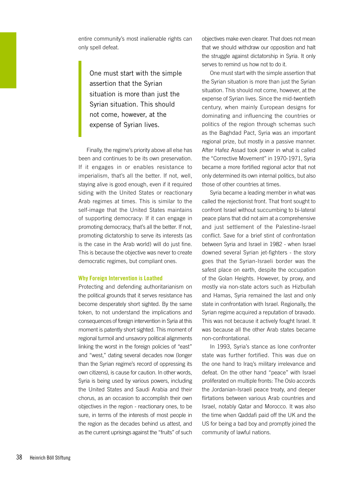entire community's most inalienable rights can only spell defeat.

> One must start with the simple assertion that the Syrian situation is more than just the Syrian situation. This should not come, however, at the expense of Syrian lives.

Finally, the regime's priority above all else has been and continues to be its own preservation. If it engages in or enables resistance to imperialism, that's all the better. If not, well, staying alive is good enough, even if it required siding with the United States or reactionary Arab regimes at times. This is similar to the self-image that the United States maintains of supporting democracy: If it can engage in promoting democracy, that's all the better. If not, promoting dictatorship to serve its interests (as is the case in the Arab world) will do just fine. This is because the objective was never to create democratic regimes, but compliant ones.

#### Why Foreign Intervention is Loathed

Protecting and defending authoritarianism on the political grounds that it serves resistance has become desperately short sighted. By the same token, to not understand the implications and consequences of foreign intervention in Syria at this moment is patently short sighted. This moment of regional turmoil and unsavory political alignments linking the worst in the foreign policies of "east" and "west," dating several decades now (longer than the Syrian regime's record of oppressing its own citizens), is cause for caution. In other words, Syria is being used by various powers, including the United States and Saudi Arabia and their chorus, as an occasion to accomplish their own objectives in the region - reactionary ones, to be sure, in terms of the interests of most people in the region as the decades behind us attest, and as the current uprisings against the "fruits" of such

objectives make even clearer. That does not mean that we should withdraw our opposition and halt the struggle against dictatorship in Syria. It only serves to remind us how not to do it.

One must start with the simple assertion that the Syrian situation is more than just the Syrian situation. This should not come, however, at the expense of Syrian lives. Since the mid-twentieth century, when mainly European designs for dominating and influencing the countries or politics of the region through schemas such as the Baghdad Pact, Syria was an important regional prize, but mostly in a passive manner. After Hafez Assad took power in what is called the "Corrective Movement" in 1970-1971, Syria became a more fortified regional actor that not only determined its own internal politics, but also those of other countries at times.

Syria became a leading member in what was called the rejectionist front. That front sought to confront Israel without succumbing to bi-lateral peace plans that did not aim at a comprehensive and just settlement of the Palestine-Israel conflict. Save for a brief stint of confrontation between Syria and Israel in 1982 - when Israel downed several Syrian jet-fighters - the story goes that the Syrian-Israeli border was the safest place on earth, despite the occupation of the Golan Heights. However, by proxy, and mostly via non-state actors such as Hizbullah and Hamas, Syria remained the last and only state in confrontation with Israel. Regionally, the Syrian regime acquired a reputation of bravado. This was not because it actively fought Israel. It was because all the other Arab states became non-confrontational.

In 1993, Syria's stance as lone confronter state was further fortified. This was due on the one hand to Iraq's military irrelevance and defeat. On the other hand "peace" with Israel proliferated on multiple fronts: The Oslo accords the Jordanian-Israeli peace treaty, and deeper flirtations between various Arab countries and Israel, notably Qatar and Morocco. It was also the time when Qaddafi paid off the UK and the US for being a bad boy and promptly joined the community of lawful nations.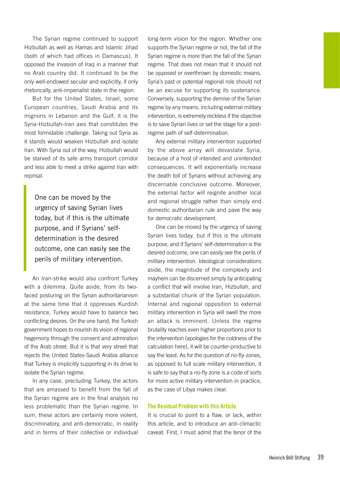The Syrian regime continued to support Hizbullah as well as Hamas and Islamic Jihad (both of which had offices in Damascus). It opposed the invasion of Iraq in a manner that no Arab country did. It continued to be the only well-endowed secular and explicitly, if only rhetorically, anti-imperialist state in the region.

But for the United States, Israel, some European countries, Saudi Arabia and its mignons in Lebanon and the Gulf, it is the Syria-Hizbullah-Iran axis that constitutes the most formidable challenge. Taking out Syria as it stands would weaken Hizbullah and isolate Iran. With Syria out of the way, Hizbullah would be starved of its safe arms transport corridor and less able to meet a strike against Iran with reprisal.

One can be moved by the urgency of saving Syrian lives today, but if this is the ultimate purpose, and if Syrians' selfdetermination is the desired outcome, one can easily see the perils of military intervention.

An Iran-strike would also confront Turkey with a dilemma. Quite aside, from its twofaced posturing on the Syrian authoritarianism at the same time that it oppresses Kurdish resistance, Turkey would have to balance two conflicting desires. On the one hand, the Turkish government hopes to nourish its vision of regional hegemony through the consent and admiration of the Arab street. But it is that very street that rejects the United States-Saudi Arabia alliance that Turkey is implicitly supporting in its drive to isolate the Syrian regime.

In any case, precluding Turkey, the actors that are amassed to benefit from the fall of the Syrian regime are in the final analysis no less problematic than the Syrian regime. In sum, these actors are certainly more violent, discriminatory, and anti-democratic, in reality and in terms of their collective or individual

long-term vision for the region. Whether one supports the Syrian regime or not, the fall of the Syrian regime is more than the fall of the Syrian regime. That does not mean that it should not be opposed or overthrown by domestic means. Syria's past or potential regional role should not be an excuse for supporting its sustenance. Conversely, supporting the demise of the Syrian regime by any means, including external military intervention, is extremely reckless if the objective is to save Syrian lives or set the stage for a postregime path of self-determination.

Any external military intervention supported by the above array will devastate Syria, because of a host of intended and unintended consequences. It will exponentially increase the death toll of Syrians without achieving any discernable conclusive outcome. Moreover, the external factor will reignite another local and regional struggle rather than simply end domestic authoritarian rule and pave the way for democratic development.

One can be moved by the urgency of saving Syrian lives today, but if this is the ultimate purpose, and if Syrians' self-determination is the desired outcome, one can easily see the perils of military intervention. Ideological considerations aside, the magnitude of the complexity and mayhem can be discerned simply by anticipating a conflict that will involve Iran, Hizbullah, and a substantial chunk of the Syrian population. Internal and regional opposition to external military intervention in Syria will swell the more an attack is imminent. Unless the regime brutality reaches even higher proportions prior to the intervention (apologies for the coldness of the calculation here), it will be counter-productive to say the least. As for the question of no-fly-zones, as opposed to full scale military intervention, it is safe to say that a no-fly zone is a code of sorts for more active military intervention in practice, as the case of Libya makes clear.

#### The Residual Problem with this Article

It is crucial to point to a flaw, or lack, within this article, and to introduce an anti-climactic caveat. First, I must admit that the tenor of the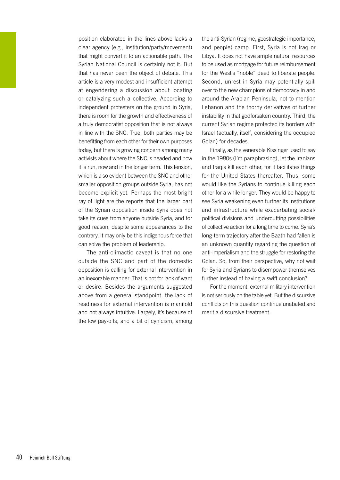position elaborated in the lines above lacks a clear agency (e.g., institution/party/movement) that might convert it to an actionable path. The Syrian National Council is certainly not it. But that has never been the object of debate. This article is a very modest and insufficient attempt at engendering a discussion about locating or catalyzing such a collective. According to independent protesters on the ground in Syria, there is room for the growth and effectiveness of a truly democratist opposition that is not always in line with the SNC. True, both parties may be benefitting from each other for their own purposes today, but there is growing concern among many activists about where the SNC is headed and how it is run, now and in the longer term. This tension, which is also evident between the SNC and other smaller opposition groups outside Syria, has not become explicit yet. Perhaps the most bright ray of light are the reports that the larger part of the Syrian opposition inside Syria does not take its cues from anyone outside Syria, and for good reason, despite some appearances to the contrary. It may only be this indigenous force that can solve the problem of leadership.

The anti-climactic caveat is that no one outside the SNC and part of the domestic opposition is calling for external intervention in an inexorable manner. That is not for lack of want or desire. Besides the arguments suggested above from a general standpoint, the lack of readiness for external intervention is manifold and not always intuitive. Largely, it's because of the low pay-offs, and a bit of cynicism, among

the anti-Syrian (regime, geostrategic importance, and people) camp. First, Syria is not Iraq or Libya. It does not have ample natural resources to be used as mortgage for future reimbursement for the West's "noble" deed to liberate people. Second, unrest in Syria may potentially spill over to the new champions of democracy in and around the Arabian Peninsula, not to mention Lebanon and the thorny derivatives of further instability in that godforsaken country. Third, the current Syrian regime protected its borders with Israel (actually, itself, considering the occupied Golan) for decades.

Finally, as the venerable Kissinger used to say in the 1980s (I'm paraphrasing), let the Iranians and Iraqis kill each other, for it facilitates things for the United States thereafter. Thus, some would like the Syrians to continue killing each other for a while longer. They would be happy to see Syria weakening even further its institutions and infrastructure while exacerbating social/ political divisions and undercutting possibilities of collective action for a long time to come. Syria's long-term trajectory after the Baath had fallen is an unknown quantity regarding the question of anti-imperialism and the struggle for restoring the Golan. So, from their perspective, why not wait for Syria and Syrians to disempower themselves further instead of having a swift conclusion?

For the moment, external military intervention is not seriously on the table yet. But the discursive conflicts on this question continue unabated and merit a discursive treatment.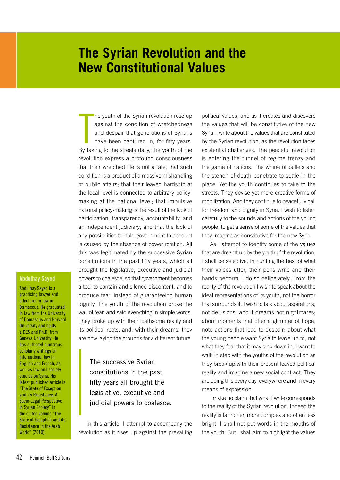# <span id="page-41-0"></span>**The Syrian Revolution and the New Constitutional Values**

 $\begin{bmatrix} \frac{1}{2} \\ \frac{1}{2} \\ \frac{1}{2} \end{bmatrix}$ he youth of the Syrian revolution rose up against the condition of wretchedness and despair that generations of Syrians have been captured in, for fifty years. By taking to the streets daily, the youth of the revolution express a profound consciousness that their wretched life is not a fate; that such condition is a product of a massive mishandling of public affairs; that their leaved hardship at the local level is connected to arbitrary policymaking at the national level; that impulsive national policy-making is the result of the lack of participation, transparency, accountability, and an independent judiciary; and that the lack of any possibilities to hold government to account is caused by the absence of power rotation. All this was legitimated by the successive Syrian constitutions in the past fifty years, which all brought the legislative, executive and judicial powers to coalesce, so that government becomes a tool to contain and silence discontent, and to produce fear, instead of guaranteeing human dignity. The youth of the revolution broke the wall of fear, and said everything in simple words. They broke up with their loathsome reality and its political roots, and, with their dreams, they are now laying the grounds for a different future.

<span id="page-41-1"></span>Abdulhay Sayed

Abdulhay Sayed is a practicing lawyer and a lecturer in law in Damascus. He graduated in law from the University of Damascus and Harvard University and holds a DES and Ph.D. from Geneva University. He has authored numerous scholarly writings on international law in English and French, as well as law and society studies on Syria. His latest published article is "The State of Exception and its Resistance: A Socio-Legal Perspective in Syrian Society" in the edited volume "The State of Exception and its Resistance in the Arab World" (2010).

The successive Syrian constitutions in the past fifty years all brought the legislative, executive and judicial powers to coalesce.

In this article, I attempt to accompany the revolution as it rises up against the prevailing political values, and as it creates and discovers the values that will be constitutive of the new Syria. I write about the values that are constituted by the Syrian revolution, as the revolution faces existential challenges. The peaceful revolution is entering the tunnel of regime frenzy and the game of nations. The whine of bullets and the stench of death penetrate to settle in the place. Yet the youth continues to take to the streets. They devise yet more creative forms of mobilization. And they continue to peacefully call for freedom and dignity in Syria. I wish to listen carefully to the sounds and actions of the young people, to get a sense of some of the values that they imagine as constitutive for the new Syria.

As I attempt to identify some of the values that are dreamt up by the youth of the revolution, I shall be selective, in hunting the best of what their voices utter, their pens write and their hands perform. I do so deliberately. From the reality of the revolution I wish to speak about the ideal representations of its youth, not the horror that surrounds it. I wish to talk about aspirations, not delusions; about dreams not nightmares; about moments that offer a glimmer of hope, note actions that lead to despair; about what the young people want Syria to leave up to, not what they fear that it may sink down in. I want to walk in step with the youths of the revolution as they break up with their present leaved political reality and imagine a new social contract. They are doing this every day, everywhere and in every means of expression.

I make no claim that what I write corresponds to the reality of the Syrian revolution. Indeed the reality is far richer, more complex and often less bright. I shall not put words in the mouths of the youth. But I shall aim to highlight the values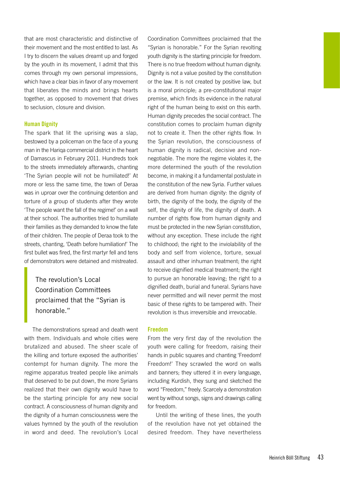that are most characteristic and distinctive of their movement and the most entitled to last. As I try to discern the values dreamt up and forged by the youth in its movement, I admit that this comes through my own personal impressions, which have a clear bias in favor of any movement that liberates the minds and brings hearts together, as opposed to movement that drives to seclusion, closure and division.

#### Human Dignity

The spark that lit the uprising was a slap, bestowed by a policeman on the face of a young man in the Hariqa commercial district in the heart of Damascus in February 2011. Hundreds took to the streets immediately afterwards, chanting 'The Syrian people will not be humiliated!' At more or less the same time, the town of Deraa was in uproar over the continuing detention and torture of a group of students after they wrote 'The people want the fall of the regime!' on a wall at their school. The authorities tried to humiliate their families as they demanded to know the fate of their children. The people of Deraa took to the streets, chanting, 'Death before humiliation!' The first bullet was fired, the first martyr fell and tens of demonstrators were detained and mistreated.

The revolution's Local Coordination Committees proclaimed that the "Syrian is honorable."

The demonstrations spread and death went with them. Individuals and whole cities were brutalized and abused. The sheer scale of the killing and torture exposed the authorities' contempt for human dignity. The more the regime apparatus treated people like animals that deserved to be put down, the more Syrians realized that their own dignity would have to be the starting principle for any new social contract. A consciousness of human dignity and the dignity of a human consciousness were the values hymned by the youth of the revolution in word and deed. The revolution's Local

Coordination Committees proclaimed that the "Syrian is honorable." For the Syrian revolting youth dignity is the starting principle for freedom. There is no true freedom without human dignity. Dignity is not a value posited by the constitution or the law. It is not created by positive law, but is a moral principle; a pre-constitutional major premise, which finds its evidence in the natural right of the human being to exist on this earth. Human dignity precedes the social contract. The constitution comes to proclaim human dignity not to create it. Then the other rights flow. In the Syrian revolution, the consciousness of human dignity is radical, decisive and nonnegotiable. The more the regime violates it, the more determined the youth of the revolution become, in making it a fundamental postulate in the constitution of the new Syria. Further values are derived from human dignity: the dignity of birth, the dignity of the body, the dignity of the self, the dignity of life, the dignity of death. A number of rights flow from human dignity and must be protected in the new Syrian constitution, without any exception. These include the right to childhood; the right to the inviolability of the body and self from violence, torture, sexual assault and other inhuman treatment; the right to receive dignified medical treatment; the right to pursue an honorable leaving; the right to a dignified death, burial and funeral. Syrians have never permitted and will never permit the most basic of these rights to be tampered with. Their revolution is thus irreversible and irrevocable.

#### Freedom

From the very first day of the revolution the youth were calling for freedom, raising their hands in public squares and chanting 'Freedom! Freedom!' They scrawled the word on walls and banners; they uttered it in every language, including Kurdish, they sung and sketched the word "Freedom," freely. Scarcely a demonstration went by without songs, signs and drawings calling for freedom.

Until the writing of these lines, the youth of the revolution have not yet obtained the desired freedom. They have nevertheless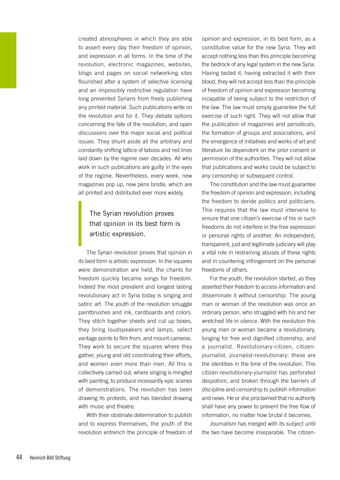created atmospheres in which they are able to assert every day their freedom of opinion, and expression in all forms. In the time of the revolution, electronic magazines, websites, blogs and pages on social networking sites flourished after a system of selective licensing and an impossibly restrictive regulation have long prevented Syrians from freely publishing any printed material. Such publications write on the revolution and for it. They debate options concerning the fate of the revolution, and open discussions over the major social and political issues. They shunt aside all the arbitrary and constantly shifting lattice of taboos and red lines laid down by the regime over decades. All who work in such publications are guilty in the eyes of the regime. Nevertheless, every week, new magazines pop up, new pens bristle, which are all printed and distributed ever more widely.

# The Syrian revolution proves that opinion in its best form is artistic expression.

The Syrian revolution proves that opinion in its best form is artistic expression. In the squares were demonstration are held, the chants for freedom quickly became songs for freedom. Indeed the most prevalent and longest lasting revolutionary act in Syria today is singing and satiric art. The youth of the revolution smuggle paintbrushes and ink, cardboards and colors. They stitch together sheets and cut up boxes, they bring loudspeakers and lamps, select vantage points to film from, and mount cameras. They work to secure the squares where they gather, young and old coordinating their efforts, and women even more than men. All this is collectively carried out, where singing is mingled with painting, to produce incessantly epic scenes of demonstrations. The revolution has been drawing its protests, and has blended drawing with music and theatre.

With their obstinate determination to publish and to express themselves, the youth of the revolution entrench the principle of freedom of opinion and expression, in its best form, as a constitutive value for the new Syria. They will accept nothing less than this principle becoming the bedrock of any legal system in the new Syria. Having tasted it, having extracted it with their blood, they will not accept less than the principle of freedom of opinion and expression becoming incapable of being subject to the restriction of the law. The law must simply guarantee the full exercise of such right. They will not allow that the publication of magazines and periodicals, the formation of groups and associations, and the emergence of initiatives and works of art and literature be dependent on the prior consent or permission of the authorities. They will not allow that publications and works could be subject to any censorship or subsequent control.

The constitution and the law must guarantee the freedom of opinion and expression, including the freedom to deride politics and politicians. This requires that the law must intervene to ensure that one citizen's exercise of his or such freedoms do not interfere in the free expression or personal rights of another. An independent, transparent, just and legitimate judiciary will play a vital role in restraining abuses of these rights and in countering infringement on the personal freedoms of others.

For the youth, the revolution started, as they asserted their freedom to access information and disseminate it without censorship. The young man or woman of the revolution was once an ordinary person, who struggled with his and her wretched life in silence. With the revolution this young man or woman became a revolutionary, longing for free and dignified citizenship, and a journalist. Revolutionary-citizen, citizenjournalist, journalist-revolutionary: these are the identities in the time of the revolution. This citizen-revolutionary-journalist has perforated despotism, and broken through the barriers of discipline and censorship to publish information and news. He or she proclaimed that no authority shall have any power to prevent the free flow of information, no matter how brutal it becomes.

Journalism has merged with its subject until the two have become inseparable. The citizen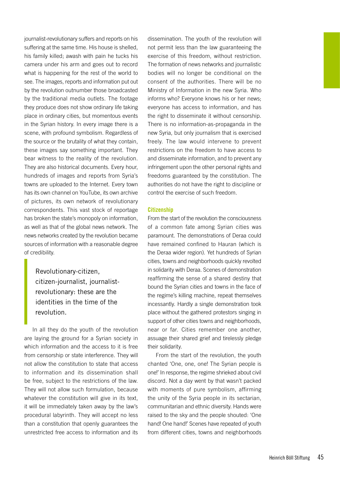journalist-revolutionary suffers and reports on his suffering at the same time. His house is shelled, his family killed; awash with pain he tucks his camera under his arm and goes out to record what is happening for the rest of the world to see. The images, reports and information put out by the revolution outnumber those broadcasted by the traditional media outlets. The footage they produce does not show ordinary life taking place in ordinary cities, but momentous events in the Syrian history. In every image there is a scene, with profound symbolism. Regardless of the source or the brutality of what they contain, these images say something important. They bear witness to the reality of the revolution. They are also historical documents. Every hour, hundreds of images and reports from Syria's towns are uploaded to the Internet. Every town has its own channel on YouTube, its own archive of pictures, its own network of revolutionary correspondents. This vast stock of reportage has broken the state's monopoly on information, as well as that of the global news network. The news networks created by the revolution became sources of information with a reasonable degree of credibility.

Revolutionary-citizen, citizen-journalist, journalistrevolutionary: these are the identities in the time of the revolution.

In all they do the youth of the revolution are laying the ground for a Syrian society in which information and the access to it is free from censorship or state interference. They will not allow the constitution to state that access to information and its dissemination shall be free, subject to the restrictions of the law. They will not allow such formulation, because whatever the constitution will give in its text, it will be immediately taken away by the law's procedural labyrinth. They will accept no less than a constitution that openly guarantees the unrestricted free access to information and its

dissemination. The youth of the revolution will not permit less than the law guaranteeing the exercise of this freedom, without restriction. The formation of news networks and journalistic bodies will no longer be conditional on the consent of the authorities. There will be no Ministry of Information in the new Syria. Who informs who? Everyone knows his or her news; everyone has access to information, and has the right to disseminate it without censorship. There is no information-as-propaganda in the new Syria, but only journalism that is exercised freely. The law would intervene to prevent restrictions on the freedom to have access to and disseminate information, and to prevent any infringement upon the other personal rights and freedoms guaranteed by the constitution. The authorities do not have the right to discipline or control the exercise of such freedom.

#### **Citizenship**

From the start of the revolution the consciousness of a common fate among Syrian cities was paramount. The demonstrations of Deraa could have remained confined to Hauran (which is the Deraa wider region). Yet hundreds of Syrian cities, towns and neighborhoods quickly revolted in solidarity with Deraa. Scenes of demonstration reaffirming the sense of a shared destiny that bound the Syrian cities and towns in the face of the regime's killing machine, repeat themselves incessantly. Hardly a single demonstration took place without the gathered protestors singing in support of other cities towns and neighborhoods, near or far. Cities remember one another, assuage their shared grief and tirelessly pledge their solidarity.

From the start of the revolution, the youth chanted 'One, one, one! The Syrian people is one!' In response, the regime shrieked about civil discord. Not a day went by that wasn't packed with moments of pure symbolism, affirming the unity of the Syria people in its sectarian, communitarian and ethnic diversity. Hands were raised to the sky and the people shouted: 'One hand! One hand!' Scenes have repeated of youth from different cities, towns and neighborhoods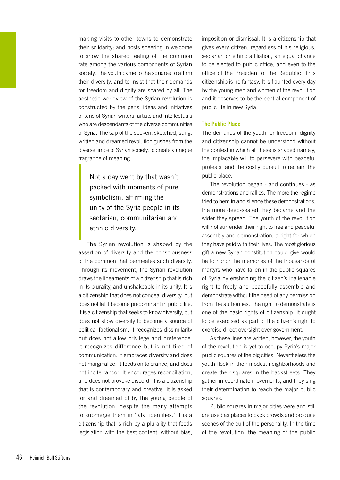making visits to other towns to demonstrate their solidarity; and hosts sheering in welcome to show the shared feeling of the common fate among the various components of Syrian society. The youth came to the squares to affirm their diversity, and to insist that their demands for freedom and dignity are shared by all. The aesthetic worldview of the Syrian revolution is constructed by the pens, ideas and initiatives of tens of Syrian writers, artists and intellectuals who are descendants of the diverse communities of Syria. The sap of the spoken, sketched, sung, written and dreamed revolution gushes from the diverse limbs of Syrian society, to create a unique fragrance of meaning.

Not a day went by that wasn't packed with moments of pure symbolism, affirming the unity of the Syria people in its sectarian, communitarian and ethnic diversity.

The Syrian revolution is shaped by the assertion of diversity and the consciousness of the common that permeates such diversity. Through its movement, the Syrian revolution draws the lineaments of a citizenship that is rich in its plurality, and unshakeable in its unity. It is a citizenship that does not conceal diversity, but does not let it become predominant in public life. It is a citizenship that seeks to know diversity, but does not allow diversity to become a source of political factionalism. It recognizes dissimilarity but does not allow privilege and preference. It recognizes difference but is not tired of communication. It embraces diversity and does not marginalize. It feeds on tolerance, and does not incite rancor. It encourages reconciliation, and does not provoke discord. It is a citizenship that is contemporary and creative. It is asked for and dreamed of by the young people of the revolution, despite the many attempts to submerge them in 'fatal identities.' It is a citizenship that is rich by a plurality that feeds legislation with the best content, without bias,

imposition or dismissal. It is a citizenship that gives every citizen, regardless of his religious, sectarian or ethnic affiliation, an equal chance to be elected to public office, and even to the office of the President of the Republic. This citizenship is no fantasy. It is flaunted every day by the young men and women of the revolution and it deserves to be the central component of public life in new Syria.

#### The Public Place

The demands of the youth for freedom, dignity and citizenship cannot be understood without the context in which all these is shaped namely, the implacable will to persevere with peaceful protests, and the costly pursuit to reclaim the public place.

The revolution began - and continues - as demonstrations and rallies. The more the regime tried to hem in and silence these demonstrations, the more deep-seated they became and the wider they spread. The youth of the revolution will not surrender their right to free and peaceful assembly and demonstration, a right for which they have paid with their lives. The most glorious gift a new Syrian constitution could give would be to honor the memories of the thousands of martyrs who have fallen in the public squares of Syria by enshrining the citizen's inalienable right to freely and peacefully assemble and demonstrate without the need of any permission from the authorities. The right to demonstrate is one of the basic rights of citizenship. It ought to be exercised as part of the citizen's right to exercise direct oversight over government.

As these lines are written, however, the youth of the revolution is yet to occupy Syria's major public squares of the big cities. Nevertheless the youth flock in their modest neighborhoods and create their squares in the backstreets. They gather in coordinate movements, and they sing their determination to reach the major public squares.

Public squares in major cities were and still are used as places to pack crowds and produce scenes of the cult of the personality. In the time of the revolution, the meaning of the public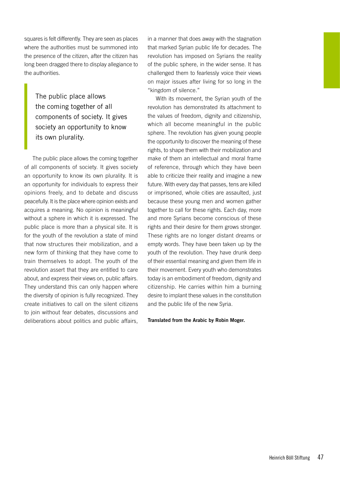squares is felt differently. They are seen as places where the authorities must be summoned into the presence of the citizen, after the citizen has long been dragged there to display allegiance to the authorities.

The public place allows the coming together of all components of society. It gives society an opportunity to know its own plurality.

The public place allows the coming together of all components of society. It gives society an opportunity to know its own plurality. It is an opportunity for individuals to express their opinions freely, and to debate and discuss peacefully. It is the place where opinion exists and acquires a meaning. No opinion is meaningful without a sphere in which it is expressed. The public place is more than a physical site. It is for the youth of the revolution a state of mind that now structures their mobilization, and a new form of thinking that they have come to train themselves to adopt. The youth of the revolution assert that they are entitled to care about, and express their views on, public affairs. They understand this can only happen where the diversity of opinion is fully recognized. They create initiatives to call on the silent citizens to join without fear debates, discussions and deliberations about politics and public affairs,

in a manner that does away with the stagnation that marked Syrian public life for decades. The revolution has imposed on Syrians the reality of the public sphere, in the wider sense. It has challenged them to fearlessly voice their views on major issues after living for so long in the "kingdom of silence."

With its movement, the Syrian youth of the revolution has demonstrated its attachment to the values of freedom, dignity and citizenship, which all become meaningful in the public sphere. The revolution has given young people the opportunity to discover the meaning of these rights, to shape them with their mobilization and make of them an intellectual and moral frame of reference, through which they have been able to criticize their reality and imagine a new future. With every day that passes, tens are killed or imprisoned, whole cities are assaulted, just because these young men and women gather together to call for these rights. Each day, more and more Syrians become conscious of these rights and their desire for them grows stronger. These rights are no longer distant dreams or empty words. They have been taken up by the youth of the revolution. They have drunk deep of their essential meaning and given them life in their movement. Every youth who demonstrates today is an embodiment of freedom, dignity and citizenship. He carries within him a burning desire to implant these values in the constitution and the public life of the new Syria.

Translated from the Arabic by Robin Moger.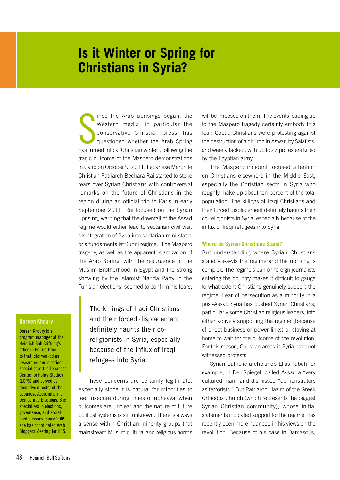# <span id="page-47-0"></span>**Is it Winter or Spring for Christians in Syria?**

S<br>hasturr ince the Arab uprisings began, the Western media, in particular the conservative Christian press, has questioned whether the Arab Spring has turned into a 'Christian winter', following the tragic outcome of the Maspero demonstrations in Cairo on October 9, 2011. Lebanese Maronite Christian Patriarch Bechara Rai started to stoke fears over Syrian Christians with controversial remarks on the future of Christians in the region during an official trip to Paris in early September 2011. Rai focused on the Syrian uprising, warning that the downfall of the Assad regime would either lead to sectarian civil war, disintegration of Syria into sectarian mini-states or a fundamentalist Sunni regime.<sup>1</sup> The Maspero tragedy, as well as the apparent Islamization of the Arab Spring, with the resurgence of the Muslim Brotherhood in Egypt and the strong showing by the Islamist Nahda Party in the Tunisian elections, seemed to confirm his fears.

#### <span id="page-47-1"></span>Doreen Khoury

Doreen Khoury is a program manager at the Heinrich Böll Stiftung's office in Beirut. Prior to that, she worked as researcher and elections specialist at the Lebanese Centre for Policy Studies (LCPS) and served as executive director of the Lebanese Association for Democratic Elections. She specializes in elections, governance, and social media issues. Since 2009 she has coordinated Arab Bloggers Meeting for HBS.

The killings of Iraqi Christians and their forced displacement definitely haunts their coreligionists in Syria, especially because of the influx of Iraqi refugees into Syria.

These concerns are certainly legitimate, especially since it is natural for minorities to feel insecure during times of upheaval when outcomes are unclear and the nature of future political systems is still unknown. There is always a sense within Christian minority groups that mainstream Muslim cultural and religious norms

will be imposed on them. The events leading up to the Maspero tragedy certainly embody this fear: Coptic Christians were protesting against the destruction of a church in Aswan by Salafists, and were attacked, with up to 27 protesters killed by the Egyptian army.

The Maspero incident focused attention on Christians elsewhere in the Middle East, especially the Christian sects in Syria who roughly make up about ten percent of the total population. The killings of Iraqi Christians and their forced displacement definitely haunts their co-religionists in Syria, especially because of the influx of Iraqi refugees into Syria.

#### Where do Syrian Christians Stand?

But understanding where Syrian Christians stand vis-á-vis the regime and the uprising is complex. The regime's ban on foreign journalists entering the country makes it difficult to gauge to what extent Christians genuinely support the regime. Fear of persecution as a minority in a post-Assad Syria has pushed Syrian Christians, particularly some Christian religious leaders, into either actively supporting the regime (because of direct business or power links) or staying at home to wait for the outcome of the revolution. For this reason, Christian areas in Syria have not witnessed protests.

Syrian Catholic archbishop Elias Tabeh for example, in Der Spiegel, called Assad a "very cultured man" and dismissed "demonstrators as terrorists." But Patriarch Hazim of the Greek Orthodox Church (which represents the biggest Syrian Christian community), whose initial statements indicated support for the regime, has recently been more nuanced in his views on the revolution. Because of his base in Damascus,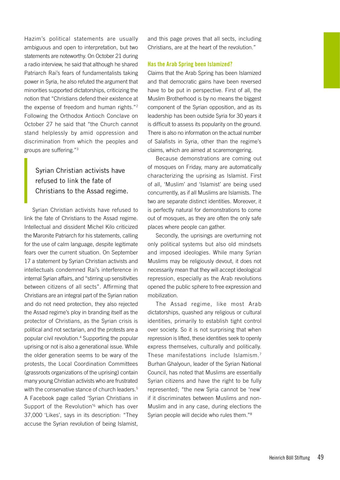Hazim's political statements are usually ambiguous and open to interpretation, but two statements are noteworthy. On October 21 during a radio interview, he said that although he shared Patriarch Rai's fears of fundamentalists taking power in Syria, he also refuted the argument that minorities supported dictatorships, criticizing the notion that "Christians defend their existence at the expense of freedom and human rights."<sup>2</sup> Following the Orthodox Antioch Conclave on October 27 he said that "the Church cannot stand helplessly by amid oppression and discrimination from which the peoples and groups are suffering."<sup>3</sup>

# Syrian Christian activists have refused to link the fate of Christians to the Assad regime.

Syrian Christian activists have refused to link the fate of Christians to the Assad regime. Intellectual and dissident Michel Kilo criticized the Maronite Patriarch for his statements, calling for the use of calm language, despite legitimate fears over the current situation. On September 17 a statement by Syrian Christian activists and intellectuals condemned Rai's interference in internal Syrian affairs, and "stirring up sensitivities between citizens of all sects". Affirming that Christians are an integral part of the Syrian nation and do not need protection, they also rejected the Assad regime's ploy in branding itself as the protector of Christians, as the Syrian crisis is political and not sectarian, and the protests are a popular civil revolution.<sup>4</sup> Supporting the popular uprising or not is also a generational issue. While the older generation seems to be wary of the protests, the Local Coordination Committees (grassroots organizations of the uprising) contain many young Christian activists who are frustrated with the conservative stance of church leaders.<sup>5</sup> A Facebook page called 'Syrian Christians in Support of the Revolution'<sup>6</sup> which has over 37,000 'Likes', says in its description: "They accuse the Syrian revolution of being Islamist,

and this page proves that all sects, including Christians, are at the heart of the revolution."

#### Has the Arab Spring been Islamized?

Claims that the Arab Spring has been Islamized and that democratic gains have been reversed have to be put in perspective. First of all, the Muslim Brotherhood is by no means the biggest component of the Syrian opposition, and as its leadership has been outside Syria for 30 years it is difficult to assess its popularity on the ground. There is also no information on the actual number of Salafists in Syria, other than the regime's claims, which are aimed at scaremongering.

Because demonstrations are coming out of mosques on Friday, many are automatically characterizing the uprising as Islamist. First of all, 'Muslim' and 'Islamist' are being used concurrently, as if all Muslims are Islamists. The two are separate distinct identities. Moreover, it is perfectly natural for demonstrations to come out of mosques, as they are often the only safe places where people can gather.

Secondly, the uprisings are overturning not only political systems but also old mindsets and imposed ideologies. While many Syrian Muslims may be religiously devout, it does not necessarily mean that they will accept ideological repression, especially as the Arab revolutions opened the public sphere to free expression and mobilization.

The Assad regime, like most Arab dictatorships, quashed any religious or cultural identities, primarily to establish tight control over society. So it is not surprising that when repression is lifted, these identities seek to openly express themselves, culturally and politically. These manifestations include Islamism.<sup>7</sup> Burhan Ghalyoun, leader of the Syrian National Council, has noted that Muslims are essentially Syrian citizens and have the right to be fully represented; "the new Syria cannot be 'new' if it discriminates between Muslims and non-Muslim and in any case, during elections the Syrian people will decide who rules them."8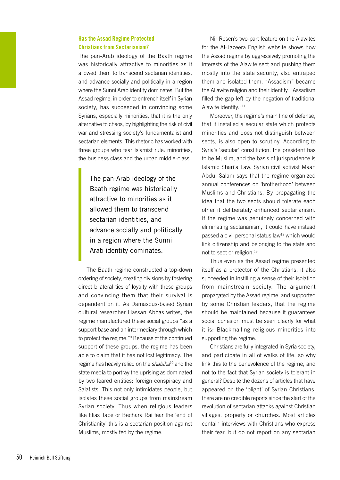### Has the Assad Regime Protected Christians from Sectarianism?

The pan-Arab ideology of the Baath regime was historically attractive to minorities as it allowed them to transcend sectarian identities, and advance socially and politically in a region where the Sunni Arab identity dominates. But the Assad regime, in order to entrench itself in Syrian society, has succeeded in convincing some Syrians, especially minorities, that it is the only alternative to chaos, by highlighting the risk of civil war and stressing society's fundamentalist and sectarian elements. This rhetoric has worked with three groups who fear Islamist rule: minorities, the business class and the urban middle-class.

The pan-Arab ideology of the Baath regime was historically attractive to minorities as it allowed them to transcend sectarian identities, and advance socially and politically in a region where the Sunni Arab identity dominates.

The Baath regime constructed a top-down ordering of society, creating divisions by fostering direct bilateral ties of loyalty with these groups and convincing them that their survival is dependent on it. As Damascus-based Syrian cultural researcher Hassan Abbas writes, the regime manufactured these social groups "as a support base and an intermediary through which to protect the regime."<sup>9</sup> Because of the continued support of these groups, the regime has been able to claim that it has not lost legitimacy. The regime has heavily relied on the *shabiha*<sup>10</sup> and the state media to portray the uprising as dominated by two feared entities: foreign conspiracy and Salafists. This not only intimidates people, but isolates these social groups from mainstream Syrian society. Thus when religious leaders like Elias Tabe or Bechara Rai fear the 'end of Christianity' this is a sectarian position against Muslims, mostly fed by the regime.

Nir Rosen's two-part feature on the Alawites for the Al-Jazeera English website shows how the Assad regime by aggressively promoting the interests of the Alawite sect and pushing them mostly into the state security, also entraped them and isolated them. "Assadism" became the Allawite religion and their identity. "Assadism filled the gap left by the negation of traditional Alawite identity."<sup>11</sup>

Moreover, the regime's main line of defense, that it installed a secular state which protects minorities and does not distinguish between sects, is also open to scrutiny. According to Syria's 'secular' constitution, the president has to be Muslim, and the basis of jurisprudence is Islamic Shari'a Law. Syrian civil activist Maan Abdul Salam says that the regime organized annual conferences on 'brotherhood' between Muslims and Christians. By propagating the idea that the two sects should tolerate each other it deliberately enhanced sectarianism. If the regime was genuinely concerned with eliminating sectarianism, it could have instead passed a civil personal status law<sup>12</sup> which would link citizenship and belonging to the state and not to sect or religion.<sup>13</sup>

Thus even as the Assad regime presented itself as a protector of the Christians, it also succeeded in instilling a sense of their isolation from mainstream society. The argument propagated by the Assad regime, and supported by some Christian leaders, that the regime should be maintained because it guarantees social cohesion must be seen clearly for what it is: Blackmailing religious minorities into supporting the regime.

Christians are fully integrated in Syria society, and participate in all of walks of life, so why link this to the benevolence of the regime, and not to the fact that Syrian society is tolerant in general? Despite the dozens of articles that have appeared on the 'plight' of Syrian Christians, there are no credible reports since the start of the revolution of sectarian attacks against Christian villages, property or churches. Most articles contain interviews with Christians who express their fear, but do not report on any sectarian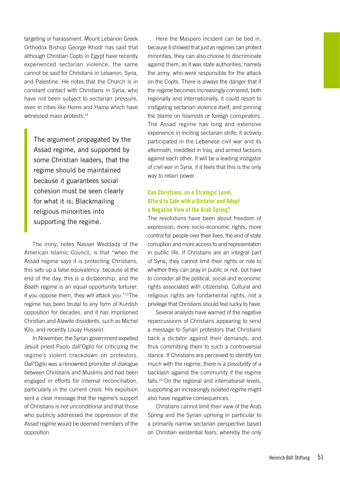targeting or harassment. Mount Lebanon Greek Orthodox Bishop George Khodr has said that although Christian Copts in Egypt have recently experienced sectarian violence, the same cannot be said for Christians in Lebanon, Syria, and Palestine. He notes that the Church is in constant contact with Christians in Syria, who have not been subject to sectarian pressure, even in cities like Homs and Hama which have witnessed mass protests.<sup>14</sup>

The argument propagated by the Assad regime, and supported by some Christian leaders, that the regime should be maintained because it guarantees social cohesion must be seen clearly for what it is: Blackmailing religious minorities into supporting the regime.

The irony, notes Nasser Weddady of the American Islamic Council, is that "when the Assad regime says it is protecting Christians, this sets up a false equivalency: because at the end of the day, this is a dictatorship, and the Baath regime is an equal opportunity torturer: if you oppose them, they will attack you."15The regime has been brutal to any form of Kurdish opposition for decades, and it has imprisoned Christian and Alawite dissidents, such as Michel Kilo, and recently Louay Hussein.

In November, the Syrian government expelled Jesuit priest Paolo dall'Oglio for criticizing the regime's violent crackdown on protestors. Dall'Oglio was a renowned promoter of dialogue between Christians and Muslims and had been engaged in efforts for internal reconciliation, particularly in the current crisis. His expulsion sent a clear message that the regime's support of Christians is not unconditional and that those who publicly addressed the oppression of the Assad regime would be deemed members of the opposition.

Here the Maspero incident can be tied in, because it showed that just as regimes can protect minorities, they can also choose to discriminate against them, as it was state authorities, namely the army, who were responsible for the attack on the Copts. There is always the danger that if the regime becomes increasingly cornered, both regionally and internationally, it could resort to instigating sectarian violence itself, and pinning the blame on Islamists or foreign conspirators. The Assad regime has long and extensive experience in inciting sectarian strife; it actively participated in the Lebanese civil war and its aftermath, meddled in Iraq, and armed factions against each other. It will be a leading instigator of civil war in Syria, if it feels that this is the only way to retain power.

# Can Christians, on a Strategic Level, Afford to Side with a Dictator and Adopt a Negative View of the Arab Spring?

The revolutions have been about freedom of expression, more socio-economic rights, more control for people over their lives, the end of state corruption and more access to and representation in public life. If Christians are an integral part of Syria, they cannot limit their rights or role to whether they can pray in public or not, but have to consider all the political, social and economic rights associated with citizenship. Cultural and religious rights are fundamental rights, not a privilege that Christians should feel lucky to have.

Several analysts have warned of the negative repercussions of Christians appearing to send a message to Syrian protestors that Christians back a dictator against their demands, and thus committing them to such a controversial stance. If Christians are perceived to identify too much with the regime, there is a possibility of a backlash against the community if the regime falls.16 On the regional and international levels, supporting an increasingly isolated regime might also have negative consequences.

Christians cannot limit their view of the Arab Spring and the Syrian uprising in particular to a primarily narrow sectarian perspective based on Christian existential fears, whereby the only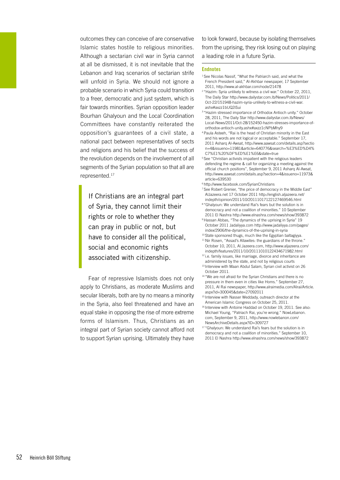outcomes they can conceive of are conservative Islamic states hostile to religious minorities. Although a sectarian civil war in Syria cannot at all be dismissed, it is not inevitable that the Lebanon and Iraq scenarios of sectarian strife will unfold in Syria. We should not ignore a probable scenario in which Syria could transition to a freer, democratic and just system, which is fair towards minorities. Syrian opposition leader Bourhan Ghalyoun and the Local Coordination Committees have constantly reiterated the opposition's guarantees of a civil state, a national pact between representatives of sects and religions and his belief that the success of the revolution depends on the involvement of all segments of the Syrian population so that all are represented.<sup>17</sup>

If Christians are an integral part of Syria, they cannot limit their rights or role to whether they can pray in public or not, but have to consider all the political, social and economic rights associated with citizenship.

Fear of repressive Islamists does not only apply to Christians, as moderate Muslims and secular liberals, both are by no means a minority in the Syria, also feel threatened and have an equal stake in opposing the rise of more extreme forms of Islamism. Thus, Christians as an integral part of Syrian society cannot afford not to support Syrian uprising. Ultimately they have

to look forward, because by isolating themselves from the uprising, they risk losing out on playing a leading role in a future Syria.

#### **Endnotes**

- <sup>1</sup> See Nicolas Nassif, "What the Patriarch said, and what the French President said," Al-Akhbar newspaper, 17 September 2011, http://www.al-akhbar.com/node/21478
- <sup>2</sup>"Hazim: Syria unlikely to witness a civil war." October 22, 2011, The Daily Star http://www.dailystar.com.lb/News/Politics/2011/ Oct-22/151948-hazim-syria-unlikely-to-witness-a-civil-war. ashx#axzz1bUQ2iSui
- <sup>3</sup> "Hazim stressed importance of Orthodox Antioch unity." October 28, 2011, The Daily Star http://www.dailystar.com.lb/News/ Local-News/2011/Oct-28/152450-hazim-stresses-importance-oforthodox-antioch-unity.ashx#axzz1cNPbMhy9
- <sup>4</sup>Paula Asteeh, "Rai is the head of Christian minority in the East and his words are not logical or acceptable." September 17, 2011 Asharq Al-Awsat, http://www.aawsat.com/details.asp?sectio n=4&issueno=11981&article=640776&search=%E3%ED%D4% C7%E1%20%DF%ED%E1%E6&state=true
- <sup>5</sup> See "Christian activists impatient with the religious leaders defending the regime & call for organizing a meeting against the official church positions", September 9, 2011 Asharq Al-Awsat, http://www.aawsat.com/details.asp?section=4&issueno=11973& article=639530
- <sup>6</sup>http://www.facebook.com/SyrianChristians
- <sup>7</sup>See Robert Grenier, "the price of democracy in the Middle East" AlJazeera.net 17 October 2011 http://english.aljazeera.net/ indepth/opinion/2011/10/20111017122127469546.html
- 8 "Ghalyoun: We understand Rai's fears but the solution is in democracy and not a coalition of minorities." 10 September 2011 El Nashra http://www.elnashra.com/news/show/393872
- 9 Hassan Abbas, "The dynamics of the uprising in Syria" 19 October 2011 Jadaliyya.com http://www.jadaliyya.com/pages/ index/2906/the-dynamics-of-the-uprising-in-syria
- <sup>10</sup> State sponsored thugs, much like the Egyptian baltagiyya. <sup>11</sup> Nir Rosen, "Assad's Allawites: the guardians of the throne."
- October 10, 2011, Al.Jazeera.com, http://www.aljazeera.com/ indepth/features/2011/10/20111010122434671982.html <sup>12</sup> i.e. family issues, like marriage, divorce and inheritance are
- administered by the state, and not by religious courts
- 13 Interview with Maan Abdul Salam, Syrian civil activist on 26 October 2011.
- <sup>14</sup> "We are not afraid for the Syrian Christians and there is no pressure in them even in cities like Homs." September 27, 2011, Al Rai newspaper, http://www.alraimedia.com/Alrai/Article. aspx?id=300045&date=27092011
- <sup>15</sup> Interview with Nasser Weddady, outreach director at the American Islamic Congress on October 25, 2011.
- <sup>16</sup> Interview with Antoine Haddad on October 19, 2011. See also: Michael Young, "Patriach Rai, you're wrong." NowLebanon. com, September 9, 2011, http://www.nowlebanon.com/ NewsArchiveDetails.aspx?ID=309727
- <sup>17</sup> "Ghalyoun: We understand Rai's fears but the solution is in democracy and not a coalition of minorities." September 10, 2011 El Nashra http://www.elnashra.com/news/show/393872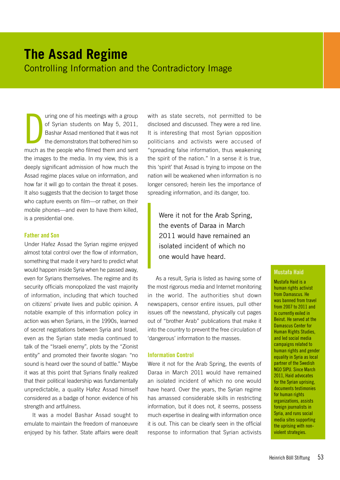# <span id="page-52-1"></span><span id="page-52-0"></span>**The Assad Regime** Controlling Information and the Contradictory Image

The uring one of his meetings with a group<br>of Syrian students on May 5, 2011,<br>Bashar Assad mentioned that it was not<br>the demonstrators that bothered him so<br>much as the people who filmed them and sent uring one of his meetings with a group of Syrian students on May 5, 2011, Bashar Assad mentioned that it was not the demonstrators that bothered him so the images to the media. In my view, this is a deeply significant admission of how much the Assad regime places value on information, and how far it will go to contain the threat it poses. It also suggests that the decision to target those who capture events on film—or rather, on their mobile phones—and even to have them killed, is a presidential one.

#### Father and Son

Under Hafez Assad the Syrian regime enjoyed almost total control over the flow of information, something that made it very hard to predict what would happen inside Syria when he passed away, even for Syrians themselves. The regime and its security officials monopolized the vast majority of information, including that which touched on citizens' private lives and public opinion. A notable example of this information policy in action was when Syrians, in the 1990s, learned of secret negotiations between Syria and Israel, even as the Syrian state media continued to talk of the "Israeli enemy", plots by the "Zionist entity" and promoted their favorite slogan: "no sound is heard over the sound of battle." Maybe it was at this point that Syrians finally realized that their political leadership was fundamentally unpredictable, a quality Hafez Assad himself considered as a badge of honor: evidence of his strength and artfulness.

It was a model Bashar Assad sought to emulate to maintain the freedom of manoeuvre enjoyed by his father. State affairs were dealt with as state secrets, not permitted to be disclosed and discussed. They were a red line. It is interesting that most Syrian opposition politicians and activists were accused of "spreading false information, thus weakening the spirit of the nation." In a sense it is true, this 'spirit' that Assad is trying to impose on the nation will be weakened when information is no longer censored; herein lies the importance of spreading information, and its danger, too.

Were it not for the Arab Spring, the events of Daraa in March 2011 would have remained an isolated incident of which no one would have heard.

As a result, Syria is listed as having some of the most rigorous media and Internet monitoring in the world. The authorities shut down newspapers, censor entire issues, pull other issues off the newsstand, physically cut pages out of "brother Arab" publications that make it into the country to prevent the free circulation of 'dangerous' information to the masses.

#### Information Control

Were it not for the Arab Spring, the events of Daraa in March 2011 would have remained an isolated incident of which no one would have heard. Over the years, the Syrian regime has amassed considerable skills in restricting information, but it does not, it seems, possess much expertise in dealing with information once it is out. This can be clearly seen in the official response to information that Syrian activists

#### <span id="page-52-2"></span>Mustafa Haid

Mustafa Haid is a human rights activist from Damascus. He was banned from travel from 2007 to 2011 and is currently exiled in Beirut. He served at the Damascus Center for Human Rights Studies, and led social media campaigns related to human rights and gender equality in Syria as local partner of the Swedish NGO SIPU. Since March 2011, Haid advocates for the Syrian uprising, documents testimonies for human rights organizations, assists foreign journalists in Syria, and runs social media sites supporting the uprising with nonviolent strategies.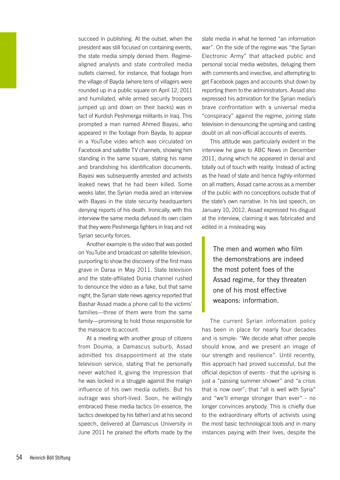succeed in publishing. At the outset, when the president was still focused on containing events, the state media simply denied them. Regimealigned analysts and state controlled media outlets claimed, for instance, that footage from the village of Bayda (where tens of villagers were rounded up in a public square on April 12, 2011 and humiliated, while armed security troopers jumped up and down on their backs) was in fact of Kurdish Peshmerga militants in Iraq. This prompted a man named Ahmed Bayasi, who appeared in the footage from Bayda, to appear in a YouTube video which was circulated on Facebook and satellite TV channels, showing him standing in the same square, stating his name and brandishing his identification documents. Bayasi was subsequently arrested and activists leaked news that he had been killed. Some weeks later, the Syrian media aired an interview with Bayasi in the state security headquarters denying reports of his death. Ironically, with this interview the same media defused its own claim that they were Peshmerga fighters in Iraq and not Syrian security forces.

Another example is the video that was posted on YouTube and broadcast on satellite television, purporting to show the discovery of the first mass grave in Daraa in May 2011. State television and the state-affiliated Dunia channel rushed to denounce the video as a fake, but that same night, the Syrian state news agency reported that Bashar Assad made a phone call to the victims' families—three of them were from the same family—promising to hold those responsible for the massacre to account.

At a meeting with another group of citizens from Douma, a Damascus suburb, Assad admitted his disappointment at the state television service, stating that he personally never watched it, giving the impression that he was locked in a struggle against the malign influence of his own media outlets. But his outrage was short-lived. Soon, he willingly embraced these media tactics (in essence, the tactics developed by his father) and at his second speech, delivered at Damascus University in June 2011 he praised the efforts made by the

state media in what he termed "an information war". On the side of the regime was "the Syrian Electronic Army" that attacked public and personal social media websites, deluging them with comments and invective, and attempting to get Facebook pages and accounts shut down by reporting them to the administrators. Assad also expressed his admiration for the Syrian media's brave confrontation with a universal media "conspiracy" against the regime, joining state television in denouncing the uprising and casting doubt on all non-official accounts of events.

This attitude was particularly evident in the interview he gave to ABC News in December 2011, during which he appeared in denial and totally out of touch with reality. Instead of acting as the head of state and hence highly-informed on all matters, Assad came across as a member of the public with no conceptions outside that of the state's own narrative. In his last speech, on January 10, 2012, Assad expressed his disgust at the interview, claiming it was fabricated and edited in a misleading way.

The men and women who film the demonstrations are indeed the most potent foes of the Assad regime, for they threaten one of his most effective weapons: information.

The current Syrian information policy has been in place for nearly four decades and is simple: "We decide what other people should know, and we present an image of our strength and resilience". Until recently, this approach had proved successful, but the official depiction of events - that the uprising is just a "passing summer shower" and "a crisis that is now over"; that "all is well with Syria" and "we'll emerge stronger than ever" - no longer convinces anybody. This is chiefly due to the extraordinary efforts of activists using the most basic technological tools and in many instances paying with their lives, despite the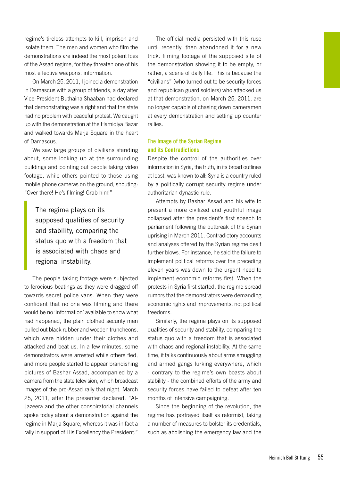regime's tireless attempts to kill, imprison and isolate them. The men and women who film the demonstrations are indeed the most potent foes of the Assad regime, for they threaten one of his most effective weapons: information.

On March 25, 2011, I joined a demonstration in Damascus with a group of friends, a day after Vice-President Buthaina Shaaban had declared that demonstrating was a right and that the state had no problem with peaceful protest. We caught up with the demonstration at the Hamidiya Bazar and walked towards Marja Square in the heart of Damascus.

We saw large groups of civilians standing about, some looking up at the surrounding buildings and pointing out people taking video footage, while others pointed to those using mobile phone cameras on the ground, shouting: "Over there! He's filming! Grab him!"

The regime plays on its supposed qualities of security and stability, comparing the status quo with a freedom that is associated with chaos and regional instability.

The people taking footage were subjected to ferocious beatings as they were dragged off towards secret police vans. When they were confident that no one was filming and there would be no 'information' available to show what had happened, the plain clothed security men pulled out black rubber and wooden truncheons, which were hidden under their clothes and attacked and beat us. In a few minutes, some demonstrators were arrested while others fled, and more people started to appear brandishing pictures of Bashar Assad, accompanied by a camera from the state television, which broadcast images of the pro-Assad rally that night, March 25, 2011, after the presenter declared: "Al-Jazeera and the other conspiratorial channels spoke today about a demonstration against the regime in Marja Square, whereas it was in fact a rally in support of His Excellency the President."

The official media persisted with this ruse until recently, then abandoned it for a new trick: filming footage of the supposed site of the demonstration showing it to be empty, or rather, a scene of daily life. This is because the "civilians" (who turned out to be security forces and republican guard soldiers) who attacked us at that demonstration, on March 25, 2011, are no longer capable of chasing down cameramen at every demonstration and setting up counter rallies.

### The Image of the Syrian Regime and its Contradictions

Despite the control of the authorities over information in Syria, the truth, in its broad outlines at least, was known to all: Syria is a country ruled by a politically corrupt security regime under authoritarian dynastic rule.

Attempts by Bashar Assad and his wife to present a more civilized and youthful image collapsed after the president's first speech to parliament following the outbreak of the Syrian uprising in March 2011. Contradictory accounts and analyses offered by the Syrian regime dealt further blows. For instance, he said the failure to implement political reforms over the preceding eleven years was down to the urgent need to implement economic reforms first. When the protests in Syria first started, the regime spread rumors that the demonstrators were demanding economic rights and improvements, not political freedoms.

Similarly, the regime plays on its supposed qualities of security and stability, comparing the status quo with a freedom that is associated with chaos and regional instability. At the same time, it talks continuously about arms smuggling and armed gangs lurking everywhere, which - contrary to the regime's own boasts about stability - the combined efforts of the army and security forces have failed to defeat after ten months of intensive campaigning.

Since the beginning of the revolution, the regime has portrayed itself as reformist, taking a number of measures to bolster its credentials, such as abolishing the emergency law and the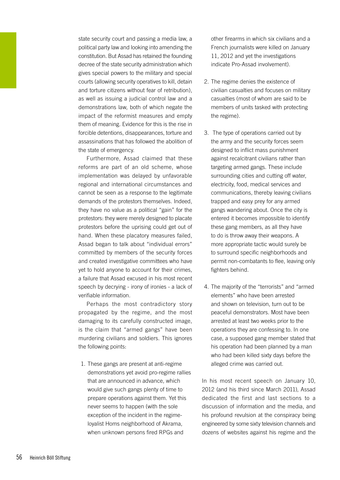state security court and passing a media law, a political party law and looking into amending the constitution. But Assad has retained the founding decree of the state security administration which gives special powers to the military and special courts (allowing security operatives to kill, detain and torture citizens without fear of retribution), as well as issuing a judicial control law and a demonstrations law, both of which negate the impact of the reformist measures and empty them of meaning. Evidence for this is the rise in forcible detentions, disappearances, torture and assassinations that has followed the abolition of the state of emergency.

Furthermore, Assad claimed that these reforms are part of an old scheme, whose implementation was delayed by unfavorable regional and international circumstances and cannot be seen as a response to the legitimate demands of the protestors themselves. Indeed, they have no value as a political "gain" for the protestors: they were merely designed to placate protestors before the uprising could get out of hand. When these placatory measures failed, Assad began to talk about "individual errors" committed by members of the security forces and created investigative committees who have yet to hold anyone to account for their crimes, a failure that Assad excused in his most recent speech by decrying - irony of ironies - a lack of verifiable information.

Perhaps the most contradictory story propagated by the regime, and the most damaging to its carefully constructed image, is the claim that "armed gangs" have been murdering civilians and soldiers. This ignores the following points:

1. These gangs are present at anti-regime demonstrations yet avoid pro-regime rallies that are announced in advance, which would give such gangs plenty of time to prepare operations against them. Yet this never seems to happen (with the sole exception of the incident in the regimeloyalist Homs neighborhood of Akrama, when unknown persons fired RPGs and

other firearms in which six civilians and a French journalists were killed on January 11, 2012 and yet the investigations indicate Pro-Assad involvement).

- 2. The regime denies the existence of civilian casualties and focuses on military casualties (most of whom are said to be members of units tasked with protecting the regime).
- 3. The type of operations carried out by the army and the security forces seem designed to inflict mass punishment against recalcitrant civilians rather than targeting armed gangs. These include surrounding cities and cutting off water, electricity, food, medical services and communications, thereby leaving civilians trapped and easy prey for any armed gangs wandering about. Once the city is entered it becomes impossible to identify these gang members, as all they have to do is throw away their weapons. A more appropriate tactic would surely be to surround specific neighborhoods and permit non-combatants to flee, leaving only fighters behind.
- 4. The majority of the "terrorists" and "armed elements" who have been arrested and shown on television, turn out to be peaceful demonstrators. Most have been arrested at least two weeks prior to the operations they are confessing to. In one case, a supposed gang member stated that his operation had been planned by a man who had been killed sixty days before the alleged crime was carried out.

In his most recent speech on January 10, 2012 (and his third since March 2011), Assad dedicated the first and last sections to a discussion of information and the media, and his profound revulsion at the conspiracy being engineered by some sixty television channels and dozens of websites against his regime and the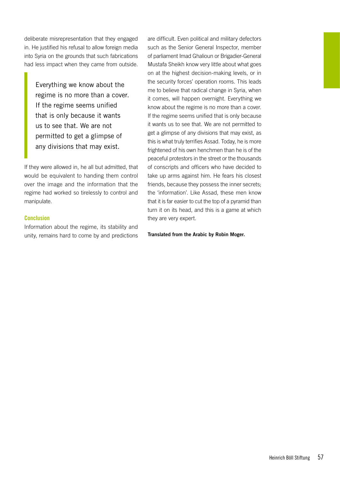deliberate misrepresentation that they engaged in. He justified his refusal to allow foreign media into Syria on the grounds that such fabrications had less impact when they came from outside.

Everything we know about the regime is no more than a cover. If the regime seems unified that is only because it wants us to see that. We are not permitted to get a glimpse of any divisions that may exist.

If they were allowed in, he all but admitted, that would be equivalent to handing them control over the image and the information that the regime had worked so tirelessly to control and manipulate.

#### Conclusion

Information about the regime, its stability and unity, remains hard to come by and predictions are difficult. Even political and military defectors such as the Senior General Inspector, member of parliament Imad Ghalioun or Brigadier-General Mustafa Sheikh know very little about what goes on at the highest decision-making levels, or in the security forces' operation rooms. This leads me to believe that radical change in Syria, when it comes, will happen overnight. Everything we know about the regime is no more than a cover. If the regime seems unified that is only because it wants us to see that. We are not permitted to get a glimpse of any divisions that may exist, as this is what truly terrifies Assad. Today, he is more frightened of his own henchmen than he is of the peaceful protestors in the street or the thousands of conscripts and officers who have decided to take up arms against him. He fears his closest friends, because they possess the inner secrets; the 'information'. Like Assad, these men know that it is far easier to cut the top of a pyramid than turn it on its head, and this is a game at which they are very expert.

Translated from the Arabic by Robin Moger.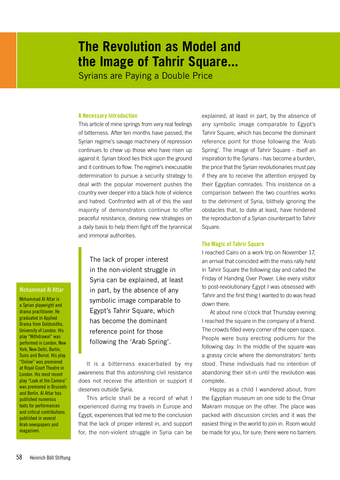# <span id="page-57-0"></span>**The Revolution as Model and the Image of Tahrir Square...**

<span id="page-57-1"></span>Syrians are Paying a Double Price

#### A Necessary Introduction

This article of mine springs from very real feelings of bitterness. After ten months have passed, the Syrian regime's savage machinery of repression continues to chew up those who have risen up against it. Syrian blood lies thick upon the ground and it continues to flow. The regime's inexcusable determination to pursue a security strategy to deal with the popular movement pushes the country ever deeper into a black hole of violence and hatred. Confronted with all of this the vast majority of demonstrators continue to offer peaceful resistance, devising new strategies on a daily basis to help them fight off the tyrannical and immoral authorities.

### <span id="page-57-2"></span>Mohammad Al Attar

Mohammad Al Attar is a Syrian playwright and drama practitioner. He graduated in Applied Drama from Goldsmiths, University of London. His play "Withdrawal" was performed in London, New York, New Delhi, Berlin, Tunis and Beirut. His play "Online" was premiered at Royal Court Theatre in London. His most recent play "Look at the Camera" was premiered in Brussels and Berlin. Al Attar has published numerous texts for performances and critical contributions published in several Arab newspapers and magazines.

The lack of proper interest in the non-violent struggle in Syria can be explained, at least in part, by the absence of any symbolic image comparable to Egypt's Tahrir Square, which has become the dominant reference point for those following the 'Arab Spring'.

It is a bitterness exacerbated by my awareness that this astonishing civil resistance does not receive the attention or support it deserves outside Syria.

This article shall be a record of what I experienced during my travels in Europe and Egypt, experiences that led me to the conclusion that the lack of proper interest in, and support for, the non-violent struggle in Syria can be

explained, at least in part, by the absence of any symbolic image comparable to Egypt's Tahrir Square, which has become the dominant reference point for those following the 'Arab Spring'. The image of Tahrir Square - itself an inspiration to the Syrians - has become a burden, the price that the Syrian revolutionaries must pay if they are to receive the attention enjoyed by their Egyptian comrades. This insistence on a comparison between the two countries works to the detriment of Syria, blithely ignoring the obstacles that, to date at least, have hindered the reproduction of a Syrian counterpart to Tahrir Square.

#### The Magic of Tahrir Square

I reached Cairo on a work trip on November 17, an arrival that coincided with the mass rally held in Tahrir Square the following day and called the Friday of Handing Over Power. Like every visitor to post-revolutionary Egypt I was obsessed with Tahrir and the first thing I wanted to do was head down there.

At about nine o'clock that Thursday evening I reached the square in the company of a friend. The crowds filled every corner of the open space. People were busy erecting podiums for the following day. In the middle of the square was a grassy circle where the demonstrators' tents stood. These individuals had no intention of abandoning their sit-in until the revolution was complete.

Happy as a child I wandered about, from the Egyptian museum on one side to the Omar Makram mosque on the other. The place was packed with discussion circles and it was the easiest thing in the world to join in. Room would be made for you, for sure; there were no barriers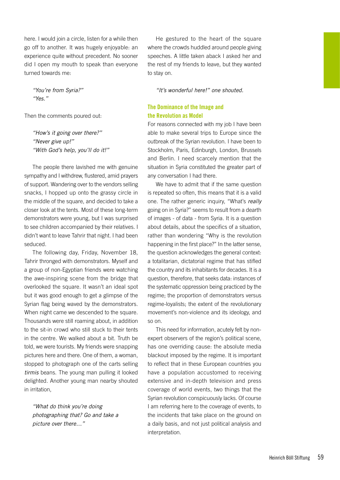here. I would join a circle, listen for a while then go off to another. It was hugely enjoyable: an experience quite without precedent. No sooner did I open my mouth to speak than everyone turned towards me:

*"You're from Syria?" "Yes."*

Then the comments poured out:

*"How's it going over there?" "Never give up!" "With God's help, you'll do it!"*

The people there lavished me with genuine sympathy and I withdrew, flustered, amid prayers of support. Wandering over to the vendors selling snacks, I hopped up onto the grassy circle in the middle of the square, and decided to take a closer look at the tents. Most of these long-term demonstrators were young, but I was surprised to see children accompanied by their relatives. I didn't want to leave Tahrir that night. I had been seduced.

The following day, Friday, November 18, Tahrir thronged with demonstrators. Myself and a group of non-Egyptian friends were watching the awe-inspiring scene from the bridge that overlooked the square. It wasn't an ideal spot but it was good enough to get a glimpse of the Syrian flag being waved by the demonstrators. When night came we descended to the square. Thousands were still roaming about, in addition to the sit-in crowd who still stuck to their tents in the centre. We walked about a bit. Truth be told, we were tourists. My friends were snapping pictures here and there. One of them, a woman, stopped to photograph one of the carts selling *tirmis* beans. The young man pulling it looked delighted. Another young man nearby shouted in irritation,

*"What do think you're doing photographing that? Go and take a picture over there…"*

He gestured to the heart of the square where the crowds huddled around people giving speeches. A little taken aback I asked her and the rest of my friends to leave, but they wanted to stay on.

*"It's wonderful here!" one shouted.* 

### The Dominance of the Image and the Revolution as Model

For reasons connected with my job I have been able to make several trips to Europe since the outbreak of the Syrian revolution. I have been to Stockholm, Paris, Edinburgh, London, Brussels and Berlin. I need scarcely mention that the situation in Syria constituted the greater part of any conversation I had there.

We have to admit that if the same question is repeated so often, this means that it is a valid one. The rather generic inquiry, "What's *really* going on in Syria?" seems to result from a dearth of images - of data - from Syria. It is a question about details, about the specifics of a situation, rather than wondering "Why is the revolution happening in the first place?" In the latter sense, the question acknowledges the general context: a totalitarian, dictatorial regime that has stifled the country and its inhabitants for decades. It is a question, therefore, that seeks data: instances of the systematic oppression being practiced by the regime; the proportion of demonstrators versus regime-loyalists; the extent of the revolutionary movement's non-violence and its ideology, and so on.

This need for information, acutely felt by nonexpert observers of the region's political scene, has one overriding cause: the absolute media blackout imposed by the regime. It is important to reflect that in these European countries you have a population accustomed to receiving extensive and in-depth television and press coverage of world events, two things that the Syrian revolution conspicuously lacks. Of course I am referring here to the coverage of events, to the incidents that take place on the ground on a daily basis, and not just political analysis and interpretation.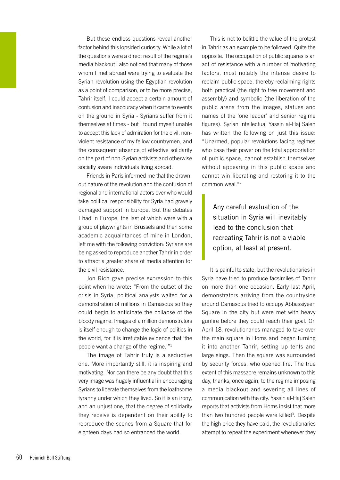But these endless questions reveal another factor behind this lopsided curiosity. While a lot of the questions were a direct result of the regime's media blackout I also noticed that many of those whom I met abroad were trying to evaluate the Syrian revolution using the Egyptian revolution as a point of comparison, or to be more precise, Tahrir itself. I could accept a certain amount of confusion and inaccuracy when it came to events on the ground in Syria - Syrians suffer from it themselves at times - but I found myself unable to accept this lack of admiration for the civil, nonviolent resistance of my fellow countrymen, and the consequent absence of effective solidarity on the part of non-Syrian activists and otherwise socially aware individuals living abroad.

Friends in Paris informed me that the drawnout nature of the revolution and the confusion of regional and international actors over who would take political responsibility for Syria had gravely damaged support in Europe. But the debates I had in Europe, the last of which were with a group of playwrights in Brussels and then some academic acquaintances of mine in London, left me with the following conviction: Syrians are being asked to reproduce another Tahrir in order to attract a greater share of media attention for the civil resistance.

Jon Rich gave precise expression to this point when he wrote: "From the outset of the crisis in Syria, political analysts waited for a demonstration of millions in Damascus so they could begin to anticipate the collapse of the bloody regime. Images of a million demonstrators is itself enough to change the logic of politics in the world, for it is irrefutable evidence that 'the people want a change of the regime.'"<sup>1</sup>

The image of Tahrir truly is a seductive one. More importantly still, it is inspiring and motivating. Nor can there be any doubt that this very image was hugely influential in encouraging Syrians to liberate themselves from the loathsome tyranny under which they lived. So it is an irony, and an unjust one, that the degree of solidarity they receive is dependent on their ability to reproduce the scenes from a Square that for eighteen days had so entranced the world.

This is not to belittle the value of the protest in Tahrir as an example to be followed. Quite the opposite. The occupation of public squares is an act of resistance with a number of motivating factors, most notably the intense desire to reclaim public space, thereby reclaiming rights both practical (the right to free movement and assembly) and symbolic (the liberation of the public arena from the images, statues and names of the 'one leader' and senior regime figures). Syrian intellectual Yassin al-Haj Saleh has written the following on just this issue: "Unarmed, popular revolutions facing regimes who base their power on the total appropriation of public space, cannot establish themselves without appearing in this public space and cannot win liberating and restoring it to the common weal."<sup>2</sup>

Any careful evaluation of the situation in Syria will inevitably lead to the conclusion that recreating Tahrir is not a viable option, at least at present.

It is painful to state, but the revolutionaries in Syria have tried to produce facsimiles of Tahrir on more than one occasion. Early last April, demonstrators arriving from the countryside around Damascus tried to occupy Abbassiyeen Square in the city but were met with heavy gunfire before they could reach their goal. On April 18, revolutionaries managed to take over the main square in Homs and began turning it into another Tahrir, setting up tents and large sings. Then the square was surrounded by security forces, who opened fire. The true extent of this massacre remains unknown to this day, thanks, once again, to the regime imposing a media blackout and severing all lines of communication with the city. Yassin al-Haj Saleh reports that activists from Homs insist that more than two hundred people were killed<sup>3</sup>. Despite the high price they have paid, the revolutionaries attempt to repeat the experiment whenever they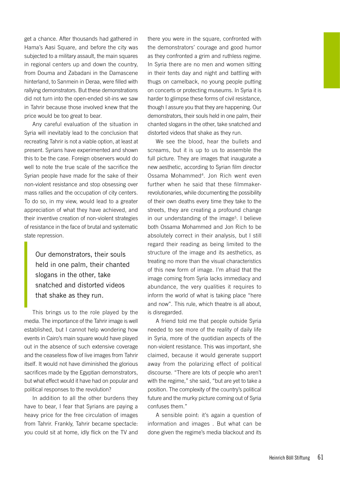get a chance. After thousands had gathered in Hama's Aasi Square, and before the city was subjected to a military assault, the main squares in regional centers up and down the country, from Douma and Zabadani in the Damascene hinterland, to Sanmein in Deraa, were filled with rallying demonstrators. But these demonstrations did not turn into the open-ended sit-ins we saw in Tahrir because those involved knew that the price would be too great to bear.

Any careful evaluation of the situation in Syria will inevitably lead to the conclusion that recreating Tahrir is not a viable option, at least at present. Syrians have experimented and shown this to be the case. Foreign observers would do well to note the true scale of the sacrifice the Syrian people have made for the sake of their non-violent resistance and stop obsessing over mass rallies and the occupation of city centers. To do so, in my view, would lead to a greater appreciation of what they have achieved, and their inventive creation of non-violent strategies of resistance in the face of brutal and systematic state repression.

Our demonstrators, their souls held in one palm, their chanted slogans in the other, take snatched and distorted videos that shake as they run.

This brings us to the role played by the media. The importance of the Tahrir image is well established, but I cannot help wondering how events in Cairo's main square would have played out in the absence of such extensive coverage and the ceaseless flow of live images from Tahrir itself. It would not have diminished the glorious sacrifices made by the Egyptian demonstrators, but what effect would it have had on popular and political responses to the revolution?

In addition to all the other burdens they have to bear, I fear that Syrians are paying a heavy price for the free circulation of images from Tahrir. Frankly, Tahrir became spectacle: you could sit at home, idly flick on the TV and there you were in the square, confronted with the demonstrators' courage and good humor as they confronted a grim and ruthless regime. In Syria there are no men and women sitting in their tents day and night and battling with thugs on camelback, no young people putting on concerts or protecting museums. In Syria it is harder to glimpse these forms of civil resistance, though I assure you that they are happening. Our demonstrators, their souls held in one palm, their chanted slogans in the other, take snatched and distorted videos that shake as they run.

We see the blood, hear the bullets and screams, but it is up to us to assemble the full picture. They are images that inaugurate a new aesthetic, according to Syrian film director Ossama Mohammed<sup>4</sup>. Jon Rich went even further when he said that these filmmakerrevolutionaries, while documenting the possibility of their own deaths every time they take to the streets, they are creating a profound change in our understanding of the image<sup>5</sup>. I believe both Ossama Mohammed and Jon Rich to be absolutely correct in their analysis, but I still regard their reading as being limited to the structure of the image and its aesthetics, as treating no more than the visual characteristics of this new form of image. I'm afraid that the image coming from Syria lacks immediacy and abundance, the very qualities it requires to inform the world of what is taking place "here and now". This rule, which theatre is all about, is disregarded.

A friend told me that people outside Syria needed to see more of the reality of daily life in Syria, more of the quotidian aspects of the non-violent resistance. This was important, she claimed, because it would generate support away from the polarizing effect of political discourse. "There are lots of people who aren't with the regime," she said, "but are yet to take a position. The complexity of the country's political future and the murky picture coming out of Syria confuses them."

A sensible point: it's again a question of information and images . But what can be done given the regime's media blackout and its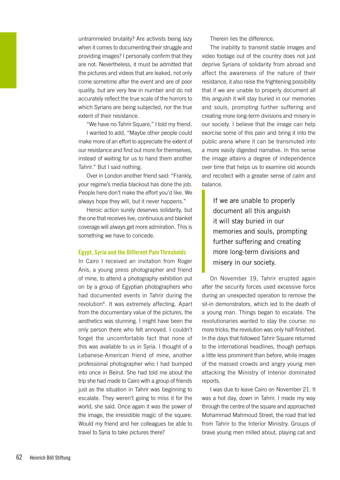untrammeled brutality? Are activists being lazy when it comes to documenting their struggle and providing images? I personally confirm that they are not. Nevertheless, it must be admitted that the pictures and videos that are leaked, not only come sometime after the event and are of poor quality, but are very few in number and do not accurately reflect the true scale of the horrors to which Syrians are being subjected, nor the true extent of their resistance.

"We have no Tahrir Square," I told my friend.

I wanted to add, "Maybe other people could make more of an effort to appreciate the extent of our resistance and find out more for themselves, instead of waiting for us to hand them another Tahrir." But I said nothing.

Over in London another friend said: "Frankly, your regime's media blackout has done the job. People here don't make the effort you'd like. We always hope they will, but it never happens."

Heroic action surely deserves solidarity, but the one that receives live, continuous and blanket coverage will always get more admiration. This is something we have to concede.

#### Egypt, Syria and the Different Pain Thresholds

In Cairo I received an invitation from Roger Anis, a young press photographer and friend of mine, to attend a photography exhibition put on by a group of Egyptian photographers who had documented events in Tahrir during the revolution<sup>6</sup>. It was extremely affecting. Apart from the documentary value of the pictures, the aesthetics was stunning. I might have been the only person there who felt annoyed. I couldn't forget the uncomfortable fact that none of this was available to us in Syria. I thought of a Lebanese-American friend of mine, another professional photographer who I had bumped into once in Beirut. She had told me about the trip she had made to Cairo with a group of friends just as the situation in Tahrir was beginning to escalate. They weren't going to miss it for the world, she said. Once again it was the power of the image, the irresistible magic of the square. Would my friend and her colleagues be able to travel to Syria to take pictures there?

Therein lies the difference.

The inability to transmit stable images and video footage out of the country does not just deprive Syrians of solidarity from abroad and affect the awareness of the nature of their resistance, it also raise the frightening possibility that if we are unable to properly document all this anguish it will stay buried in our memories and souls, prompting further suffering and creating more long-term divisions and misery in our society. I believe that the image can help exorcise some of this pain and bring it into the public arena where it can be transmuted into a more easily digested narrative. In this sense the image attains a degree of independence over time that helps us to examine old wounds and recollect with a greater sense of calm and balance.

If we are unable to properly document all this anguish it will stay buried in our memories and souls, prompting further suffering and creating more long-term divisions and misery in our society.

On November 19, Tahrir erupted again after the security forces used excessive force during an unexpected operation to remove the sit-in demonstrators, which led to the death of a young man. Things began to escalate. The revolutionaries wanted to stay the course: no more tricks; the revolution was only half-finished. In the days that followed Tahrir Square returned to the international headlines, though perhaps a little less prominent than before, while images of the massed crowds and angry young men attacking the Ministry of Interior dominated reports.

I was due to leave Cairo on November 21. It was a hot day, down in Tahrir. I made my way through the centre of the square and approached Mohammad Mahmoud Street, the road that led from Tahrir to the Interior Ministry. Groups of brave young men milled about, playing cat and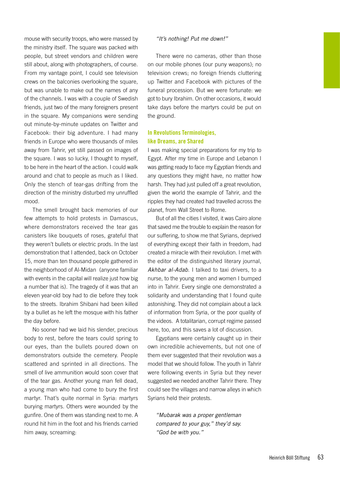mouse with security troops, who were massed by the ministry itself. The square was packed with people, but street vendors and children were still about, along with photographers, of course. From my vantage point, I could see television crews on the balconies overlooking the square, but was unable to make out the names of any of the channels. I was with a couple of Swedish friends, just two of the many foreigners present in the square. My companions were sending out minute-by-minute updates on Twitter and Facebook: their big adventure. I had many friends in Europe who were thousands of miles away from Tahrir, yet still passed on images of the square. I was so lucky, I thought to myself, to be here in the heart of the action. I could walk around and chat to people as much as I liked. Only the stench of tear-gas drifting from the direction of the ministry disturbed my unruffled mood.

The smell brought back memories of our few attempts to hold protests in Damascus, where demonstrators received the tear gas canisters like bouquets of roses, grateful that they weren't bullets or electric prods. In the last demonstration that I attended, back on October 15, more than ten thousand people gathered in the neighborhood of Al-Midan (anyone familiar with events in the capital will realize just how big a number that is). The tragedy of it was that an eleven year-old boy had to die before they took to the streets. Ibrahim Shibani had been killed by a bullet as he left the mosque with his father the day before.

No sooner had we laid his slender, precious body to rest, before the tears could spring to our eyes, than the bullets poured down on demonstrators outside the cemetery. People scattered and sprinted in all directions. The smell of live ammunition would soon cover that of the tear gas. Another young man fell dead, a young man who had come to bury the first martyr. That's quite normal in Syria: martyrs burying martyrs. Others were wounded by the gunfire. One of them was standing next to me. A round hit him in the foot and his friends carried him away, screaming:

### *"It's nothing! Put me down!"*

There were no cameras, other than those on our mobile phones (our puny weapons); no television crews; no foreign friends cluttering up Twitter and Facebook with pictures of the funeral procession. But we were fortunate: we got to bury Ibrahim. On other occasions, it would take days before the martyrs could be put on the ground.

### In Revolutions Terminologies, like Dreams, are Shared

I was making special preparations for my trip to Egypt. After my time in Europe and Lebanon I was getting ready to face my Egyptian friends and any questions they might have, no matter how harsh. They had just pulled off a great revolution, given the world the example of Tahrir, and the ripples they had created had travelled across the planet, from Wall Street to Rome.

But of all the cities I visited, it was Cairo alone that saved me the trouble to explain the reason for our suffering, to show me that Syrians, deprived of everything except their faith in freedom, had created a miracle with their revolution. I met with the editor of the distinguished literary journal, *Akhbar al-Adab*. I talked to taxi drivers, to a nurse, to the young men and women I bumped into in Tahrir. Every single one demonstrated a solidarity and understanding that I found quite astonishing. They did not complain about a lack of information from Syria, or the poor quality of the videos. A totalitarian, corrupt regime passed here, too, and this saves a lot of discussion.

Egyptians were certainly caught up in their own incredible achievements, but not one of them ever suggested that their revolution was a model that we should follow. The youth in Tahrir were following events in Syria but they never suggested we needed another Tahrir there. They could see the villages and narrow alleys in which Syrians held their protests.

*"Mubarak was a proper gentleman compared to your guy," they'd say. "God be with you."*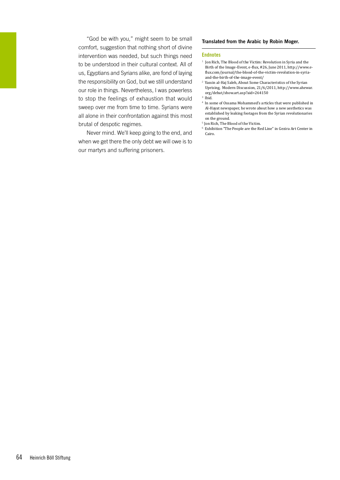"God be with you," might seem to be small comfort, suggestion that nothing short of divine intervention was needed, but such things need to be understood in their cultural context. All of us, Egyptians and Syrians alike, are fond of laying the responsibility on God, but we still understand our role in things. Nevertheless, I was powerless to stop the feelings of exhaustion that would sweep over me from time to time. Syrians were all alone in their confrontation against this most brutal of despotic regimes.

Never mind. We'll keep going to the end, and when we get there the only debt we will owe is to our martyrs and suffering prisoners.

#### Translated from the Arabic by Robin Moger.

#### Endnotes

- $^{\rm 1}$  Jon Rich, The Blood of the Victim: Revolution in Syria and the Birth of the Image-Event, e-flux, #26, June 2011, http://www.eflux.com/journal/the-blood-of-the-victim-revolution-in-syriaand-the-birth-of-the-image-event/
- $^{\rm 2}$  Yassin al-Haj Saleh, About Some Characteristics of the Syrian Uprising, Modern Discussion, 21/6/2011, http://www.ahewar. org/debat/show.art.asp?aid=264150
- $^{\rm 3}$  Ibid.
- $^4\,$  In some of Ossama Mohammed's articles that were published in Al-Hayat newspaper, he wrote about how a new aesthetics was established by leaking footages from the Syrian revolutionaries on the ground.
- $^{\rm 5}$  Jon Rich, The Blood of the Victim.
- <sup>6</sup> Exhibition "The People are the Red Line" in Gezira Art Center in Cairo.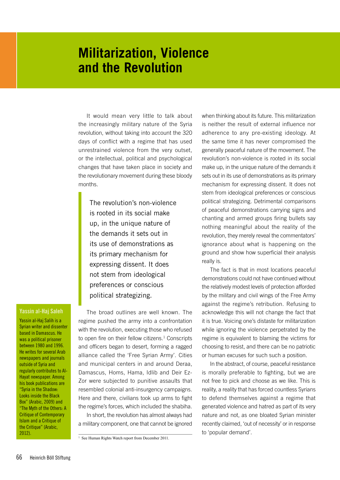# <span id="page-65-0"></span>**Militarization, Violence and the Revolution**

It would mean very little to talk about the increasingly military nature of the Syria revolution, without taking into account the 320 days of conflict with a regime that has used unrestrained violence from the very outset, or the intellectual, political and psychological changes that have taken place in society and the revolutionary movement during these bloody months.

The revolution's non-violence is rooted in its social make up, in the unique nature of the demands it sets out in its use of demonstrations as its primary mechanism for expressing dissent. It does not stem from ideological preferences or conscious political strategizing.

The broad outlines are well known. The regime pushed the army into a confrontation with the revolution, executing those who refused to open fire on their fellow citizens.<sup>1</sup> Conscripts and officers began to desert, forming a ragged alliance called the 'Free Syrian Army'. Cities and municipal centers in and around Deraa, Damascus, Homs, Hama, Idlib and Deir Ez-Zor were subjected to punitive assaults that resembled colonial anti-insurgency campaigns. Here and there, civilians took up arms to fight the regime's forces, which included the shabiha.

In short, the revolution has almost always had a military component, one that cannot be ignored

when thinking about its future. This militarization is neither the result of external influence nor adherence to any pre-existing ideology. At the same time it has never compromised the generally peaceful nature of the movement. The revolution's non-violence is rooted in its social make up, in the unique nature of the demands it sets out in its use of demonstrations as its primary mechanism for expressing dissent. It does not stem from ideological preferences or conscious political strategizing. Detrimental comparisons of peaceful demonstrations carrying signs and chanting and armed groups firing bullets say nothing meaningful about the reality of the revolution, they merely reveal the commentators' ignorance about what is happening on the ground and show how superficial their analysis really is.

The fact is that in most locations peaceful demonstrations could not have continued without the relatively modest levels of protection afforded by the military and civil wings of the Free Army against the regime's retribution. Refusing to acknowledge this will not change the fact that it is true. Voicing one's distaste for militarization while ignoring the violence perpetrated by the regime is equivalent to blaming the victims for choosing to resist, and there can be no patriotic or human excuses for such such a position.

In the abstract, of course, peaceful resistance is morally preferable to fighting, but we are not free to pick and choose as we like. This is reality, a reality that has forced countless Syrians to defend themselves against a regime that generated violence and hatred as part of its very nature and not, as one bloated Syrian minister recently claimed, 'out of necessity' or in response to 'popular demand'.

#### <span id="page-65-1"></span>Yassin al-Haj Saleh

Yassin al-Haj Salih is a Syrian writer and dissenter based in Damascus. He was a political prisoner between 1980 and 1996. He writes for several Arab newspapers and journals outside of Syria and regularly contributes to Al-Hayat newspaper. Among his book publications are "Syria in the Shadow: Looks inside the Black Box" (Arabic, 2009) and "The Myth of the Others: A Critique of Contemporary Islam and a Critique of the Critique" (Arabic, 2012).

<sup>&</sup>lt;sup>1</sup> See Human Rights Watch report from December 2011.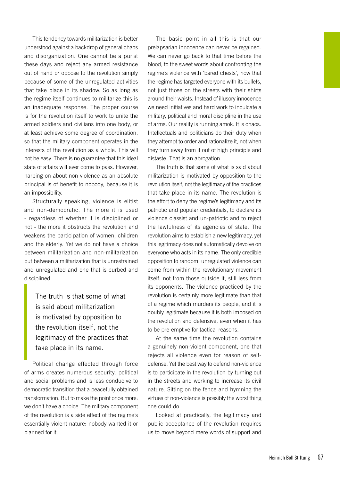This tendency towards militarization is better understood against a backdrop of general chaos and disorganization. One cannot be a purist these days and reject any armed resistance out of hand or oppose to the revolution simply because of some of the unregulated activities that take place in its shadow. So as long as the regime itself continues to militarize this is an inadequate response. The proper course is for the revolution itself to work to unite the armed soldiers and civilians into one body, or at least achieve some degree of coordination, so that the military component operates in the interests of the revolution as a whole. This will not be easy. There is no guarantee that this ideal state of affairs will ever come to pass. However, harping on about non-violence as an absolute principal is of benefit to nobody, because it is an impossibility.

Structurally speaking, violence is elitist and non-democratic. The more it is used - regardless of whether it is disciplined or not - the more it obstructs the revolution and weakens the participation of women, children and the elderly. Yet we do not have a choice between militarization and non-militarization but between a militarization that is unrestrained and unregulated and one that is curbed and disciplined.

The truth is that some of what is said about militarization is motivated by opposition to the revolution itself, not the legitimacy of the practices that take place in its name.

Political change effected through force of arms creates numerous security, political and social problems and is less conducive to democratic transition that a peacefully obtained transformation. But to make the point once more: we don't have a choice. The military component of the revolution is a side effect of the regime's essentially violent nature: nobody wanted it or planned for it.

The basic point in all this is that our prelapsarian innocence can never be regained. We can never go back to that time before the blood, to the sweet words about confronting the regime's violence with 'bared chests', now that the regime has targeted everyone with its bullets, not just those on the streets with their shirts around their waists. Instead of illusory innocence we need initiatives and hard work to inculcate a military, political and moral discipline in the use of arms. Our reality is running amok. It is chaos. Intellectuals and politicians do their duty when they attempt to order and rationalize it, not when they turn away from it out of high principle and distaste. That is an abrogation.

The truth is that some of what is said about militarization is motivated by opposition to the revolution itself, not the legitimacy of the practices that take place in its name. The revolution is the effort to deny the regime's legitimacy and its patriotic and popular credentials, to declare its violence classist and un-patriotic and to reject the lawfulness of its agencies of state. The revolution aims to establish a new legitimacy, yet this legitimacy does not automatically devolve on everyone who acts in its name. The only credible opposition to random, unregulated violence can come from within the revolutionary movement itself, not from those outside it, still less from its opponents. The violence practiced by the revolution is certainly more legitimate than that of a regime which murders its people, and it is doubly legitimate because it is both imposed on the revolution and defensive, even when it has to be pre-emptive for tactical reasons.

At the same time the revolution contains a genuinely non-violent component, one that rejects all violence even for reason of selfdefense. Yet the best way to defend non-violence is to participate in the revolution by turning out in the streets and working to increase its civil nature. Sitting on the fence and hymning the virtues of non-violence is possibly the worst thing one could do.

Looked at practically, the legitimacy and public acceptance of the revolution requires us to move beyond mere words of support and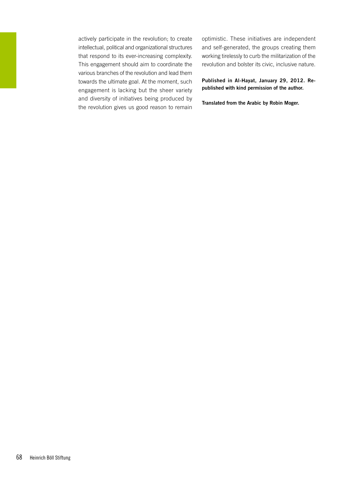actively participate in the revolution; to create intellectual, political and organizational structures that respond to its ever-increasing complexity. This engagement should aim to coordinate the various branches of the revolution and lead them towards the ultimate goal. At the moment, such engagement is lacking but the sheer variety and diversity of initiatives being produced by the revolution gives us good reason to remain optimistic. These initiatives are independent and self-generated, the groups creating them working tirelessly to curb the militarization of the revolution and bolster its civic, inclusive nature.

Published in Al-Hayat, January 29, 2012. Republished with kind permission of the author.

Translated from the Arabic by Robin Moger.